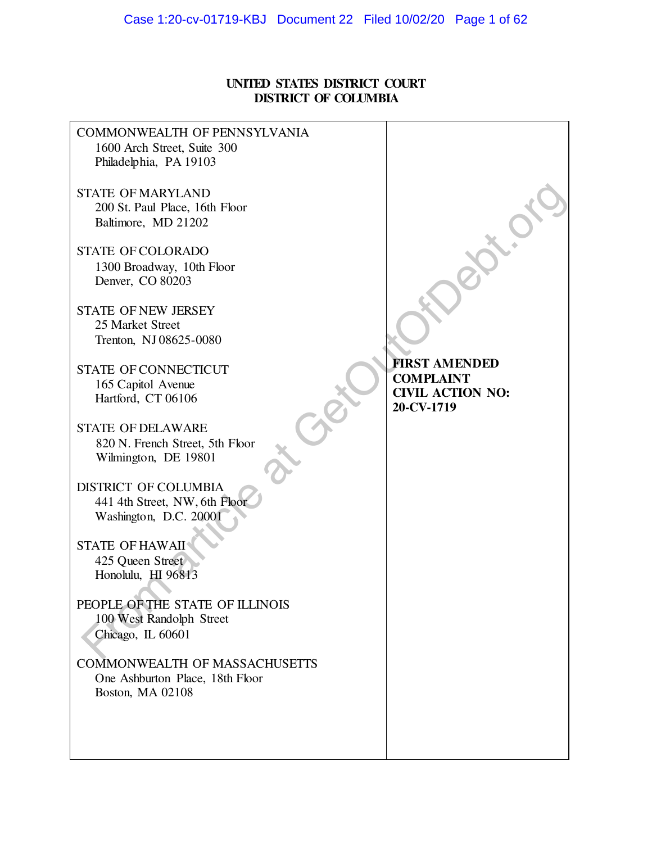# **UNITED STATES DISTRICT COURT DISTRICT OF COLUMBIA**

| <b>COMMONWEALTH OF PENNSYLVANIA</b><br>1600 Arch Street, Suite 300<br>Philadelphia, PA 19103 |                                                                                   |
|----------------------------------------------------------------------------------------------|-----------------------------------------------------------------------------------|
| <b>STATE OF MARYLAND</b><br>200 St. Paul Place, 16th Floor<br>Baltimore, MD 21202            |                                                                                   |
| <b>STATE OF COLORADO</b><br>1300 Broadway, 10th Floor<br>Denver, CO 80203                    |                                                                                   |
| <b>STATE OF NEW JERSEY</b><br>25 Market Street<br>Trenton, NJ 08625-0080                     |                                                                                   |
| <b>STATE OF CONNECTICUT</b><br>165 Capitol Avenue<br>Hartford, CT 06106                      | <b>FIRST AMENDED</b><br><b>COMPLAINT</b><br><b>CIVIL ACTION NO:</b><br>20-CV-1719 |
| <b>STATE OF DELAWARE</b><br>820 N. French Street, 5th Floor<br>Wilmington, DE 19801          |                                                                                   |
| <b>DISTRICT OF COLUMBIA</b><br>441 4th Street, NW, 6th Floor<br>Washington, D.C. 20001       |                                                                                   |
| <b>STATE OF HAWAII</b><br>425 Queen Street<br>Honolulu, HI 96813                             |                                                                                   |
| PEOPLE OF THE STATE OF ILLINOIS<br>100 West Randolph Street<br>Chicago, IL 60601             |                                                                                   |
| <b>COMMONWEALTH OF MASSACHUSETTS</b><br>One Ashburton Place, 18th Floor<br>Boston, MA 02108  |                                                                                   |
|                                                                                              |                                                                                   |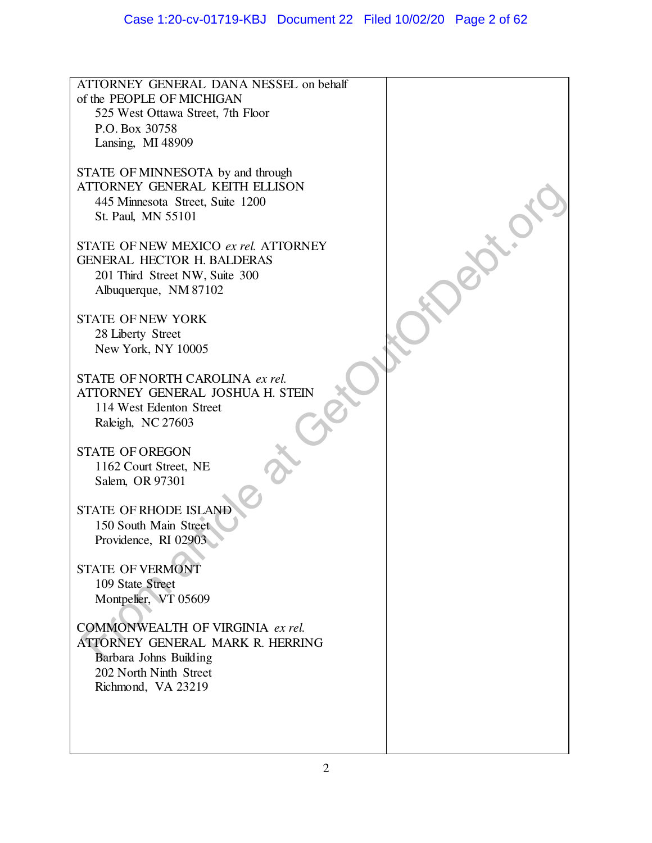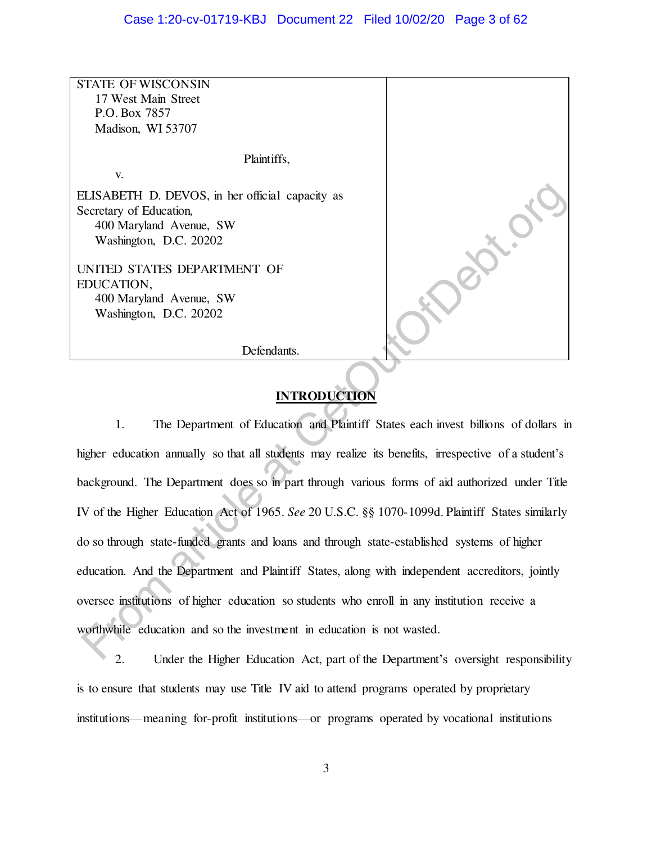## Case 1:20-cv-01719-KBJ Document 22 Filed 10/02/20 Page 3 of 62

STATE OF WISCONSIN 17 West Main Street P.O. Box 7857 Madison, WI 53707 Plaintiffs, v. ELISABETH D. DEVOS, in her official capacity as Secretary of Education*,*  400 Maryland Avenue, SW Washington, D.C. 20202 UNITED STATES DEPARTMENT OF EDUCATION, 400 Maryland Avenue, SW Washington, D.C. 20202 Defendants.

# **INTRODUCTION**

1. The Department of Education and Plaintiff States each invest billions of dollars in higher education annually so that all students may realize its benefits, irrespective of a student's background. The Department does so in part through various forms of aid authorized under Title IV of the Higher Education Act of 1965. *See* 20 U.S.C. §§ 1070-1099d. Plaintiff States similarly do so through state-funded grants and loans and through state-established systems of higher education. And the Department and Plaintiff States, along with independent accreditors, jointly oversee institutions of higher education so students who enroll in any institution receive a worthwhile education and so the investment in education is not wasted. ELISABETH D. DEVOS, in her official capacity as<br>
400 Maryland Avenue, SW<br>
400 Maryland Avenue, SW<br>
Washington, D.C. 20202<br>
2NITED STATES DEPARTMENT OF<br>
400 Maryland Avenue, SW<br>
400 Maryland Avenue, SW<br>
400 Maryland Avenue,

2. Under the Higher Education Act, part of the Department's oversight responsibility is to ensure that students may use Title IV aid to attend programs operated by proprietary institutions—meaning for-profit institutions—or programs operated by vocational institutions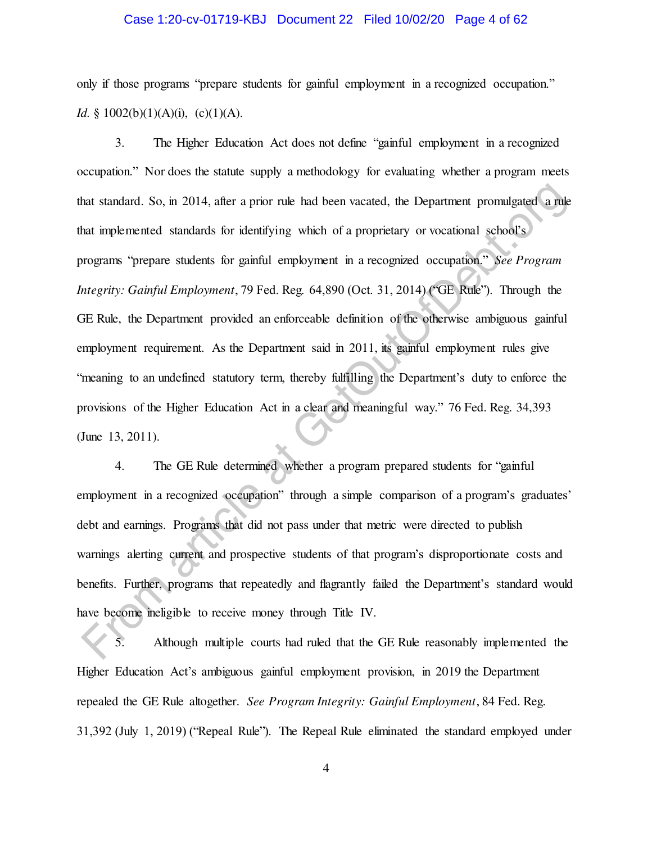## Case 1:20-cv-01719-KBJ Document 22 Filed 10/02/20 Page 4 of 62

only if those programs "prepare students for gainful employment in a recognized occupation." *Id.* § 1002(b)(1)(A)(i), (c)(1)(A).

3. The Higher Education Act does not define "gainful employment in a recognized occupation." Nor does the statute supply a methodology for evaluating whether a program meets that standard. So, in 2014, after a prior rule had been vacated, the Department promulgated a rule that implemented standards for identifying which of a proprietary or vocational school's programs "prepare students for gainful employment in a recognized occupation." *See Program Integrity: Gainful Employment*, 79 Fed. Reg. 64,890 (Oct. 31, 2014) ("GE Rule"). Through the GE Rule, the Department provided an enforceable definition of the otherwise ambiguous gainful employment requirement. As the Department said in 2011, its gainful employment rules give "meaning to an undefined statutory term, thereby fulfilling the Department's duty to enforce the provisions of the Higher Education Act in a clear and meaningful way." 76 Fed. Reg. 34,393 (June 13, 2011). that standard. So, in 2014, after a prior rule had been vacated, the Department promulgated a minimism article at implemented standards for identifying which of a proprietary or vocational school's broganes "prepare studen

4. The GE Rule determined whether a program prepared students for "gainful employment in a recognized occupation" through a simple comparison of a program's graduates' debt and earnings. Programs that did not pass under that metric were directed to publish warnings alerting current and prospective students of that program's disproportionate costs and benefits. Further, programs that repeatedly and flagrantly failed the Department's standard would have become ineligible to receive money through Title IV.

5. Although multiple courts had ruled that the GE Rule reasonably implemented the Higher Education Act's ambiguous gainful employment provision, in 2019 the Department repealed the GE Rule altogether. *See Program Integrity: Gainful Employment*, 84 Fed. Reg. 31,392 (July 1, 2019) ("Repeal Rule"). The Repeal Rule eliminated the standard employed under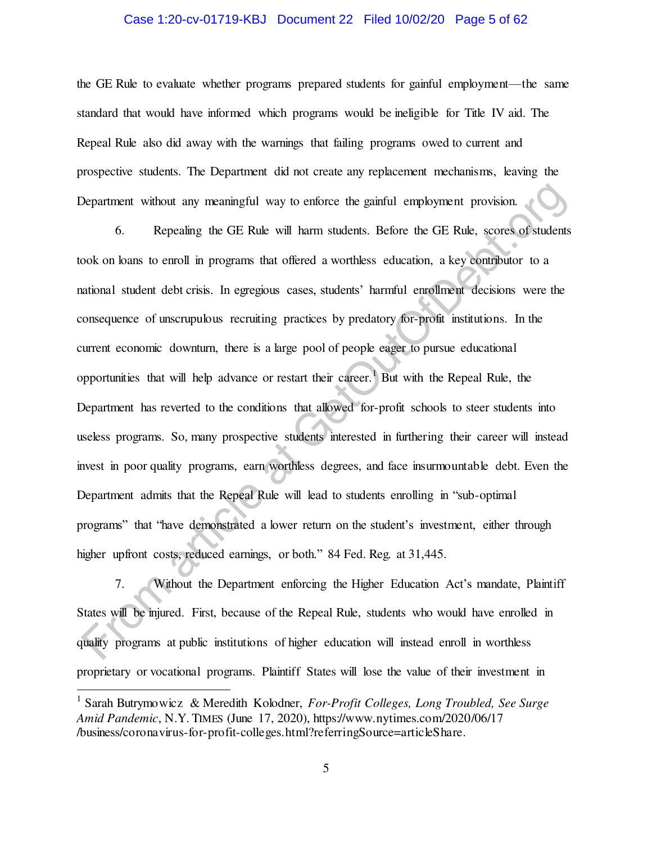## Case 1:20-cv-01719-KBJ Document 22 Filed 10/02/20 Page 5 of 62

the GE Rule to evaluate whether programs prepared students for gainful employment—the same standard that would have informed which programs would be ineligible for Title IV aid. The Repeal Rule also did away with the warnings that failing programs owed to current and prospective students. The Department did not create any replacement mechanisms, leaving the Department without any meaningful way to enforce the gainful employment provision.

<span id="page-4-0"></span>6. Repealing the GE Rule will harm students. Before the GE Rule, scores of students took on loans to enroll in programs that offered a worthless education, a key contributor to a national student debt crisis. In egregious cases, students' harmful enrollment decisions were the consequence of unscrupulous recruiting practices by predatory for-profit institutions. In the current economic downturn, there is a large pool of people eager to pursue educational opportunities that will help advance or restart their career.<sup>1</sup> But with the Repeal Rule, the Department has reverted to the conditions that allowed for-profit schools to steer students into useless programs. So, many prospective students interested in furthering their career will instead invest in poor quality programs, earn worthless degrees, and face insurmountable debt. Even the Department admits that the Repeal Rule will lead to students enrolling in "sub-optimal programs" that "have demonstrated a lower return on the student's investment, either through higher upfront costs, reduced earnings, or both." 84 Fed. Reg*.* at 31,445. Department without any meaningful way to enforce the gainful employment provision.<br>
6. Repealing the GE Rule will harm students. Before the GE Rule, scores of students<br>
cook on loans to enroll in programs that offered a wo

7. Without the Department enforcing the Higher Education Act's mandate, Plaintiff States will be injured. First, because of the Repeal Rule, students who would have enrolled in quality programs at public institutions of higher education will instead enroll in worthless proprietary or vocational programs. Plaintiff States will lose the value of their investment in

<sup>&</sup>lt;sup>1</sup> Sarah Butrymowicz & Meredith Kolodner, *For-Profit Colleges, Long Troubled, See Surge Amid Pandemic*, N.Y. TIMES (June 17, 2020), https://www.nytimes.com/2020/06/17 /business/coronavirus-for-profit-colleges.html?referringSource=articleShare.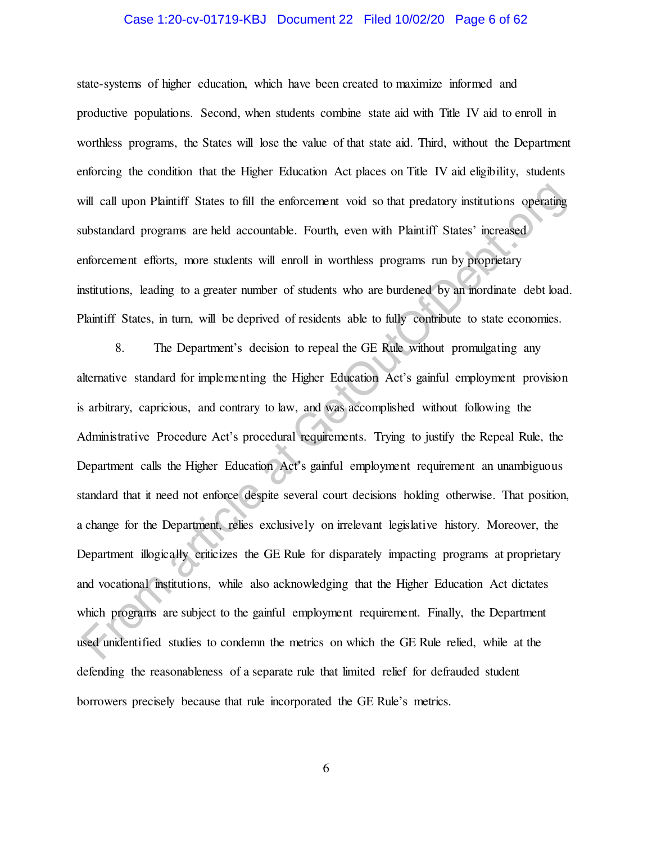#### Case 1:20-cv-01719-KBJ Document 22 Filed 10/02/20 Page 6 of 62

state-systems of higher education, which have been created to maximize informed and productive populations. Second, when students combine state aid with Title IV aid to enroll in worthless programs, the States will lose the value of that state aid. Third, without the Department enforcing the condition that the Higher Education Act places on Title IV aid eligibility, students will call upon Plaintiff States to fill the enforcement void so that predatory institutions operating substandard programs are held accountable. Fourth, even with Plaintiff States' increased enforcement efforts, more students will enroll in worthless programs run by proprietary institutions, leading to a greater number of students who are burdened by an inordinate debt load. Plaintiff States, in turn, will be deprived of residents able to fully contribute to state economies.

8. The Department's decision to repeal the GE Rule without promulgating any alternative standard for implementing the Higher Education Act's gainful employment provision is arbitrary, capricious, and contrary to law, and was accomplished without following the Administrative Procedure Act's procedural requirements. Trying to justify the Repeal Rule, the Department calls the Higher Education Act's gainful employment requirement an unambiguous standard that it need not enforce despite several court decisions holding otherwise. That position, a change for the Department, relies exclusively on irrelevant legislative history. Moreover, the Department illogically criticizes the GE Rule for disparately impacting programs at proprietary and vocational institutions, while also acknowledging that the Higher Education Act dictates which programs are subject to the gainful employment requirement. Finally, the Department used unidentified studies to condemn the metrics on which the GE Rule relied, while at the defending the reasonableness of a separate rule that limited relief for defrauded student borrowers precisely because that rule incorporated the GE Rule's metrics. will call upon Plaintiff States to fill the enforcement void so that predatory institutions operating<br>ubstandard programs are held accountable. Fourth, even with Plaintiff States' increased<br>ubstandard programs are held acc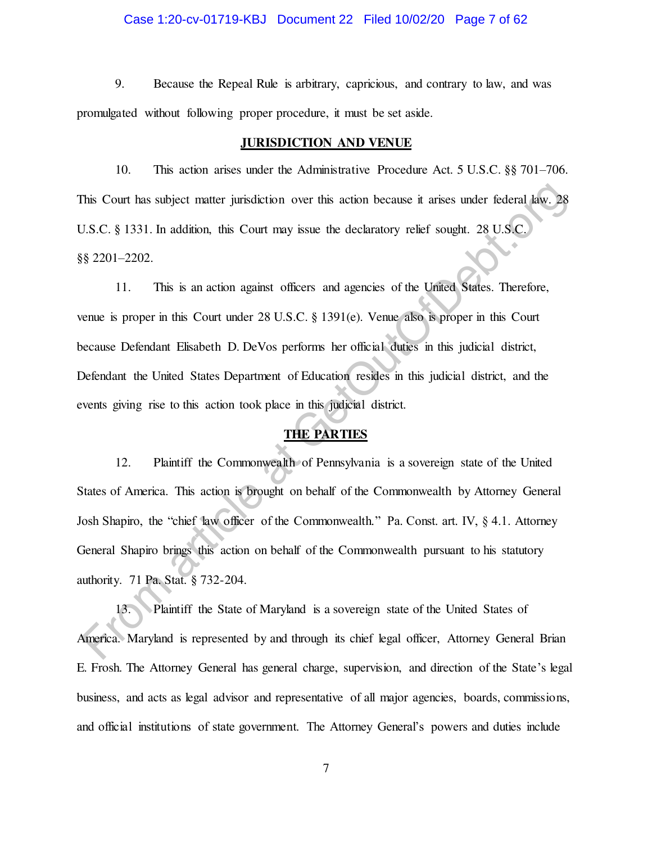## Case 1:20-cv-01719-KBJ Document 22 Filed 10/02/20 Page 7 of 62

9. Because the Repeal Rule is arbitrary, capricious, and contrary to law, and was promulgated without following proper procedure, it must be set aside.

## **JURISDICTION AND VENUE**

10. This action arises under the Administrative Procedure Act. 5 U.S.C. §§ 701–706. This Court has subject matter jurisdiction over this action because it arises under federal law. 28 U.S.C. § 1331. In addition, this Court may issue the declaratory relief sought. 28 U.S.C. §§ 2201–2202.

11. This is an action against officers and agencies of the United States. Therefore, venue is proper in this Court under 28 U.S.C. § 1391(e). Venue also is proper in this Court because Defendant Elisabeth D. DeVos performs her official duties in this judicial district, Defendant the United States Department of Education resides in this judicial district, and the events giving rise to this action took place in this judicial district.

# **THE PARTIES**

12. Plaintiff the Commonwealth of Pennsylvania is a sovereign state of the United States of America. This action is brought on behalf of the Commonwealth by Attorney General Josh Shapiro, the "chief law officer of the Commonwealth." Pa. Const. art. IV, § 4.1. Attorney General Shapiro brings this action on behalf of the Commonwealth pursuant to his statutory authority. 71 Pa. Stat. § 732-204. This Court has subject matter jurisdiction over this action because it arises under federal kiw. 28<br>
U.S.C. § 1331. In addition, this Court may issue the declaratory relief sought. 28 U.S.C.<br>
8 2201–2202.<br>
11. This is an a

13. Plaintiff the State of Maryland is a sovereign state of the United States of America. Maryland is represented by and through its chief legal officer, Attorney General Brian E. Frosh. The Attorney General has general charge, supervision, and direction of the State's legal business, and acts as legal advisor and representative of all major agencies, boards, commissions, and official institutions of state government. The Attorney General's powers and duties include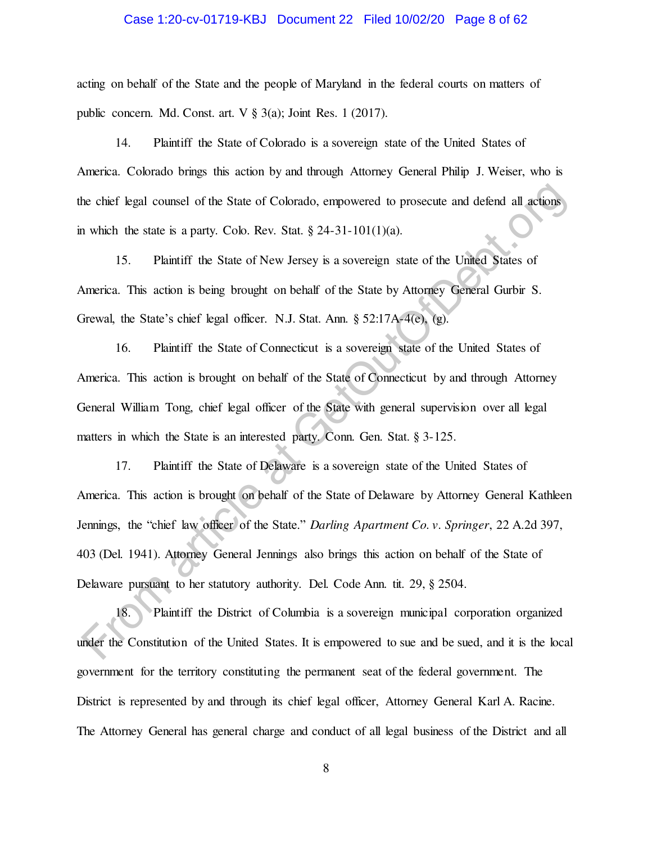#### Case 1:20-cv-01719-KBJ Document 22 Filed 10/02/20 Page 8 of 62

acting on behalf of the State and the people of Maryland in the federal courts on matters of public concern. Md. Const. art.  $V \S$  3(a); Joint Res. 1 (2017).

14. Plaintiff the State of Colorado is a sovereign state of the United States of America. Colorado brings this action by and through Attorney General Philip J. Weiser, who is the chief legal counsel of the State of Colorado, empowered to prosecute and defend all actions in which the state is a party. Colo. Rev. Stat.  $\S$  24-31-101(1)(a).

15. Plaintiff the State of New Jersey is a sovereign state of the United States of America. This action is being brought on behalf of the State by Attorney General Gurbir S. Grewal, the State's chief legal officer. N.J. Stat. Ann. § 52:17A-4(e), (g).

16. Plaintiff the State of Connecticut is a sovereign state of the United States of America. This action is brought on behalf of the State of Connecticut by and through Attorney General William Tong, chief legal officer of the State with general supervision over all legal matters in which the State is an interested party. Conn. Gen. Stat. § 3-125.

17. Plaintiff the State of Delaware is a sovereign state of the United States of America. This action is brought on behalf of the State of Delaware by Attorney General Kathleen Jennings, the "chief law officer of the State." *Darling Apartment Co. v. Springer*, 22 A.2d 397, 403 (Del. 1941). Attorney General Jennings also brings this action on behalf of the State of Delaware pursuant to her statutory authority. Del. Code Ann. tit. 29, § 2504. the chief legal counsel of the State of Colorado, empowered to prosecute and defend all actions<br>n which the state is a party. Colo. Rev. Stat. § 24-31-101(1)(a).<br>15. Phintiff the State of New Jersey is a sovereign state o

18. Plaintiff the District of Columbia is a sovereign municipal corporation organized under the Constitution of the United States. It is empowered to sue and be sued, and it is the local government for the territory constituting the permanent seat of the federal government. The District is represented by and through its chief legal officer, Attorney General Karl A. Racine. The Attorney General has general charge and conduct of all legal business of the District and all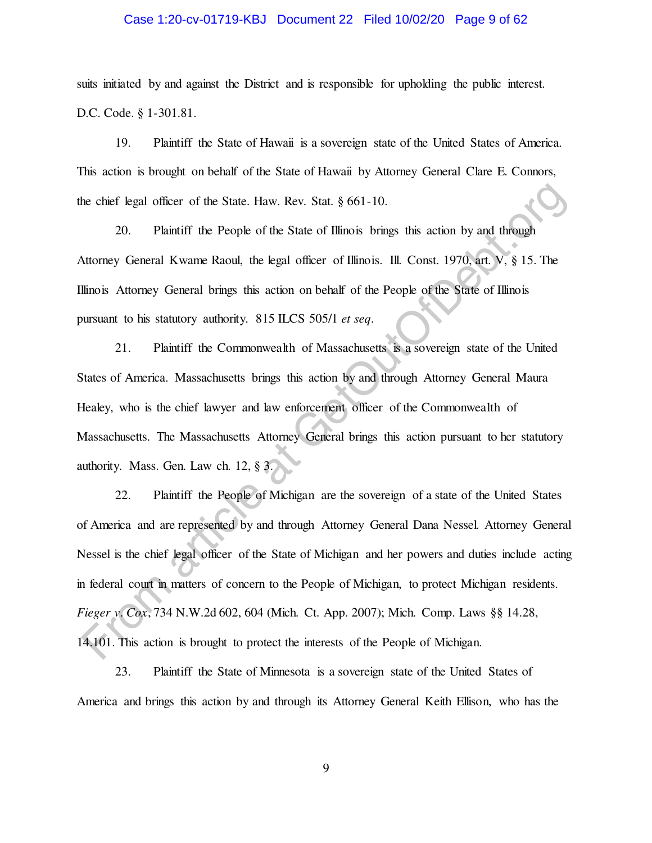#### Case 1:20-cv-01719-KBJ Document 22 Filed 10/02/20 Page 9 of 62

suits initiated by and against the District and is responsible for upholding the public interest. D.C. Code. § 1-301.81.

19. Plaintiff the State of Hawaii is a sovereign state of the United States of America. This action is brought on behalf of the State of Hawaii by Attorney General Clare E. Connors, the chief legal officer of the State. Haw. Rev. Stat. § 661-10.

20. Plaintiff the People of the State of Illinois brings this action by and through Attorney General Kwame Raoul, the legal officer of Illinois. Ill. Const. 1970, art. V, § 15. The Illinois Attorney General brings this action on behalf of the People of the State of Illinois pursuant to his statutory authority. 815 ILCS 505/1 *et seq*.

21. Plaintiff the Commonwealth of Massachusetts is a sovereign state of the United States of America. Massachusetts brings this action by and through Attorney General Maura Healey, who is the chief lawyer and law enforcement officer of the Commonwealth of Massachusetts. The Massachusetts Attorney General brings this action pursuant to her statutory authority. Mass. Gen. Law ch. 12, § 3.

22. Plaintiff the People of Michigan are the sovereign of a state of the United States of America and are represented by and through Attorney General Dana Nessel. Attorney General Nessel is the chief legal officer of the State of Michigan and her powers and duties include acting in federal court in matters of concern to the People of Michigan, to protect Michigan residents. *Fieger v. Cox*, 734 N.W.2d 602, 604 (Mich. Ct. App. 2007); Mich. Comp. Laws §§ 14.28, 14.101. This action is brought to protect the interests of the People of Michigan. The chief legal officer of the State. Haw. Rev. Stat. § 661-10.<br>
20. Plaintiff the People of the State of Illinois brings this action by and through<br>
Attomey General Kwame Raoul, the legal officer of Illinois. Ill. Const.

23. Plaintiff the State of Minnesota is a sovereign state of the United States of America and brings this action by and through its Attorney General Keith Ellison, who has the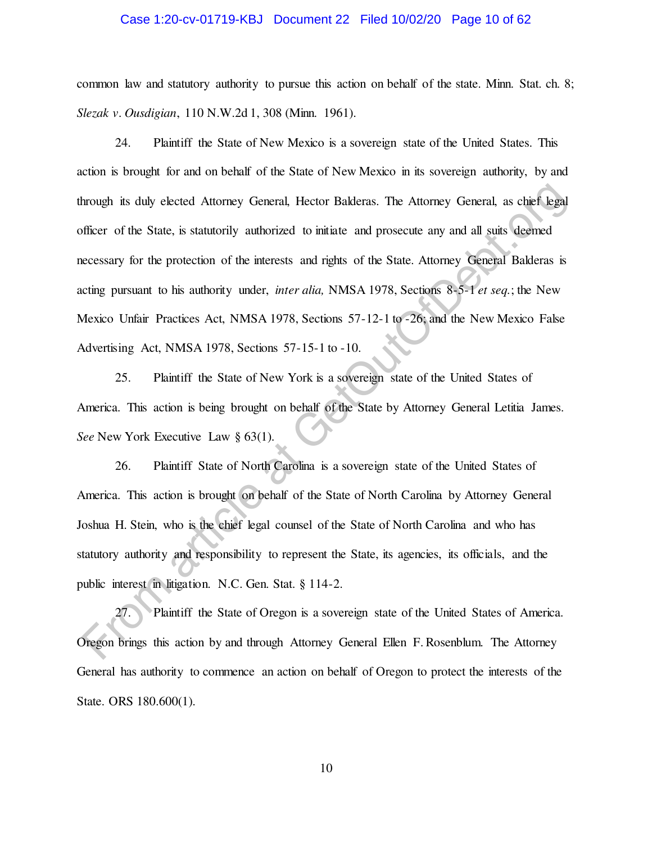#### Case 1:20-cv-01719-KBJ Document 22 Filed 10/02/20 Page 10 of 62

common law and statutory authority to pursue this action on behalf of the state. Minn. Stat. ch. 8; *Slezak v. Ousdigian*, 110 N.W.2d 1, 308 (Minn. 1961).

24. Plaintiff the State of New Mexico is a sovereign state of the United States. This action is brought for and on behalf of the State of New Mexico in its sovereign authority, by and through its duly elected Attorney General, Hector Balderas. The Attorney General, as chief legal officer of the State, is statutorily authorized to initiate and prosecute any and all suits deemed necessary for the protection of the interests and rights of the State. Attorney General Balderas is acting pursuant to his authority under, *inter alia,* NMSA 1978, Sections 8-5-1 *et seq.*; the New Mexico Unfair Practices Act, NMSA 1978, Sections 57-12-1 to -26; and the New Mexico False Advertising Act, NMSA 1978, Sections 57-15-1 to -10. through its duly elected Attorney General, Hector Balderas. The Attorney General, as chief leads<br>officer of the State, is statutorily authorized to initiate and prosecute any and all suits deelmed<br>ecessary for the protecti

25. Plaintiff the State of New York is a sovereign state of the United States of America. This action is being brought on behalf of the State by Attorney General Letitia James. *See* New York Executive Law § 63(1).

26. Plaintiff State of North Carolina is a sovereign state of the United States of America. This action is brought on behalf of the State of North Carolina by Attorney General Joshua H. Stein, who is the chief legal counsel of the State of North Carolina and who has statutory authority and responsibility to represent the State, its agencies, its officials, and the public interest in litigation. N.C. Gen. Stat. § 114-2.

27. Plaintiff the State of Oregon is a sovereign state of the United States of America. Oregon brings this action by and through Attorney General Ellen F. Rosenblum. The Attorney General has authority to commence an action on behalf of Oregon to protect the interests of the State. ORS 180.600(1).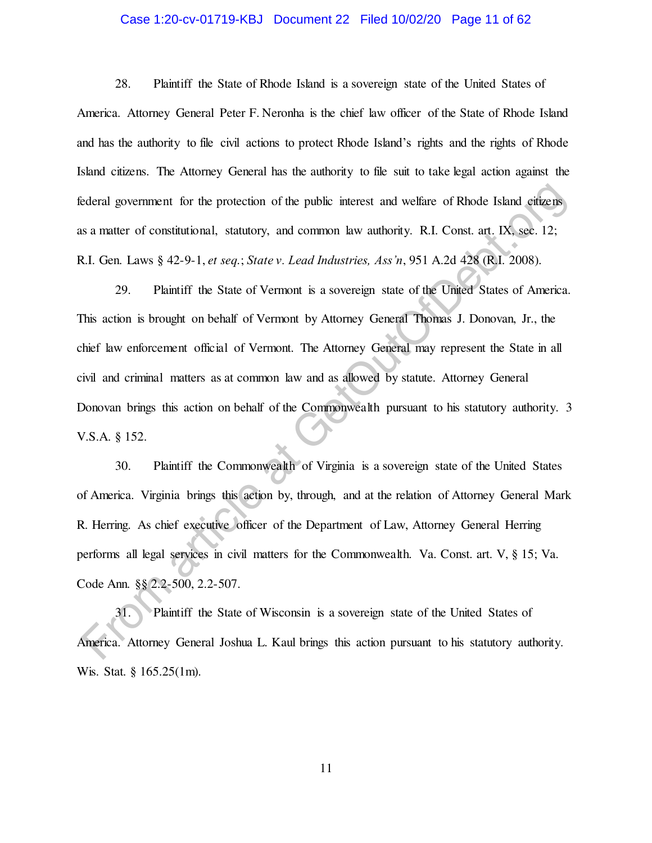### Case 1:20-cv-01719-KBJ Document 22 Filed 10/02/20 Page 11 of 62

28. Plaintiff the State of Rhode Island is a sovereign state of the United States of America. Attorney General Peter F. Neronha is the chief law officer of the State of Rhode Island and has the authority to file civil actions to protect Rhode Island's rights and the rights of Rhode Island citizens. The Attorney General has the authority to file suit to take legal action against the federal government for the protection of the public interest and welfare of Rhode Island citizens as a matter of constitutional, statutory, and common law authority. R.I. Const. art. IX, sec. 12; R.I. Gen. Laws § 42-9-1, *et seq.*; *State v. Lead Industries, Ass'n*, 951 A.2d 428 (R.I. 2008).

29. Plaintiff the State of Vermont is a sovereign state of the United States of America. This action is brought on behalf of Vermont by Attorney General Thomas J. Donovan, Jr., the chief law enforcement official of Vermont. The Attorney General may represent the State in all civil and criminal matters as at common law and as allowed by statute. Attorney General Donovan brings this action on behalf of the Commonwealth pursuant to his statutory authority. 3 V.S.A. § 152. Exercise at the protection of the public interest and welfare of Rhode Island officeries<br>
as a matter of constitutional, statutory, and common law authority. R.I. Const. art. IX, sec. 12;<br>
8.1. Gen. Laws § 42-9-1, et seq.:

30. Plaintiff the Commonwealth of Virginia is a sovereign state of the United States of America. Virginia brings this action by, through, and at the relation of Attorney General Mark R. Herring. As chief executive officer of the Department of Law, Attorney General Herring performs all legal services in civil matters for the Commonwealth. Va. Const. art. V, § 15; Va. Code Ann. §§ 2.2-500, 2.2-507.

31. Plaintiff the State of Wisconsin is a sovereign state of the United States of America. Attorney General Joshua L. Kaul brings this action pursuant to his statutory authority. Wis. Stat. § 165.25(1m).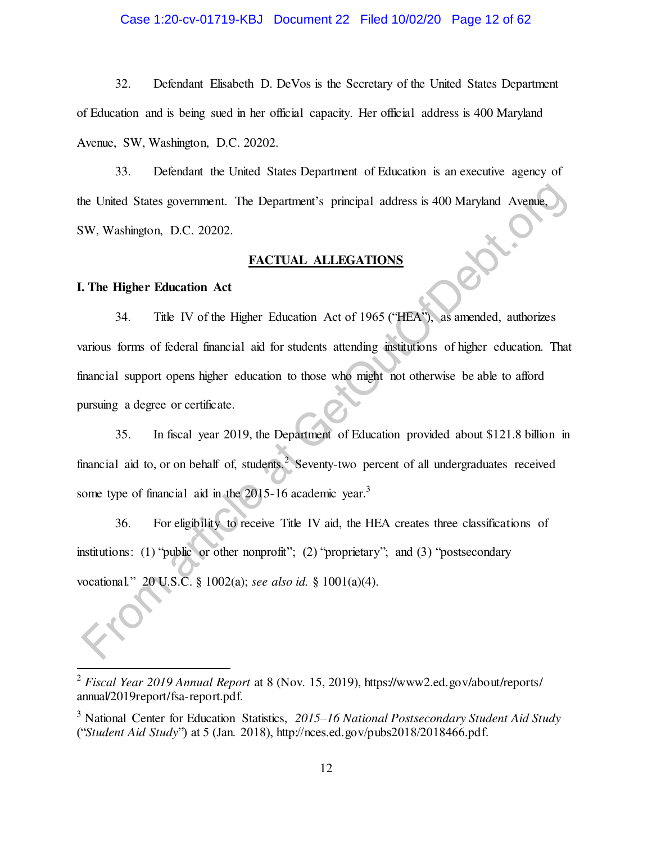## Case 1:20-cv-01719-KBJ Document 22 Filed 10/02/20 Page 12 of 62

32. Defendant Elisabeth D. DeVos is the Secretary of the United States Department of Education and is being sued in her official capacity. Her official address is 400 Maryland Avenue, SW, Washington, D.C. 20202.

33. Defendant the United States Department of Education is an executive agency of the United States government. The Department's principal address is 400 Maryland Avenue, SW, Washington, D.C. 20202.

# <span id="page-11-0"></span>**FACTUAL ALLEGATIONS**

# **I. The Higher Education Act**

 $\overline{a}$ 

34. Title IV of the Higher Education Act of 1965 ("HEA"), as amended, authorizes various forms of federal financial aid for students attending institutions of higher education. That financial support opens higher education to those who might not otherwise be able to afford pursuing a degree or certificate. FROM States government. The Department's principal address is 400 Maryland Avenue.<br>
FROM W. Washington, D.C. 20202.<br>
FROM This Higher Education Act<br>
34. The Hyper Education Act<br>
36. The Higher Falucation Act of 1965 ("HEA"

35. In fiscal year 2019, the Department of Education provided about \$121.8 billion in financial aid to, or on behalf of, students.<sup>2</sup> Seventy-two percent of all undergraduates received some type of financial aid in the  $2015-16$  academic year.<sup>3</sup>

36. For eligibility to receive Title IV aid, the HEA creates three classifications of institutions: (1) "public or other nonprofit"; (2) "proprietary"; and (3) "postsecondary" vocational." 20 U.S.C. § 1002(a); *see also id.* § 1001(a)(4).

<sup>2</sup> *Fiscal Year 2019 Annual Report* at 8 (Nov. 15, 2019), https://www2.ed.gov/about/reports/ annual/2019report/fsa-report.pdf.

<sup>3</sup> National Center for Education Statistics, *2015–16 National Postsecondary Student Aid Study* ("*Student Aid Study*") at 5 (Jan. 2018), http://nces.ed.gov/pubs2018/2018466.pdf.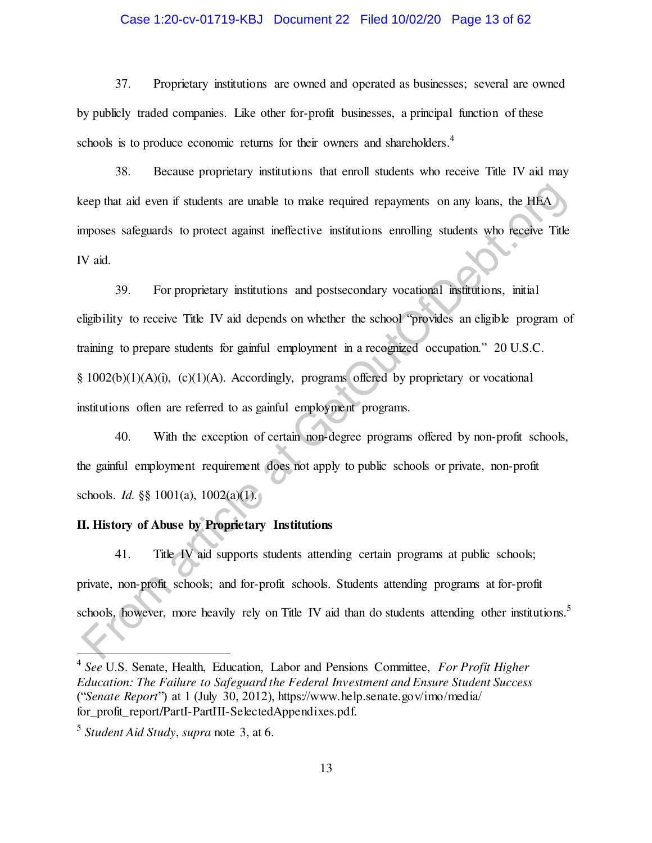## <span id="page-12-0"></span>Case 1:20-cv-01719-KBJ Document 22 Filed 10/02/20 Page 13 of 62

37. Proprietary institutions are owned and operated as businesses; several are owned by publicly traded companies. Like other for-profit businesses, a principal function of these schools is to produce economic returns for their owners and shareholders.<sup>4</sup>

38. Because proprietary institutions that enroll students who receive Title IV aid may keep that aid even if students are unable to make required repayments on any loans, the HEA imposes safeguards to protect against ineffective institutions enrolling students who receive Title IV aid.

39. For proprietary institutions and postsecondary vocational institutions, initial eligibility to receive Title IV aid depends on whether the school "provides an eligible program of training to prepare students for gainful employment in a recognized occupation." 20 U.S.C. § 1002(b)(1)(A)(i), (c)(1)(A). Accordingly, programs offered by proprietary or vocational institutions often are referred to as gainful employment programs. Examples and wen if students are unable to make required repayments on any loans, the HEA<br>
From article at GetOutom article in the method of methods, which readed<br>
The V aid.<br>
39. For proprietary institutions and postsecon

40. With the exception of certain non-degree programs offered by non-profit schools, the gainful employment requirement does not apply to public schools or private, non-profit schools. *Id.* §§ 1001(a), 1002(a)(1).

# **II. History of Abuse by Proprietary Institutions**

41. Title IV aid supports students attending certain programs at public schools; private, non-profit schools; and for-profit schools. Students attending programs at for-profit schools, however, more heavily rely on Title IV aid than do students attending other institutions.<sup>5</sup>

<sup>4</sup> *See* U.S. Senate, Health, Education, Labor and Pensions Committee, *For Profit Higher Education: The Failure to Safeguard the Federal Investment and Ensure Student Success*  ("*Senate Report*") at 1 (July 30, 2012), https://www.help.senate.gov/imo/media/ for\_profit\_report/PartI-PartIII-SelectedAppendixes.pdf.

<sup>5</sup> *Student Aid Study*, *supra* note [3,](#page-11-0) at 6.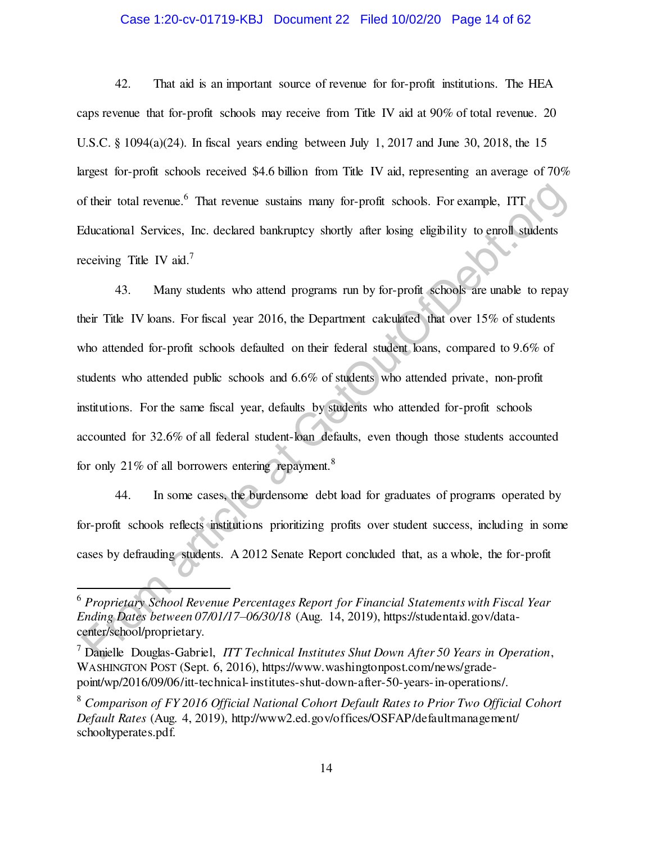# Case 1:20-cv-01719-KBJ Document 22 Filed 10/02/20 Page 14 of 62

42. That aid is an important source of revenue for for-profit institutions. The HEA caps revenue that for-profit schools may receive from Title IV aid at 90% of total revenue. 20 U.S.C. § 1094(a)(24). In fiscal years ending between July 1, 2017 and June 30, 2018, the 15 largest for-profit schools received \$4.6 billion from Title IV aid, representing an average of  $70\%$ of their total revenue.<sup>6</sup> That revenue sustains many for-profit schools. For example, ITT Educational Services, Inc. declared bankruptcy shortly after losing eligibility to enroll students receiving Title IV aid.<sup>7</sup>

43. Many students who attend programs run by for-profit schools are unable to repay their Title IV loans. For fiscal year 2016, the Department calculated that over 15% of students who attended for-profit schools defaulted on their federal student loans, compared to 9.6% of students who attended public schools and 6.6% of students who attended private, non-profit institutions. For the same fiscal year, defaults by students who attended for-profit schools accounted for 32.6% of all federal student-loan defaults, even though those students accounted for only  $21\%$  of all borrowers entering repayment.<sup>8</sup> of their total revenue.<sup>6</sup> That revenue sustains many for-profit schools. For example, FIT contractional Services, Inc. declared bankruptcy shortly after hosing eligibility to enroll students<br>eceiving The IV att.<sup>7</sup><br>43. Ma

<span id="page-13-0"></span>44. In some cases, the burdensome debt load for graduates of programs operated by for-profit schools reflects institutions prioritizing profits over student success, including in some cases by defrauding students. A 2012 Senate Report concluded that, as a whole, the for-profit

<sup>6</sup> *Proprietary School Revenue Percentages Report for Financial Statements with Fiscal Year Ending Dates between 07/01/17–06/30/18* (Aug. 14, 2019), https://studentaid.gov/datacenter/school/proprietary.

<sup>7</sup> Danielle Douglas-Gabriel, *ITT Technical Institutes Shut Down After 50 Years in Operation*, WASHINGTON POST (Sept. 6, 2016), [https://www.washingtonpost.com/news/grade](https://www.washingtonpost.com/news/grade-point/wp/2016/09/06/itt-technical-institutes-shut-down-after-50-years-in-operations/)[point/wp/2016/09/06/itt-technical-institutes-shut-down-after-50-years-in-operations/.](https://www.washingtonpost.com/news/grade-point/wp/2016/09/06/itt-technical-institutes-shut-down-after-50-years-in-operations/) 

<sup>8</sup> *Comparison of FY 2016 Official National Cohort Default Rates to Prior Two Official Cohort Default Rates* (Aug. 4, 2019), http://www2.ed.gov/offices/OSFAP/defaultmanagement/ schooltyperates.pdf.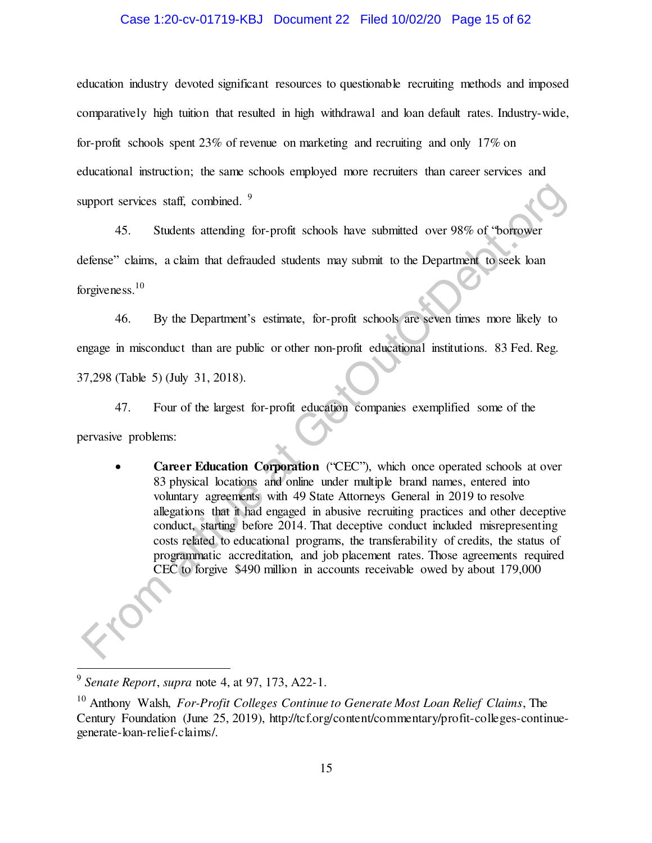## Case 1:20-cv-01719-KBJ Document 22 Filed 10/02/20 Page 15 of 62

education industry devoted significant resources to questionable recruiting methods and imposed comparatively high tuition that resulted in high withdrawal and loan default rates. Industry-wide, for-profit schools spent 23% of revenue on marketing and recruiting and only 17% on educational instruction; the same schools employed more recruiters than career services and support services staff, combined.  $9$ 

45. Students attending for-profit schools have submitted over 98% of "borrower defense" claims, a claim that defrauded students may submit to the Department to seek loan forgiveness. $10$ 

46. By the Department's estimate, for-profit schools are seven times more likely to engage in misconduct than are public or other non-profit educational institutions. 83 Fed. Reg. 37,298 (Table 5) (July 31, 2018).

47. Four of the largest for-profit education companies exemplified some of the pervasive problems:

 **Career Education Corporation** ("CEC"), which once operated schools at over 83 physical locations and online under multiple brand names, entered into voluntary agreements with 49 State Attorneys General in 2019 to resolve allegations that it had engaged in abusive recruiting practices and other deceptive conduct, starting before 2014. That deceptive conduct included misrepresenting costs related to educational programs, the transferability of credits, the status of programmatic accreditation, and job placement rates. Those agreements required CEC to forgive \$490 million in accounts receivable owed by about 179,000 upport services staff, combined. <sup>9</sup><br>45. Students attending for-profit schook have submitted over 98% of "borrower"<br>defense" claims, a claim that defrauded students may submit to the Department to seek ban<br>orgiveness.<sup>10</sup><br>

<sup>9</sup> *Senate Report*, *supra* note [4,](#page-12-0) at 97, 173, A22-1.

<sup>10</sup> Anthony Walsh, *For-Profit Colleges Continue to Generate Most Loan Relief Claims*, The Century Foundation (June 25, 2019), http://tcf.org/content/commentary/profit-colleges-continuegenerate-loan-relief-claims/.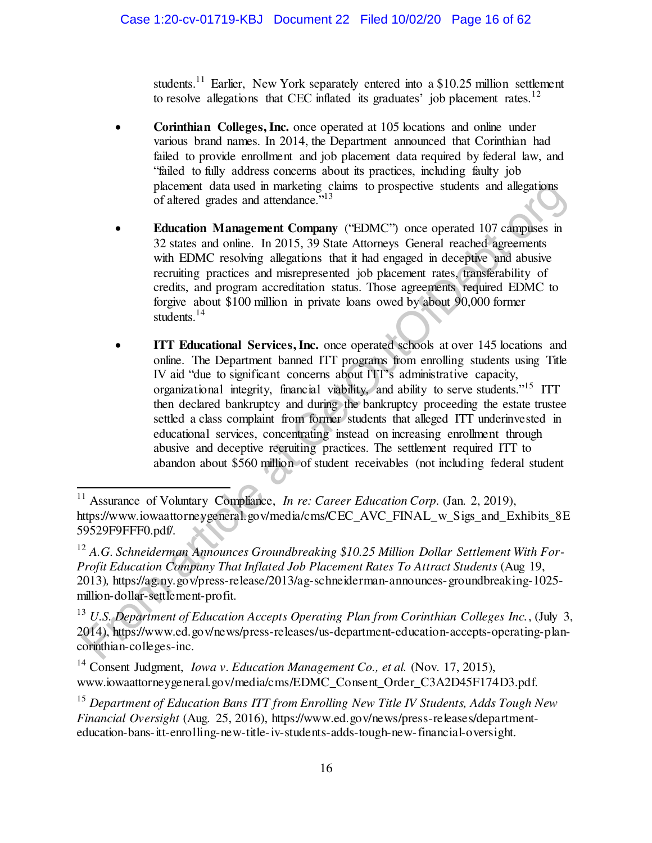students.<sup>11</sup> Earlier, New York separately entered into a \$10.25 million settlement to resolve allegations that CEC inflated its graduates' job placement rates.<sup>12</sup>

- **Corinthian Colleges, Inc.** once operated at 105 locations and online under various brand names. In 2014, the Department announced that Corinthian had failed to provide enrollment and job placement data required by federal law, and "failed to fully address concerns about its practices, including faulty job placement data used in marketing claims to prospective students and allegations of altered grades and attendance."<sup>13</sup>
- **Education Management Company** ("EDMC") once operated 107 campuses in 32 states and online. In 2015, 39 State Attorneys General reached agreements with EDMC resolving allegations that it had engaged in deceptive and abusive recruiting practices and misrepresented job placement rates, transferability of credits, and program accreditation status. Those agreements required EDMC to forgive about \$100 million in private loans owed by about 90,000 former students.<sup>14</sup>
- **ITT Educational Services, Inc.** once operated schools at over 145 locations and online. The Department banned ITT programs from enrolling students using Title IV aid "due to significant concerns about ITT's administrative capacity, organizational integrity, financial viability, and ability to serve students."<sup>15</sup> ITT then declared bankruptcy and during the bankruptcy proceeding the estate trustee settled a class complaint from former students that alleged ITT underinvested in educational services, concentrating instead on increasing enrollment through abusive and deceptive recruiting practices. The settlement required ITT to abandon about \$560 million of student receivables (not including federal student placement data used in marketing calins to prospective students and allegations<br>of ahered grades and attendance.<sup>543</sup><br>**Education Management Company** ("EDMC") once operated 107 campuses in<br>32 states and online. In 2015, 39

 $\overline{a}$ <sup>11</sup> Assurance of Voluntary Compliance, *In re: Career Education Corp.* (Jan. 2, 2019), https://www.iowaattorneygeneral.gov/media/cms/CEC\_AVC\_FINAL\_w\_Sigs\_and\_Exhibits\_8E 59529F9FFF0.pdf/.

<sup>12</sup> *A.G. Schneiderman Announces Groundbreaking \$10.25 Million Dollar Settlement With For-Profit Education Company That Inflated Job Placement Rates To Attract Students* (Aug 19, 2013)*,* https://ag.ny.gov/press-release/2013/ag-schneiderman-announces-groundbreaking-1025 million-dollar-settlement-profit.

<sup>13</sup> *U.S. Department of Education Accepts Operating Plan from Corinthian Colleges Inc.*, (July 3, 2014), https://www.ed.gov/news/press-releases/us-department-education-accepts-operating-plancorinthian-colleges-inc.

<sup>14</sup> Consent Judgment, *Iowa v. Education Management Co., et al.* (Nov. 17, 2015), www.iowaattorneygeneral.gov/media/cms/EDMC\_Consent\_Order\_C3A2D45F174D3.pdf.

<sup>15</sup> *Department of Education Bans ITT from Enrolling New Title IV Students, Adds Tough New Financial Oversight* (Aug. 25, 2016), https://www.ed.gov/news/press-releases/departmenteducation-bans-itt-enrolling-new-title-iv-students-adds-tough-new-financial-oversight.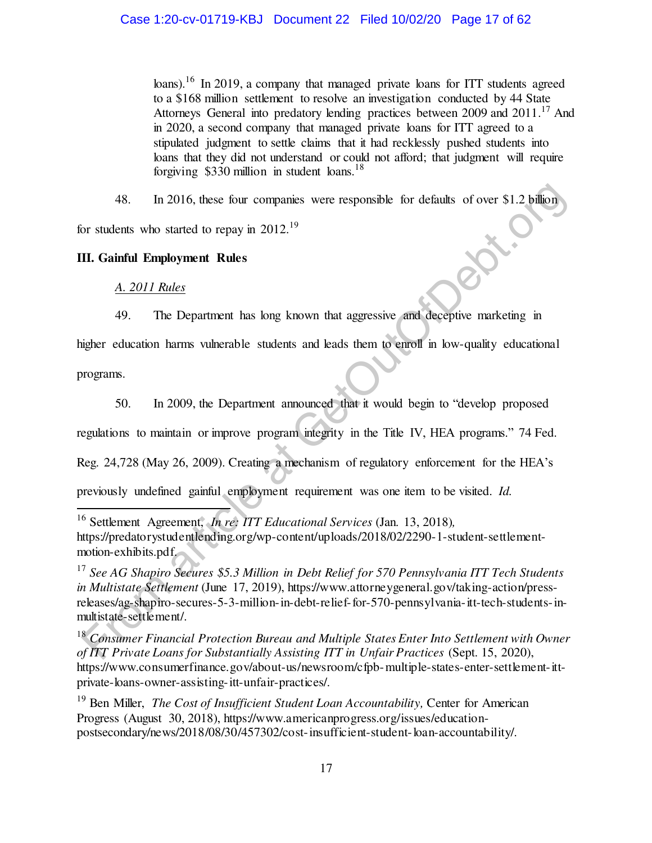loans).<sup>16</sup> In 2019, a company that managed private loans for ITT students agreed to a \$168 million settlement to resolve an investigation conducted by 44 State Attorneys General into predatory lending practices between 2009 and  $2011$ <sup>17</sup> And in 2020, a second company that managed private loans for ITT agreed to a stipulated judgment to settle claims that it had recklessly pushed students into loans that they did not understand or could not afford; that judgment will require forgiving  $$330$  million in student loans.<sup>18</sup>

48. In 2016, these four companies were responsible for defaults of over \$1.2 billion

for students who started to repay in  $2012.<sup>19</sup>$ 

# **III. Gainful Employment Rules**

# *A. 2011 Rules*

49. The Department has long known that aggressive and deceptive marketing in

higher education harms vulnerable students and leads them to enroll in low-quality educational

programs.

50. In 2009, the Department announced that it would begin to "develop proposed

regulations to maintain or improve program integrity in the Title IV, HEA programs." 74 Fed.

Reg. 24,728 (May 26, 2009). Creating a mechanism of regulatory enforcement for the HEA's

previously undefined gainful employment requirement was one item to be visited. *Id.*

 $\overline{a}$ <sup>16</sup> Settlement Agreement, *In re: ITT Educational Services* (Jan. 13, 2018)*,*  https://predatorystudentlending.org/wp-content/uploads/2018/02/2290-1-student-settlementmotion-exhibits.pdf.

<sup>17</sup> *See AG Shapiro Secures \$5.3 Million in Debt Relief for 570 Pennsylvania ITT Tech Students in Multistate Settlement* (June 17, 2019), https://www.attorneygeneral.gov/taking-action/pressreleases/ag-shapiro-secures-5-3-million-in-debt-relief-for-570-pennsylvania-itt-tech-students-inmultistate-settlement/. 48. In 2016, these four companies were responsible for defaults of over \$1.2 billion<br>for students who started to repay in 2012.<sup>19</sup><br>IL Gainful Employment Rules<br>4. 2011 Rules<br>49. The Department has long known that aggressi

<sup>18</sup> *Consumer Financial Protection Bureau and Multiple States Enter Into Settlement with Owner of ITT Private Loans for Substantially Assisting ITT in Unfair Practices* (Sept. 15, 2020), https://www.consumerfinance.gov/about-us/newsroom/cfpb-multiple-states-enter-settlement-ittprivate-loans-owner-assisting-itt-unfair-practices/.

<sup>19</sup> Ben Miller, *The Cost of Insufficient Student Loan Accountability,* Center for American Progress (August 30, 2018), https://www.americanprogress.org/issues/educationpostsecondary/news/2018/08/30/457302/cost-insufficient-student-loan-accountability/.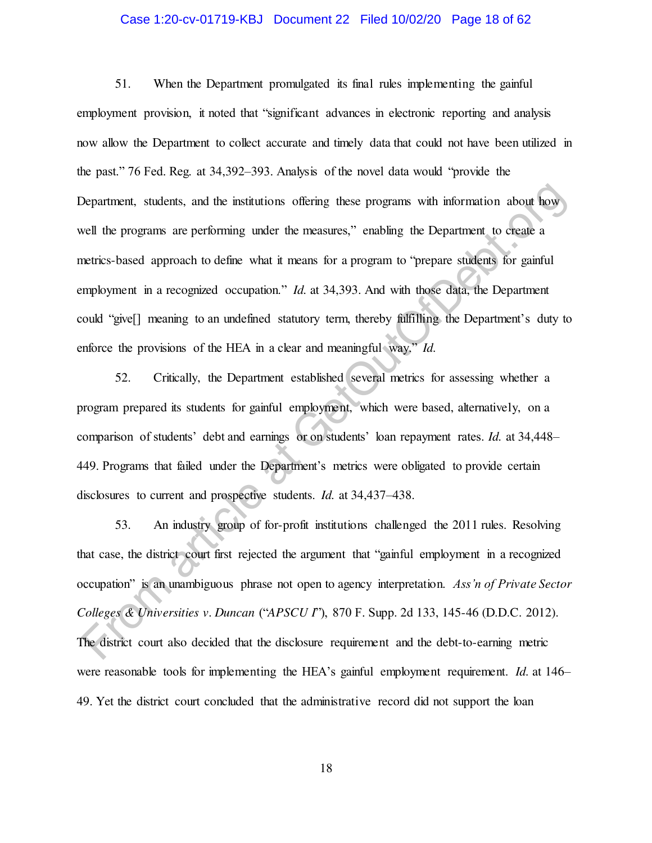## Case 1:20-cv-01719-KBJ Document 22 Filed 10/02/20 Page 18 of 62

51. When the Department promulgated its final rules implementing the gainful employment provision, it noted that "significant advances in electronic reporting and analysis now allow the Department to collect accurate and timely data that could not have been utilized in the past." 76 Fed. Reg. at 34,392–393. Analysis of the novel data would "provide the Department, students, and the institutions offering these programs with information about how well the programs are performing under the measures," enabling the Department to create a metrics-based approach to define what it means for a program to "prepare students for gainful employment in a recognized occupation." *Id.* at 34,393. And with those data, the Department could "give[] meaning to an undefined statutory term, thereby fulfilling the Department's duty to enforce the provisions of the HEA in a clear and meaningful way." *Id.* Department, students, and the institutions offering these programs with information about how<br>well the programs are performing under the measures," enabling the Department to create a<br>herics-based approach to define what

52. Critically, the Department established several metrics for assessing whether a program prepared its students for gainful employment, which were based, alternatively, on a comparison of students' debt and earnings or on students' loan repayment rates. *Id.* at 34,448– 449. Programs that failed under the Department's metrics were obligated to provide certain disclosures to current and prospective students. *Id.* at 34,437–438.

53. An industry group of for-profit institutions challenged the 2011 rules. Resolving that case, the district court first rejected the argument that "gainful employment in a recognized occupation" is an unambiguous phrase not open to agency interpretation. *Ass'n of Private Sector Colleges & Universities v. Duncan* ("*APSCU I*"), 870 F. Supp. 2d 133, 145-46 (D.D.C. 2012). The district court also decided that the disclosure requirement and the debt-to-earning metric were reasonable tools for implementing the HEA's gainful employment requirement. *Id.* at 146– 49. Yet the district court concluded that the administrative record did not support the loan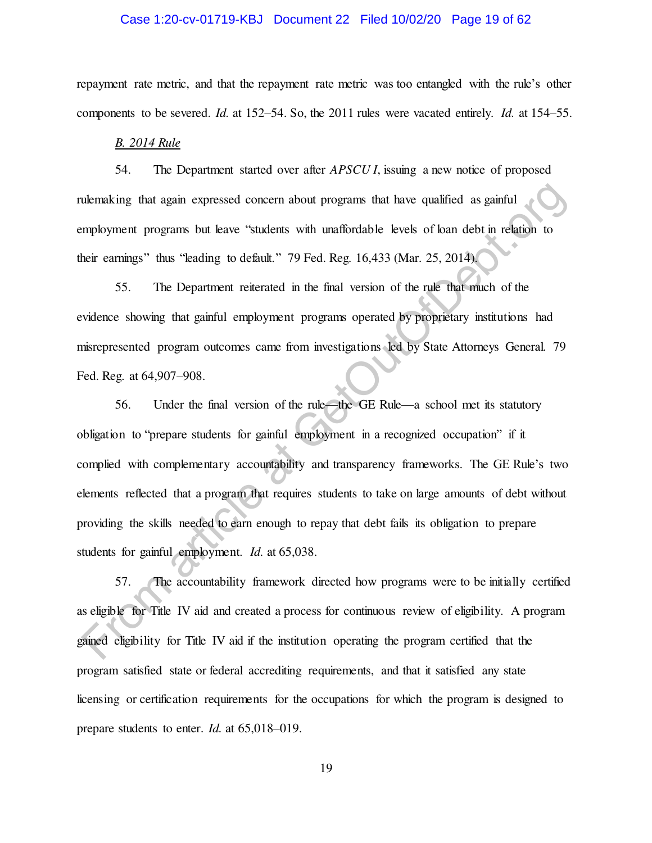#### Case 1:20-cv-01719-KBJ Document 22 Filed 10/02/20 Page 19 of 62

repayment rate metric, and that the repayment rate metric was too entangled with the rule's other components to be severed. *Id.* at 152–54. So, the 2011 rules were vacated entirely. *Id.* at 154–55.

### *B. 2014 Rule*

54. The Department started over after *APSCU I*, issuing a new notice of proposed rulemaking that again expressed concern about programs that have qualified as gainful employment programs but leave "students with unaffordable levels of loan debt in relation to their earnings" thus "leading to default." 79 Fed. Reg. 16,433 (Mar. 25, 2014).

55. The Department reiterated in the final version of the rule that much of the evidence showing that gainful employment programs operated by proprietary institutions had misrepresented program outcomes came from investigations led by State Attorneys General. 79 Fed. Reg. at 64,907–908.

56. Under the final version of the rule—the GE Rule—a school met its statutory obligation to "prepare students for gainful employment in a recognized occupation" if it complied with complementary accountability and transparency frameworks. The GE Rule's two elements reflected that a program that requires students to take on large amounts of debt without providing the skills needed to earn enough to repay that debt fails its obligation to prepare students for gainful employment. *Id.* at 65,038. mation that again expressed concern about programs that have qualified as gainful<br>employment programs but leave "students with unaffordable levels of ban debt in relation to<br>their carnings" thas "leading to default." 79 Fe

57. The accountability framework directed how programs were to be initially certified as eligible for Title IV aid and created a process for continuous review of eligibility. A program gained eligibility for Title IV aid if the institution operating the program certified that the program satisfied state or federal accrediting requirements, and that it satisfied any state licensing or certification requirements for the occupations for which the program is designed to prepare students to enter. *Id.* at 65,018–019.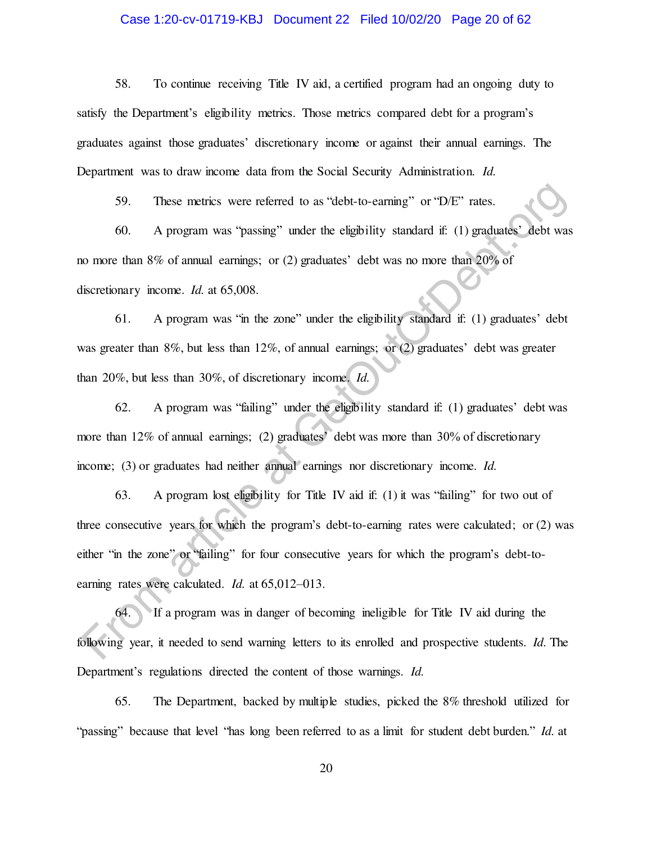## Case 1:20-cv-01719-KBJ Document 22 Filed 10/02/20 Page 20 of 62

58. To continue receiving Title IV aid, a certified program had an ongoing duty to satisfy the Department's eligibility metrics. Those metrics compared debt for a program's graduates against those graduates' discretionary income or against their annual earnings. The Department was to draw income data from the Social Security Administration. *Id.*

59. These metrics were referred to as "debt-to-earning" or "D/E" rates.

60. A program was "passing" under the eligibility standard if: (1) graduates' debt was no more than 8% of annual earnings; or (2) graduates' debt was no more than 20% of discretionary income. *Id.* at 65,008.

61. A program was "in the zone" under the eligibility standard if: (1) graduates' debt was greater than 8%, but less than 12%, of annual earnings; or (2) graduates' debt was greater than 20%, but less than 30%, of discretionary income. *Id.*

62. A program was "failing" under the eligibility standard if: (1) graduates' debt was more than 12% of annual earnings; (2) graduates' debt was more than 30% of discretionary income; (3) or graduates had neither annual earnings nor discretionary income. *Id.*

63. A program lost eligibility for Title IV aid if: (1) it was "failing" for two out of three consecutive years for which the program's debt-to-earning rates were calculated; or (2) was either "in the zone" or "failing" for four consecutive years for which the program's debt-toearning rates were calculated. *Id.* at 65,012–013. 59. These metrics were referred to as "debt-to-earning." or "D/E" rates.<br>
60. A program was "passing" under the clighility standard if: (1) graduates' debt was<br>
no more than 8% of annual earnings; or (2) graduates' debt w

64. If a program was in danger of becoming ineligible for Title IV aid during the following year, it needed to send warning letters to its enrolled and prospective students. *Id.* The Department's regulations directed the content of those warnings. *Id.*

65. The Department, backed by multiple studies, picked the 8% threshold utilized for "passing" because that level "has long been referred to as a limit for student debt burden." *Id.* at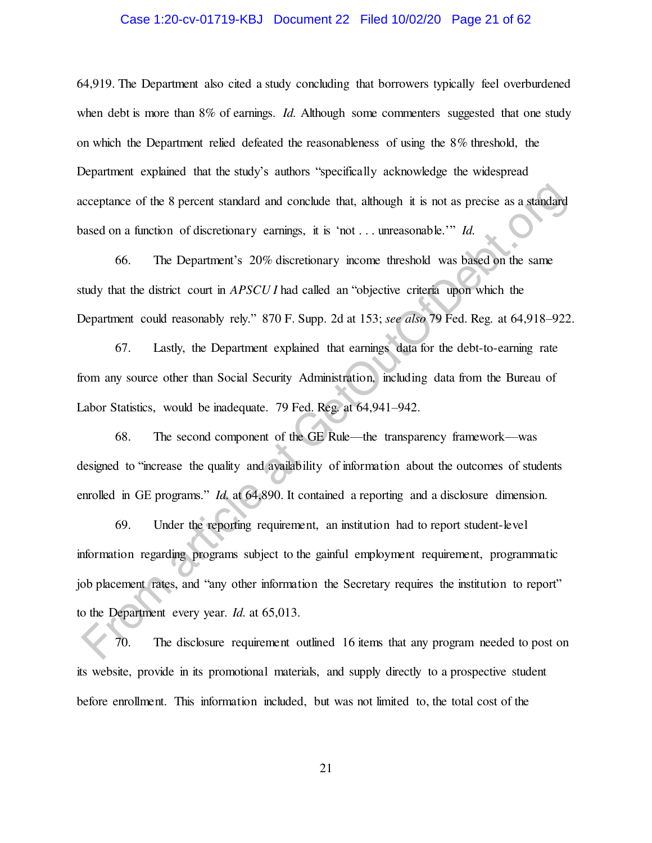#### Case 1:20-cv-01719-KBJ Document 22 Filed 10/02/20 Page 21 of 62

64,919. The Department also cited a study concluding that borrowers typically feel overburdened when debt is more than 8% of earnings. *Id.* Although some commenters suggested that one study on which the Department relied defeated the reasonableness of using the 8% threshold, the Department explained that the study's authors "specifically acknowledge the widespread acceptance of the 8 percent standard and conclude that, although it is not as precise as a standard based on a function of discretionary earnings, it is 'not . . . unreasonable.'" *Id.*

66. The Department's 20% discretionary income threshold was based on the same study that the district court in *APSCU I* had called an "objective criteria upon which the Department could reasonably rely." 870 F. Supp. 2d at 153; *see also* 79 Fed. Reg. at 64,918–922.

67. Lastly, the Department explained that earnings data for the debt-to-earning rate from any source other than Social Security Administration, including data from the Bureau of Labor Statistics, would be inadequate. 79 Fed. Reg. at 64,941–942.

68. The second component of the GE Rule—the transparency framework—was designed to "increase the quality and availability of information about the outcomes of students enrolled in GE programs." *Id.* at 64,890. It contained a reporting and a disclosure dimension.

69. Under the reporting requirement, an institution had to report student-level information regarding programs subject to the gainful employment requirement, programmatic job placement rates, and "any other information the Secretary requires the institution to report" to the Department every year. *Id.* at 65,013. are of the 8 percent standard and conclude that, although it is not as precise as a standard<br>vased on a function of discretionary carnings, it is 'not ... unreasonable.'" Id.<br>66. The Department's 20% discretionary income

70. The disclosure requirement outlined 16 items that any program needed to post on its website, provide in its promotional materials, and supply directly to a prospective student before enrollment. This information included, but was not limited to, the total cost of the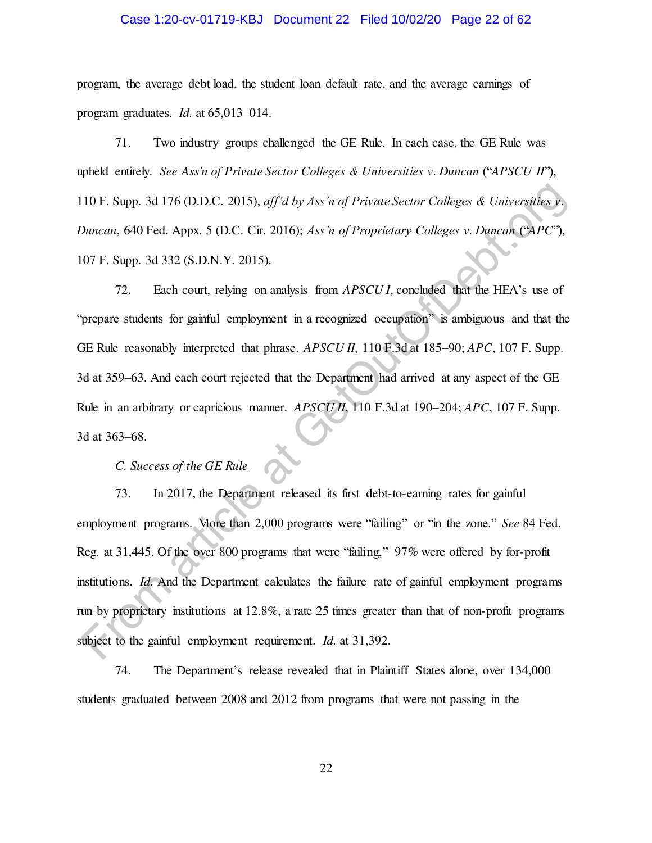#### Case 1:20-cv-01719-KBJ Document 22 Filed 10/02/20 Page 22 of 62

program, the average debt load, the student loan default rate, and the average earnings of program graduates. *Id.* at 65,013–014.

71. Two industry groups challenged the GE Rule. In each case, the GE Rule was upheld entirely. *See Ass'n of Private Sector Colleges & Universities v. Duncan* ("*APSCU II*"), 110 F. Supp. 3d 176 (D.D.C. 2015), *aff'd by Ass'n of Private Sector Colleges & Universities v. Duncan*, 640 Fed. Appx. 5 (D.C. Cir. 2016); *Ass'n of Proprietary Colleges v. Duncan* ("*APC*"), 107 F. Supp. 3d 332 (S.D.N.Y. 2015).

72. Each court, relying on analysis from *APSCU I*, concluded that the HEA's use of "prepare students for gainful employment in a recognized occupation" is ambiguous and that the GE Rule reasonably interpreted that phrase. *APSCU II*, 110 F.3d at 185–90; *APC*, 107 F. Supp. 3d at 359–63. And each court rejected that the Department had arrived at any aspect of the GE Rule in an arbitrary or capricious manner. *APSCU II*, 110 F.3d at 190–204; *APC*, 107 F. Supp. 3d at 363–68. 10 F. Supp. 3d 176 (D.D.C. 2015), *aff d by Ass'n of Private Sector Colleges & Universities D.*<br>
20*mcan*, 640 Fed. Appx. 5 (D.C. Cir. 2016); Ass'n of Proprietary Colleges v. Duncan (APC"),<br>
07 F. Supp. 3d 332 (S.D.N.Y. 2

# *C. Success of the GE Rule*

73. In 2017, the Department released its first debt-to-earning rates for gainful employment programs. More than 2,000 programs were "failing" or "in the zone." *See* 84 Fed. Reg. at 31,445. Of the over 800 programs that were "failing," 97% were offered by for-profit institutions. *Id.* And the Department calculates the failure rate of gainful employment programs run by proprietary institutions at 12.8%, a rate 25 times greater than that of non-profit programs subject to the gainful employment requirement. *Id.* at 31,392.

74. The Department's release revealed that in Plaintiff States alone, over 134,000 students graduated between 2008 and 2012 from programs that were not passing in the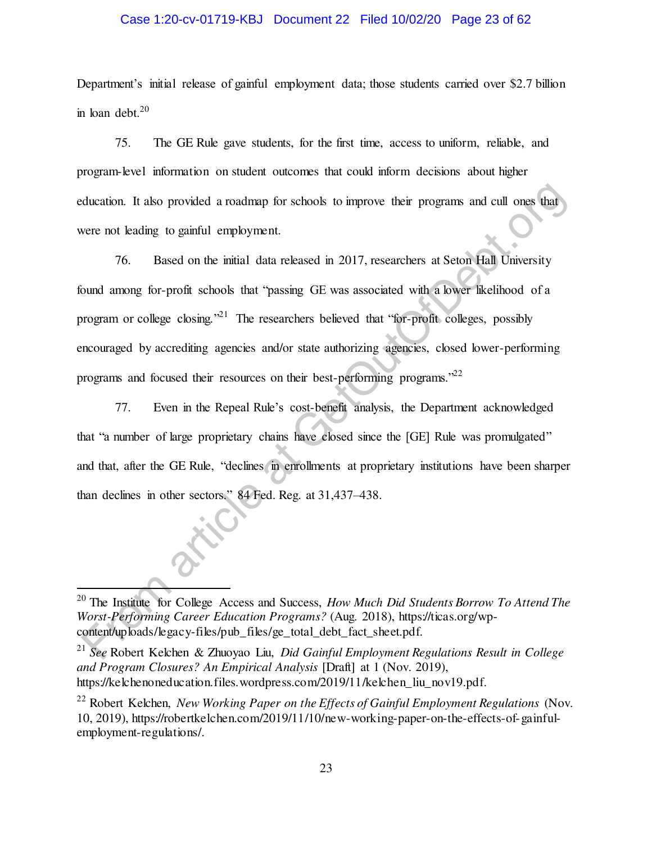## Case 1:20-cv-01719-KBJ Document 22 Filed 10/02/20 Page 23 of 62

<span id="page-22-0"></span>Department's initial release of gainful employment data; those students carried over \$2.7 billion in loan debt. $20$ 

75. The GE Rule gave students, for the first time, access to uniform, reliable, and program-level information on student outcomes that could inform decisions about higher education. It also provided a roadmap for schools to improve their programs and cull ones that were not leading to gainful employment.

76. Based on the initial data released in 2017, researchers at Seton Hall University found among for-profit schools that "passing GE was associated with a lower likelihood of a program or college closing."<sup>21</sup> The researchers believed that "for-profit colleges, possibly encouraged by accrediting agencies and/or state authorizing agencies, closed lower-performing programs and focused their resources on their best-performing programs."<sup>22</sup> ducation. It also provided a roadmap for schools to improve their programs and cull ones that<br>vere not kading to gainful employment.<br>
76. Based on the initial data released in 2017, researchers at Seton Hall University<br>
b

77. Even in the Repeal Rule's cost-benefit analysis, the Department acknowledged that "a number of large proprietary chains have closed since the [GE] Rule was promulgated" and that, after the GE Rule, "declines in enrollments at proprietary institutions have been sharper than declines in other sectors." 84 Fed. Reg. at 31,437–438.

<sup>20</sup> The Institute for College Access and Success, *How Much Did Students Borrow To Attend The Worst-Performing Career Education Programs?* (Aug. 2018), https://ticas.org/wpcontent/uploads/legacy-files/pub\_files/ge\_total\_debt\_fact\_sheet.pdf.

<sup>21</sup> *See* Robert Kelchen & Zhuoyao Liu, *Did Gainful Employment Regulations Result in College and Program Closures? An Empirical Analysis* [Draft] at 1 (Nov. 2019), https://kelchenoneducation.files.wordpress.com/2019/11/kelchen\_liu\_nov19.pdf.

<sup>22</sup> Robert Kelchen, *New Working Paper on the Effects of Gainful Employment Regulations* (Nov. 10, 2019), https://robertkelchen.com/2019/11/10/new-working-paper-on-the-effects-of-gainfulemployment-regulations/.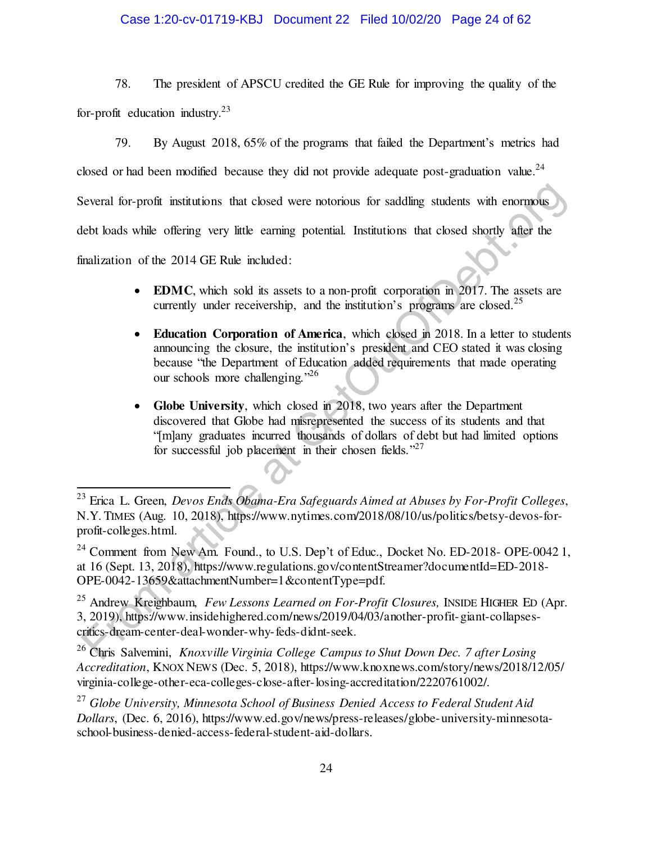# Case 1:20-cv-01719-KBJ Document 22 Filed 10/02/20 Page 24 of 62

78. The president of APSCU credited the GE Rule for improving the quality of the for-profit education industry. $23$ 

79. By August 2018, 65% of the programs that failed the Department's metrics had closed or had been modified because they did not provide adequate post-graduation value.<sup>24</sup> Several for-profit institutions that closed were notorious for saddling students with enormous debt loads while offering very little earning potential. Institutions that closed shortly after the finalization of the 2014 GE Rule included: From article at the state of the state of the state of the state of the Section Chernic Scheme Colleget at Section (Apple 1911). The state of the 2014 GE Rule included:<br> **FDMC**, which sold is assets to a non-profit corpor

- **EDMC**, which sold its assets to a non-profit corporation in 2017. The assets are currently under receivership, and the institution's programs are closed.<sup>25</sup>
- **Education Corporation of America**, which closed in 2018. In a letter to students announcing the closure, the institution's president and CEO stated it was closing because "the Department of Education added requirements that made operating our schools more challenging."<sup>26</sup>
- **Globe University**, which closed in 2018, two years after the Department discovered that Globe had misrepresented the success of its students and that "[m]any graduates incurred thousands of dollars of debt but had limited options for successful job placement in their chosen fields." $27$

<sup>23</sup> Erica L. Green, *Devos Ends Obama-Era Safeguards Aimed at Abuses by For-Profit Colleges*, N.Y. TIMES (Aug. 10, 2018), https://www.nytimes.com/2018/08/10/us/politics/betsy-devos-forprofit-colleges.html.

<sup>&</sup>lt;sup>24</sup> Comment from New Am. Found., to U.S. Dep't of Educ., Docket No. ED-2018- OPE-0042 1, at 16 (Sept. 13, 2018), https://www.regulations.gov/contentStreamer?documentId=ED-2018- OPE-0042-13659&attachmentNumber=1&contentType=pdf.

<sup>25</sup> Andrew Kreighbaum, *Few Lessons Learned on For-Profit Closures,* INSIDE HIGHER ED (Apr. 3, 2019), https://www.insidehighered.com/news/2019/04/03/another-profit-giant-collapsescritics-dream-center-deal-wonder-why-feds-didnt-seek.

<sup>26</sup> Chris Salvemini, *Knoxville Virginia College Campus to Shut Down Dec. 7 after Losing Accreditation*, KNOX NEWS (Dec. 5, 2018), https://www.knoxnews.com/story/news/2018/12/05/ virginia-college-other-eca-colleges-close-after-losing-accreditation/2220761002/.

<sup>27</sup> *Globe University, Minnesota School of Business Denied Access to Federal Student Aid Dollars*, (Dec. 6, 2016), https://www.ed.gov/news/press-releases/globe-university-minnesotaschool-business-denied-access-federal-student-aid-dollars.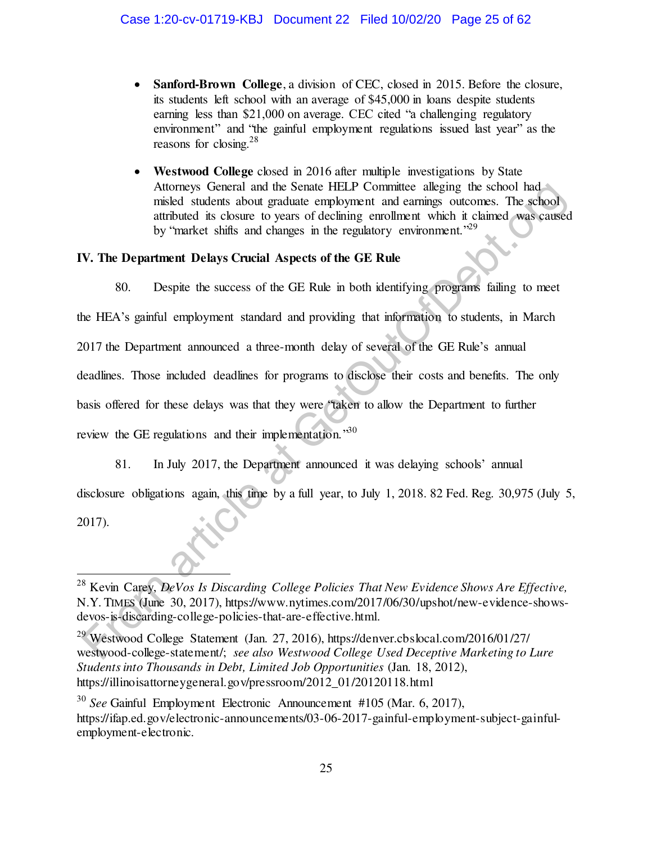- **Sanford-Brown College**, a division of CEC, closed in 2015. Before the closure, its students left school with an average of \$45,000 in loans despite students earning less than \$21,000 on average. CEC cited "a challenging regulatory environment" and "the gainful employment regulations issued last year" as the reasons for closing.<sup>28</sup>
- **Westwood College** closed in 2016 after multiple investigations by State Attorneys General and the Senate HELP Committee alleging the school had misled students about graduate employment and earnings outcomes. The school attributed its closure to years of declining enrollment which it claimed was caused by "market shifts and changes in the regulatory environment."<sup>29</sup>

# **IV. The Department Delays Crucial Aspects of the GE Rule**

80. Despite the success of the GE Rule in both identifying programs failing to meet

the HEA's gainful employment standard and providing that information to students, in March

2017 the Department announced a three-month delay of several of the GE Rule's annual

deadlines. Those included deadlines for programs to disclose their costs and benefits. The only

basis offered for these delays was that they were "taken to allow the Department to further

review the GE regulations and their implementation."30

81. In July 2017, the Department announced it was delaying schools' annual disclosure obligations again, this time by a full year, to July 1, 2018. 82 Fed. Reg. 30,975 (July 5, 2017). Atomeys Greneral and the Senate HFLP Committee alleging the school had<br>shocked students about graduate employment and earnings outcomes. The school<br>attributed its closure to years of declining errollment which it claimed

 $\overline{a}$ <sup>28</sup> Kevin Carey, *DeVos Is Discarding College Policies That New Evidence Shows Are Effective,*  N.Y. TIMES (June 30, 2017), https://www.nytimes.com/2017/06/30/upshot/new-evidence-showsdevos-is-discarding-college-policies-that-are-effective.html.

<sup>&</sup>lt;sup>29</sup> Westwood College Statement (Jan. 27, 2016), https://denver.cbslocal.com/2016/01/27/ westwood-college-statement/; *see also Westwood College Used Deceptive Marketing to Lure Students into Thousands in Debt, Limited Job Opportunities* (Jan. 18, 2012), https://illinoisattorneygeneral.gov/pressroom/2012\_01/20120118.html

<sup>30</sup> *See* Gainful Employment Electronic Announcement #105 (Mar. 6, 2017), https://ifap.ed.gov/electronic-announcements/03-06-2017-gainful-employment-subject-gainfulemployment-electronic.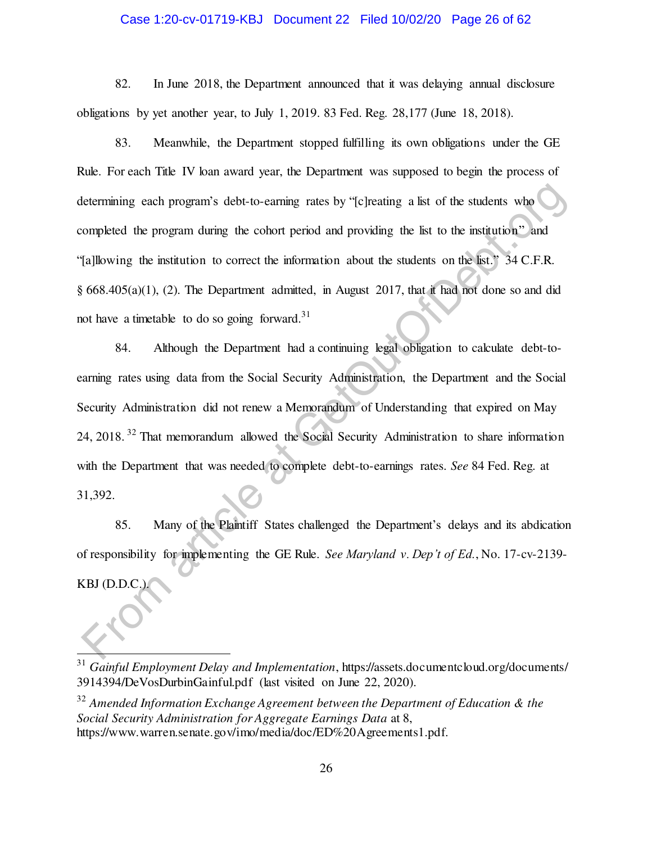## Case 1:20-cv-01719-KBJ Document 22 Filed 10/02/20 Page 26 of 62

82. In June 2018, the Department announced that it was delaying annual disclosure obligations by yet another year, to July 1, 2019. 83 Fed. Reg. 28,177 (June 18, 2018).

83. Meanwhile, the Department stopped fulfilling its own obligations under the GE Rule. For each Title IV loan award year, the Department was supposed to begin the process of determining each program's debt-to-earning rates by "[c]reating a list of the students who completed the program during the cohort period and providing the list to the institution" and "[a]llowing the institution to correct the information about the students on the list." 34 C.F.R. § 668.405(a)(1), (2). The Department admitted, in August 2017, that it had not done so and did not have a timetable to do so going forward.<sup>31</sup>

84. Although the Department had a continuing legal obligation to calculate debt-toearning rates using data from the Social Security Administration, the Department and the Social Security Administration did not renew a Memorandum of Understanding that expired on May 24, 2018. <sup>32</sup> That memorandum allowed the Social Security Administration to share information with the Department that was needed to complete debt-to-earnings rates. *See* 84 Fed. Reg. at 31,392. Eletermining each program's debt-to-earning rates by "[c]reating a list of the students who completed the program during the cohort period and providing the list to the institution" and completed the program during the co

85. Many of the Plaintiff States challenged the Department's delays and its abdication of responsibility for implementing the GE Rule. *See Maryland v. Dep't of Ed.*, No. 17-cv-2139- KBJ (D.D.C.).

<sup>31</sup> *Gainful Employment Delay and Implementation*, https://assets.documentcloud.org/documents/ 3914394/DeVosDurbinGainful.pdf (last visited on June 22, 2020).

<sup>32</sup> *Amended Information Exchange Agreement between the Department of Education & the Social Security Administration for Aggregate Earnings Data* at 8, https://www.warren.senate.gov/imo/media/doc/ED%20Agreements1.pdf.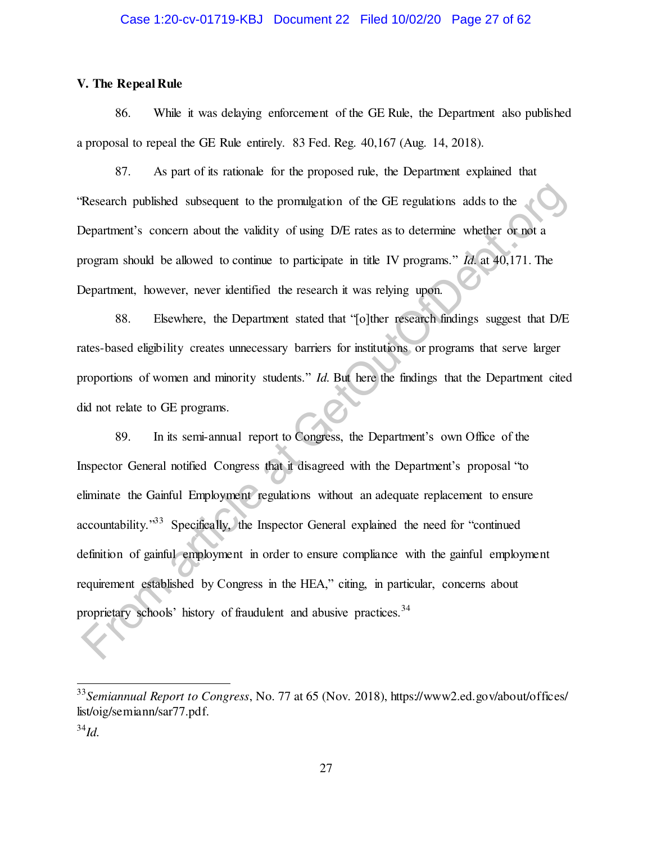# **V. The Repeal Rule**

 $\overline{a}$ 

86. While it was delaying enforcement of the GE Rule, the Department also published a proposal to repeal the GE Rule entirely. 83 Fed. Reg. 40,167 (Aug. 14, 2018).

87. As part of its rationale for the proposed rule, the Department explained that "Research published subsequent to the promulgation of the GE regulations adds to the Department's concern about the validity of using D/E rates as to determine whether or not a program should be allowed to continue to participate in title IV programs." *Id.* at 40,171. The Department, however, never identified the research it was relying upon.

88. Elsewhere, the Department stated that "[o]ther research findings suggest that D/E rates-based eligibility creates unnecessary barriers for institutions or programs that serve larger proportions of women and minority students." *Id.* But here the findings that the Department cited did not relate to GE programs.

89. In its semi-annual report to Congress, the Department's own Office of the Inspector General notified Congress that it disagreed with the Department's proposal "to eliminate the Gainful Employment regulations without an adequate replacement to ensure accountability.<sup>33</sup> Specifically, the Inspector General explained the need for "continued definition of gainful employment in order to ensure compliance with the gainful employment requirement established by Congress in the HEA," citing, in particular, concerns about proprietary schools' history of fraudulent and abusive practices.<sup>34</sup> Research published subsequent to the promulgation of the GE regulations adds to the Napartment's concern about the validity of using D/E rates as to determine whether or not a Department's concern about the validity of us

<sup>33</sup>*Semiannual Report to Congress*, No. 77 at 65 (Nov. 2018), https://www2.ed.gov/about/offices/ list/oig/semiann/sar77.pdf. <sup>34</sup>*Id.*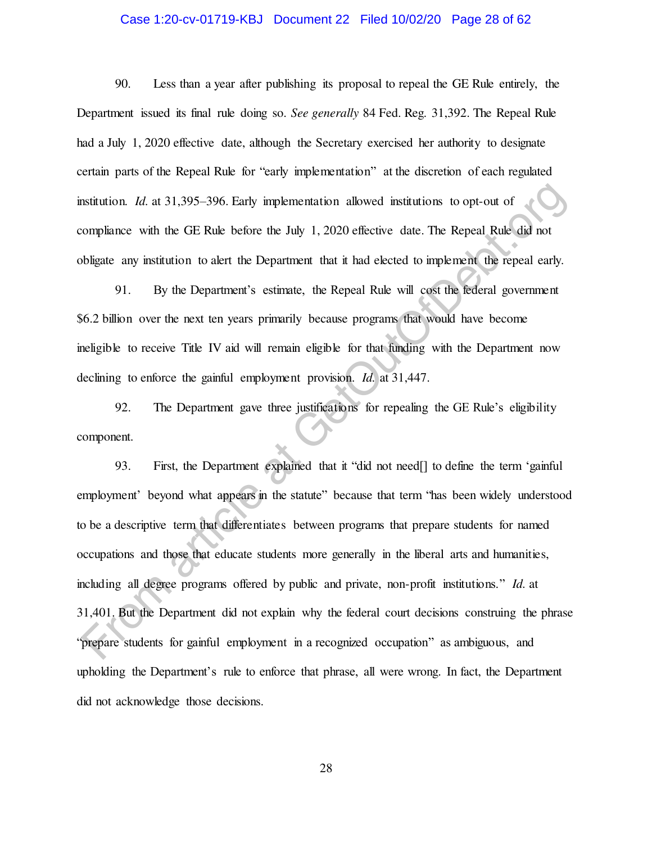#### Case 1:20-cv-01719-KBJ Document 22 Filed 10/02/20 Page 28 of 62

90. Less than a year after publishing its proposal to repeal the GE Rule entirely, the Department issued its final rule doing so. *See generally* 84 Fed. Reg. 31,392. The Repeal Rule had a July 1, 2020 effective date, although the Secretary exercised her authority to designate certain parts of the Repeal Rule for "early implementation" at the discretion of each regulated institution. *Id.* at 31,395–396. Early implementation allowed institutions to opt-out of compliance with the GE Rule before the July 1, 2020 effective date. The Repeal Rule did not obligate any institution to alert the Department that it had elected to implement the repeal early.

91. By the Department's estimate, the Repeal Rule will cost the federal government \$6.2 billion over the next ten years primarily because programs that would have become ineligible to receive Title IV aid will remain eligible for that funding with the Department now declining to enforce the gainful employment provision. *Id.* at 31,447.

92. The Department gave three justifications for repealing the GE Rule's eligibility component.

93. First, the Department explained that it "did not need[] to define the term 'gainful employment' beyond what appears in the statute" because that term "has been widely understood to be a descriptive term that differentiates between programs that prepare students for named occupations and those that educate students more generally in the liberal arts and humanities, including all degree programs offered by public and private, non-profit institutions." *Id.* at 31,401. But the Department did not explain why the federal court decisions construing the phrase "prepare students for gainful employment in a recognized occupation" as ambiguous, and upholding the Department's rule to enforce that phrase, all were wrong. In fact, the Department did not acknowledge those decisions. enstitution. *Id.* at 31.395-396. Early implementation allowed institutions to opt-out of<br>compliance with the GE Ruk before the July 1, 2020 effective date. The Repeal Ruk did not<br>obligate any institution to alert the Dep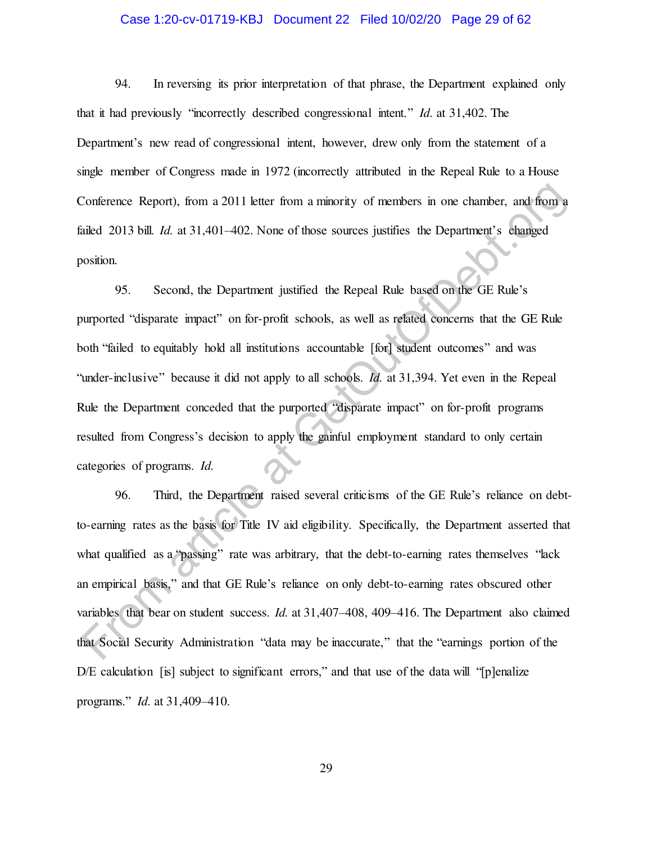#### Case 1:20-cv-01719-KBJ Document 22 Filed 10/02/20 Page 29 of 62

94. In reversing its prior interpretation of that phrase, the Department explained only that it had previously "incorrectly described congressional intent." *Id.* at 31,402. The Department's new read of congressional intent, however, drew only from the statement of a single member of Congress made in 1972 (incorrectly attributed in the Repeal Rule to a House Conference Report), from a 2011 letter from a minority of members in one chamber, and from a failed 2013 bill. *Id.* at 31,401–402. None of those sources justifies the Department's changed position.

95. Second, the Department justified the Repeal Rule based on the GE Rule's purported "disparate impact" on for-profit schools, as well as related concerns that the GE Rule both "failed to equitably hold all institutions accountable [for] student outcomes" and was "under-inclusive" because it did not apply to all schools. *Id.* at 31,394. Yet even in the Repeal Rule the Department conceded that the purported "disparate impact" on for-profit programs resulted from Congress's decision to apply the gainful employment standard to only certain categories of programs. *Id.* Conference Report), from a 2011 letter from a minority of members in one chamber, and from a<br>
since 2013 bill. *Id.* at 31,401-402. Nonc of those sources justifies the Department's changed<br>
95. Second, the Department just

96. Third, the Department raised several criticisms of the GE Rule's reliance on debtto-earning rates as the basis for Title IV aid eligibility. Specifically, the Department asserted that what qualified as a "passing" rate was arbitrary, that the debt-to-earning rates themselves "lack an empirical basis," and that GE Rule's reliance on only debt-to-earning rates obscured other variables that bear on student success. *Id.* at 31,407–408, 409–416. The Department also claimed that Social Security Administration "data may be inaccurate," that the "earnings portion of the D/E calculation [is] subject to significant errors," and that use of the data will "[p]enalize programs." *Id.* at 31,409–410.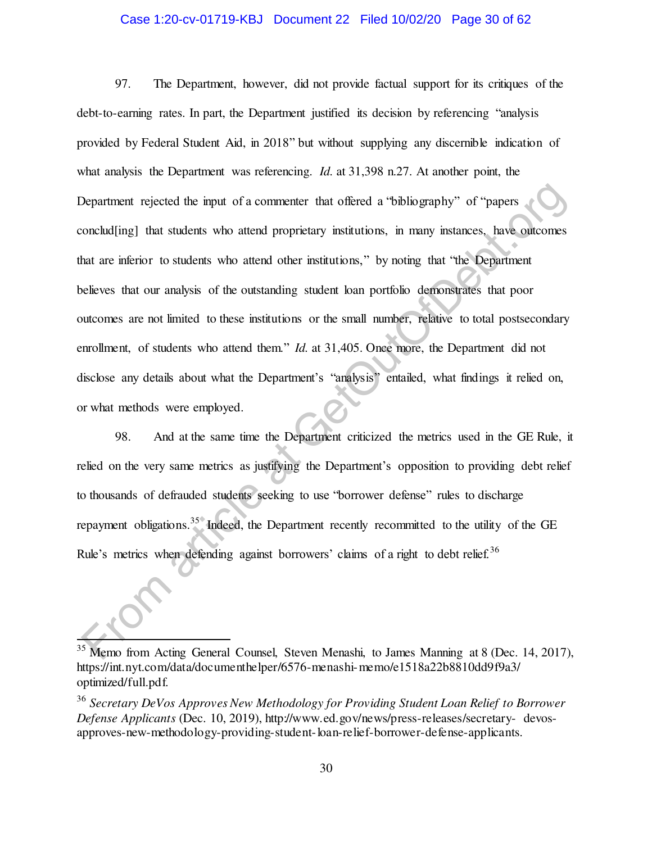# Case 1:20-cv-01719-KBJ Document 22 Filed 10/02/20 Page 30 of 62

97. The Department, however, did not provide factual support for its critiques of the debt-to-earning rates. In part, the Department justified its decision by referencing "analysis provided by Federal Student Aid, in 2018" but without supplying any discernible indication of what analysis the Department was referencing. *Id.* at 31,398 n.27. At another point, the Department rejected the input of a commenter that offered a "bibliography" of "papers conclud[ing] that students who attend proprietary institutions, in many instances, have outcomes that are inferior to students who attend other institutions," by noting that "the Department believes that our analysis of the outstanding student loan portfolio demonstrates that poor outcomes are not limited to these institutions or the small number, relative to total postsecondary enrollment, of students who attend them." *Id.* at 31,405. Once more, the Department did not disclose any details about what the Department's "analysis" entailed, what findings it relied on, or what methods were employed. Department rejected the input of a commenter that offered a "bibliography" of "papers<br>
Forehaldling] that students who attend proprietary institutions, in many instances, have outcomes<br>
that are inferior to students who at

98. And at the same time the Department criticized the metrics used in the GE Rule, it relied on the very same metrics as justifying the Department's opposition to providing debt relief to thousands of defrauded students seeking to use "borrower defense" rules to discharge repayment obligations.<sup>35</sup> Indeed, the Department recently recommitted to the utility of the GE Rule's metrics when defending against borrowers' claims of a right to debt relief.<sup>36</sup>

 $\overline{a}$ <sup>35</sup> Memo from Acting General Counsel, Steven Menashi, to James Manning at 8 (Dec. 14, 2017), https://int.nyt.com/data/documenthelper/6576-menashi-memo/e1518a22b8810dd9f9a3/ optimized/full.pdf.

<sup>36</sup> *Secretary DeVos Approves New Methodology for Providing Student Loan Relief to Borrower Defense Applicants* (Dec. 10, 2019), http://www.ed.gov/news/press-releases/secretary- devosapproves-new-methodology-providing-student-loan-relief-borrower-defense-applicants.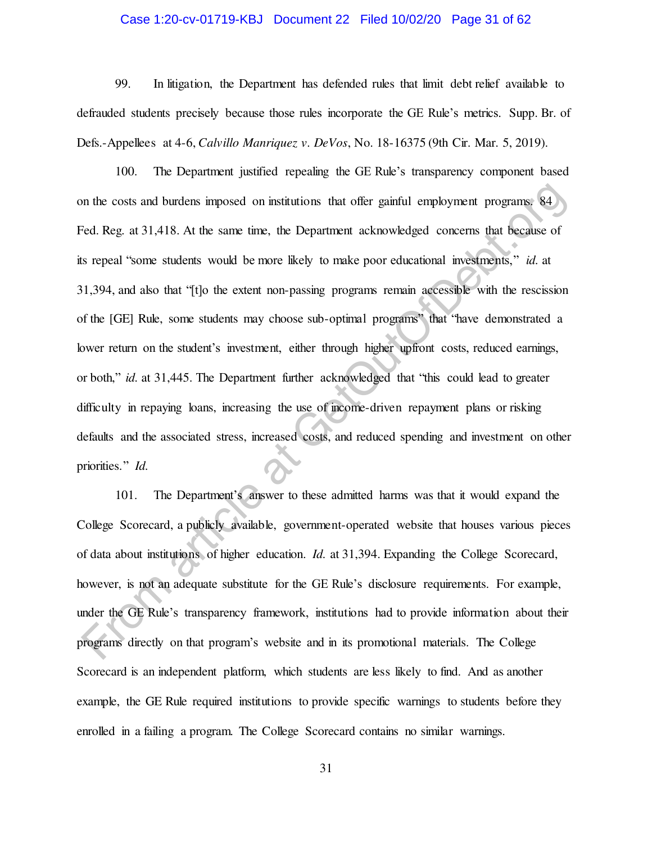## Case 1:20-cv-01719-KBJ Document 22 Filed 10/02/20 Page 31 of 62

99. In litigation, the Department has defended rules that limit debt relief available to defrauded students precisely because those rules incorporate the GE Rule's metrics. Supp. Br. of Defs.-Appellees at 4-6, *Calvillo Manriquez v. DeVos*, No. 18-16375 (9th Cir. Mar. 5, 2019).

100. The Department justified repealing the GE Rule's transparency component based on the costs and burdens imposed on institutions that offer gainful employment programs. 84 Fed. Reg. at 31,418. At the same time, the Department acknowledged concerns that because of its repeal "some students would be more likely to make poor educational investments," *id.* at 31,394, and also that "[t]o the extent non-passing programs remain accessible with the rescission of the [GE] Rule, some students may choose sub-optimal programs" that "have demonstrated a lower return on the student's investment, either through higher upfront costs, reduced earnings, or both," *id.* at 31,445. The Department further acknowledged that "this could lead to greater difficulty in repaying loans, increasing the use of income-driven repayment plans or risking defaults and the associated stress, increased costs, and reduced spending and investment on other priorities." *Id.* on the costs and burdens imposed on institutions that offer gainful employment programs; 84<br>
Fed. Reg. at 31,418. At the same time, the Department acknowledged concerns that because of<br>
stepeal "some students would be mor

101. The Department's answer to these admitted harms was that it would expand the College Scorecard, a publicly available, government-operated website that houses various pieces of data about institutions of higher education. *Id.* at 31,394. Expanding the College Scorecard, however, is not an adequate substitute for the GE Rule's disclosure requirements. For example, under the GE Rule's transparency framework, institutions had to provide information about their programs directly on that program's website and in its promotional materials. The College Scorecard is an independent platform, which students are less likely to find. And as another example, the GE Rule required institutions to provide specific warnings to students before they enrolled in a failing a program. The College Scorecard contains no similar warnings.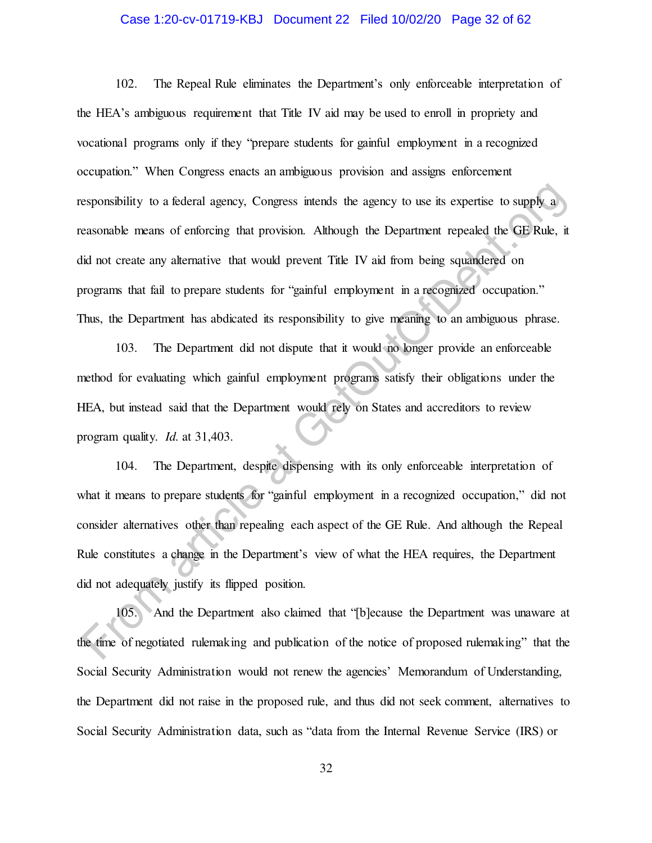## Case 1:20-cv-01719-KBJ Document 22 Filed 10/02/20 Page 32 of 62

102. The Repeal Rule eliminates the Department's only enforceable interpretation of the HEA's ambiguous requirement that Title IV aid may be used to enroll in propriety and vocational programs only if they "prepare students for gainful employment in a recognized occupation." When Congress enacts an ambiguous provision and assigns enforcement responsibility to a federal agency, Congress intends the agency to use its expertise to supply a reasonable means of enforcing that provision. Although the Department repealed the GE Rule, it did not create any alternative that would prevent Title IV aid from being squandered on programs that fail to prepare students for "gainful employment in a recognized occupation." Thus, the Department has abdicated its responsibility to give meaning to an ambiguous phrase. esponsibility to a federal agency. Congress intends the agency to use its expertise to supply a<br>easonable means of enforcing that provision. Although the Department repeaked the GE Rule, it<br>id not create any alternative th

103. The Department did not dispute that it would no longer provide an enforceable method for evaluating which gainful employment programs satisfy their obligations under the HEA, but instead said that the Department would rely on States and accreditors to review program quality. *Id.* at 31,403.

104. The Department, despite dispensing with its only enforceable interpretation of what it means to prepare students for "gainful employment in a recognized occupation," did not consider alternatives other than repealing each aspect of the GE Rule. And although the Repeal Rule constitutes a change in the Department's view of what the HEA requires, the Department did not adequately justify its flipped position.

105. And the Department also claimed that "[b]ecause the Department was unaware at the time of negotiated rulemaking and publication of the notice of proposed rulemaking" that the Social Security Administration would not renew the agencies' Memorandum of Understanding, the Department did not raise in the proposed rule, and thus did not seek comment, alternatives to Social Security Administration data, such as "data from the Internal Revenue Service (IRS) or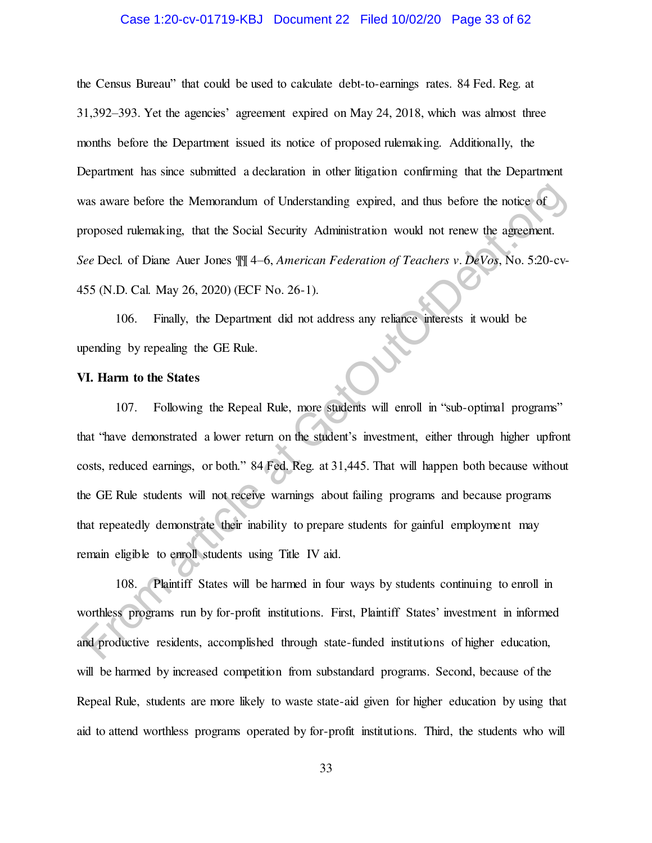### Case 1:20-cv-01719-KBJ Document 22 Filed 10/02/20 Page 33 of 62

the Census Bureau" that could be used to calculate debt-to-earnings rates. 84 Fed. Reg. at 31,392–393. Yet the agencies' agreement expired on May 24, 2018, which was almost three months before the Department issued its notice of proposed rulemaking. Additionally, the Department has since submitted a declaration in other litigation confirming that the Department was aware before the Memorandum of Understanding expired, and thus before the notice of proposed rulemaking, that the Social Security Administration would not renew the agreement. *See* Decl. of Diane Auer Jones ¶¶ 4–6, *American Federation of Teachers v. DeVos*, No. 5:20-cv-455 (N.D. Cal. May 26, 2020) (ECF No. 26-1).

106. Finally, the Department did not address any reliance interests it would be upending by repealing the GE Rule.

### **VI. Harm to the States**

107. Following the Repeal Rule, more students will enroll in "sub-optimal programs" that "have demonstrated a lower return on the student's investment, either through higher upfront costs, reduced earnings, or both." 84 Fed. Reg. at 31,445. That will happen both because without the GE Rule students will not receive warnings about failing programs and because programs that repeatedly demonstrate their inability to prepare students for gainful employment may remain eligible to enroll students using Title IV aid. vas aware before the Memorardum of Understanding expired, and thus before the notice of<br>
proposed rulemaking, that the Social Security Administration would not renew the agreement.<br>
From a Nuer Jones  $\mathbb{N} = 4 - 6$ , *Ameri* 

108. Plaintiff States will be harmed in four ways by students continuing to enroll in worthless programs run by for-profit institutions. First, Plaintiff States' investment in informed and productive residents, accomplished through state-funded institutions of higher education, will be harmed by increased competition from substandard programs. Second, because of the Repeal Rule, students are more likely to waste state-aid given for higher education by using that aid to attend worthless programs operated by for-profit institutions. Third, the students who will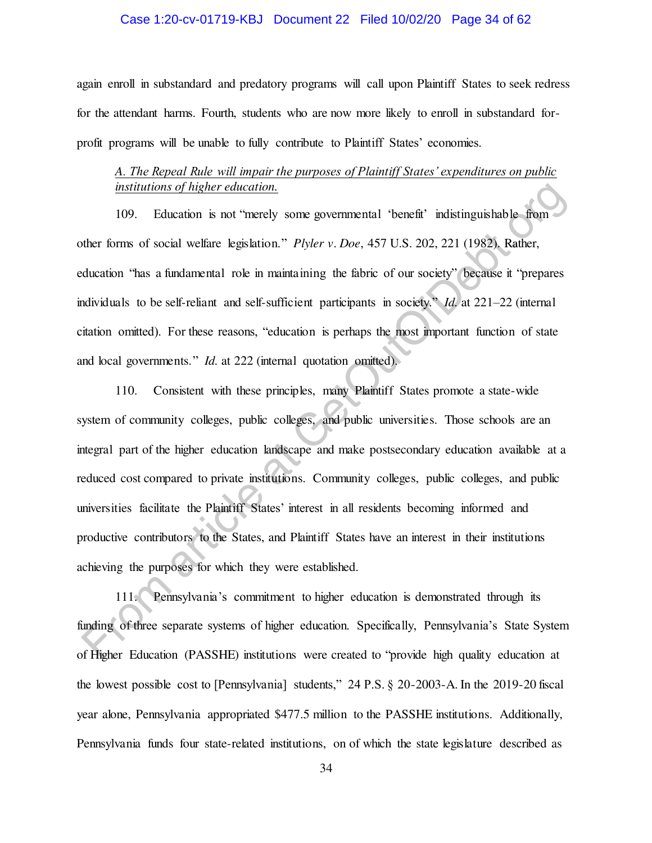## Case 1:20-cv-01719-KBJ Document 22 Filed 10/02/20 Page 34 of 62

again enroll in substandard and predatory programs will call upon Plaintiff States to seek redress for the attendant harms. Fourth, students who are now more likely to enroll in substandard forprofit programs will be unable to fully contribute to Plaintiff States' economies.

# *A. The Repeal Rule will impair the purposes of Plaintiff States' expenditures on public institutions of higher education.*

109. Education is not "merely some governmental 'benefit' indistinguishable from other forms of social welfare legislation." *Plyler v. Doe*, 457 U.S. 202, 221 (1982). Rather, education "has a fundamental role in maintaining the fabric of our society" because it "prepares individuals to be self-reliant and self-sufficient participants in society." *Id.* at 221–22 (internal citation omitted). For these reasons, "education is perhaps the most important function of state and local governments." *Id.* at 222 (internal quotation omitted).

110. Consistent with these principles, many Plaintiff States promote a state-wide system of community colleges, public colleges, and public universities. Those schools are an integral part of the higher education landscape and make postsecondary education available at a reduced cost compared to private institutions. Community colleges, public colleges, and public universities facilitate the Plaintiff States' interest in all residents becoming informed and productive contributors to the States, and Plaintiff States have an interest in their institutions achieving the purposes for which they were established. *institutions of higher education.*<br>
109. Education is not "nerely some governmental "benefit" indistinguishable from<br>
109. Education "shot "reflexition."  $P[y|er v, Dve, 457$  U.S. 202, 221 (1982), Rather,<br>
ducation "has a fun

111. Pennsylvania's commitment to higher education is demonstrated through its funding of three separate systems of higher education. Specifically, Pennsylvania's State System of Higher Education (PASSHE) institutions were created to "provide high quality education at the lowest possible cost to [Pennsylvania] students," 24 P.S. § 20-2003-A. In the 2019-20 fiscal year alone, Pennsylvania appropriated \$477.5 million to the PASSHE institutions. Additionally, Pennsylvania funds four state-related institutions, on of which the state legislature described as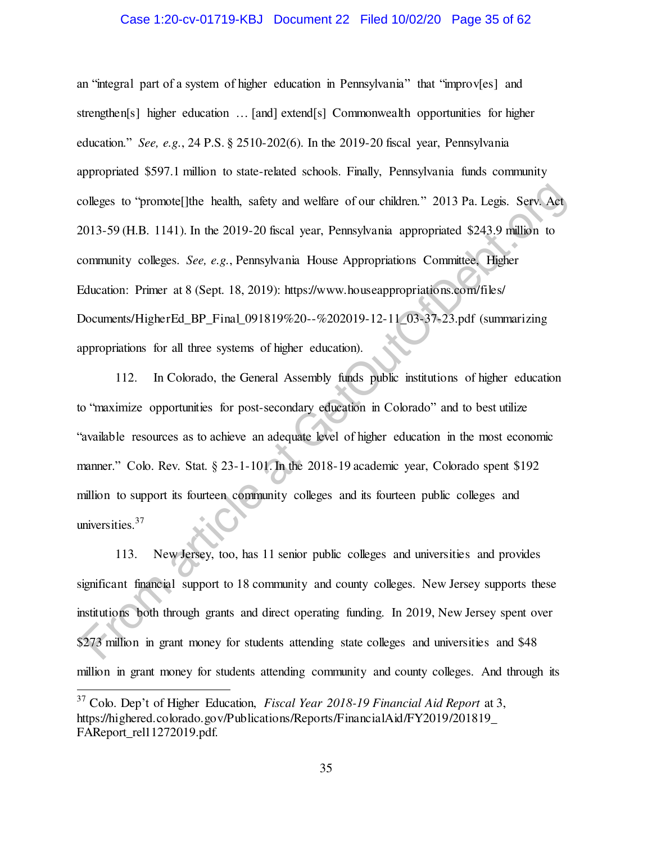## Case 1:20-cv-01719-KBJ Document 22 Filed 10/02/20 Page 35 of 62

an "integral part of a system of higher education in Pennsylvania" that "improv[es] and strengthen[s] higher education … [and] extend[s] Commonwealth opportunities for higher education." *See, e.g.*, 24 P.S. § 2510-202(6). In the 2019-20 fiscal year, Pennsylvania appropriated \$597.1 million to state-related schools. Finally, Pennsylvania funds community colleges to "promote[]the health, safety and welfare of our children." 2013 Pa. Legis. Serv. Act 2013-59 (H.B. 1141). In the 2019-20 fiscal year, Pennsylvania appropriated \$243.9 million to community colleges. *See, e.g.*, Pennsylvania House Appropriations Committee, Higher Education: Primer at 8 (Sept. 18, 2019): https://www.houseappropriations.com/files/ Documents/HigherEd\_BP\_Final\_091819%20--%202019-12-11\_03-37-23.pdf (summarizing appropriations for all three systems of higher education). colleges to "promote[]the health, safety and welfare of our children." 2013 Pa. Legis. Serv. Act (013-59 (H.B. 1141). In the 2019-20 fiscal year, Pennsylvania appropriated \$243.9 million to community colleges. *See, e.g.*,

112. In Colorado, the General Assembly funds public institutions of higher education to "maximize opportunities for post-secondary education in Colorado" and to best utilize "available resources as to achieve an adequate level of higher education in the most economic manner." Colo. Rev. Stat. § 23-1-101. In the 2018-19 academic year, Colorado spent \$192 million to support its fourteen community colleges and its fourteen public colleges and universities.<sup>37</sup>

<span id="page-34-0"></span>113. New Jersey, too, has 11 senior public colleges and universities and provides significant financial support to 18 community and county colleges. New Jersey supports these institutions both through grants and direct operating funding. In 2019, New Jersey spent over \$273 million in grant money for students attending state colleges and universities and \$48 million in grant money for students attending community and county colleges. And through its

<sup>37</sup> Colo. Dep't of Higher Education, *Fiscal Year 2018-19 Financial Aid Report* at 3, https://highered.colorado.gov/Publications/Reports/FinancialAid/FY2019/201819\_ FAReport\_rel11272019.pdf.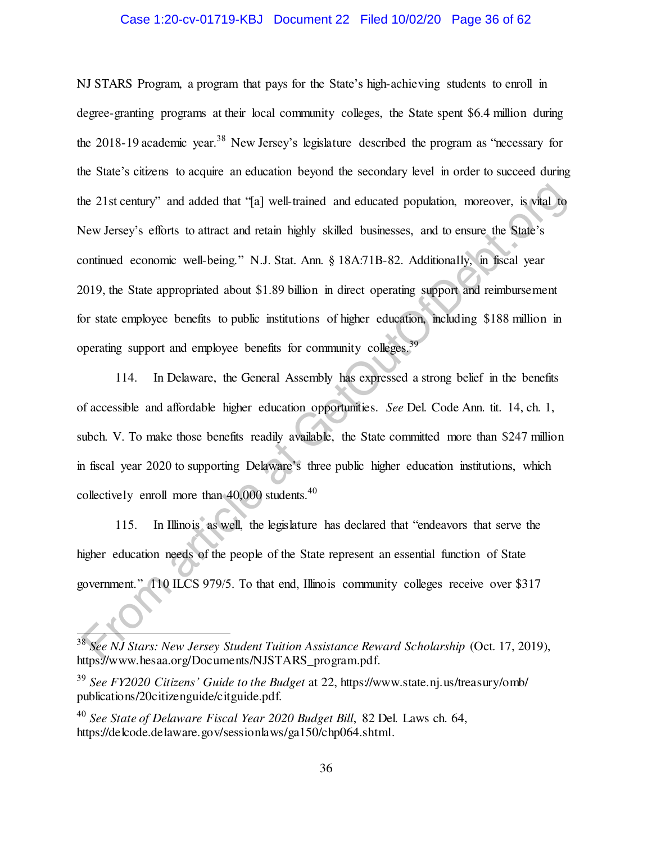# Case 1:20-cv-01719-KBJ Document 22 Filed 10/02/20 Page 36 of 62

NJ STARS Program, a program that pays for the State's high-achieving students to enroll in degree-granting programs at their local community colleges, the State spent \$6.4 million during the 2018-19 academic year.<sup>38</sup> New Jersey's legislature described the program as "necessary for the State's citizens to acquire an education beyond the secondary level in order to succeed during the 21st century" and added that "[a] well-trained and educated population, moreover, is vital to New Jersey's efforts to attract and retain highly skilled businesses, and to ensure the State's continued economic well-being." N.J. Stat. Ann. § 18A:71B-82. Additionally, in fiscal year 2019, the State appropriated about \$1.89 billion in direct operating support and reimbursement for state employee benefits to public institutions of higher education, including \$188 million in operating support and employee benefits for community colleges.<sup>3</sup> the 21st century" and added that "[a] well-trained and educated population, moreover, is what lot developed server is that the server is when the State's continued economic well-being." N.J. Stat. Ann. § 18A:71B-82. Additi

114. In Delaware, the General Assembly has expressed a strong belief in the benefits of accessible and affordable higher education opportunities. *See* Del. Code Ann. tit. 14, ch. 1, subch. V. To make those benefits readily available, the State committed more than \$247 million in fiscal year 2020 to supporting Delaware's three public higher education institutions, which collectively enroll more than  $40,000$  students.<sup>40</sup>

115. In Illinois as well, the legislature has declared that "endeavors that serve the higher education needs of the people of the State represent an essential function of State government." 110 ILCS 979/5. To that end, Illinois community colleges receive over \$317

<sup>38</sup> *See NJ Stars: New Jersey Student Tuition Assistance Reward Scholarship* (Oct. 17, 2019), https://www.hesaa.org/Documents/NJSTARS\_program.pdf.

<sup>39</sup> *See FY2020 Citizens' Guide to the Budget* at 22, https://www.state.nj.us/treasury/omb/ publications/20citizenguide/citguide.pdf.

<sup>40</sup> *See State of Delaware Fiscal Year 2020 Budget Bill*, 82 Del. Laws ch. 64, https://delcode.delaware.gov/sessionlaws/ga150/chp064.shtml.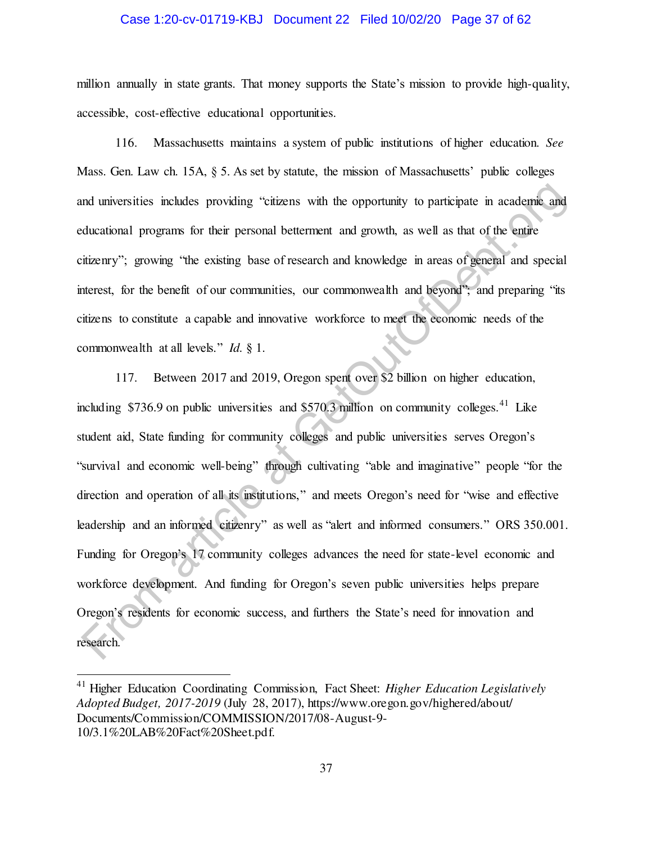#### Case 1:20-cv-01719-KBJ Document 22 Filed 10/02/20 Page 37 of 62

million annually in state grants. That money supports the State's mission to provide high-quality, accessible, cost-effective educational opportunities.

116. Massachusetts maintains a system of public institutions of higher education. *See* Mass. Gen. Law ch. 15A, § 5. As set by statute, the mission of Massachusetts' public colleges and universities includes providing "citizens with the opportunity to participate in academic and educational programs for their personal betterment and growth, as well as that of the entire citizenry"; growing "the existing base of research and knowledge in areas of general and special interest, for the benefit of our communities, our commonwealth and beyond"; and preparing "its" citizens to constitute a capable and innovative workforce to meet the economic needs of the commonwealth at all levels." *Id.* § 1.

117. Between 2017 and 2019, Oregon spent over \$2 billion on higher education, including \$736.9 on public universities and \$570.3 million on community colleges. $41$  Like student aid, State funding for community colleges and public universities serves Oregon's "survival and economic well-being" through cultivating "able and imaginative" people "for the direction and operation of all its institutions," and meets Oregon's need for "wise and effective leadership and an informed citizenry" as well as "alert and informed consumers." ORS 350.001. Funding for Oregon's 17 community colleges advances the need for state-level economic and workforce development. And funding for Oregon's seven public universities helps prepare Oregon's residents for economic success, and furthers the State's need for innovation and research. and universities includes providing "citizens with the opportunity to participate in academic and ducational programs for their personal betterment and growth, as well as that of the entire titierny"; growing "the existing

<sup>41</sup> Higher Education Coordinating Commission, Fact Sheet: *Higher Education Legislatively Adopted Budget, 2017-2019* (July 28, 2017), https://www.oregon.gov/highered/about/ Documents/Commission/COMMISSION/2017/08-August-9- 10/3.1%20LAB%20Fact%20Sheet.pdf.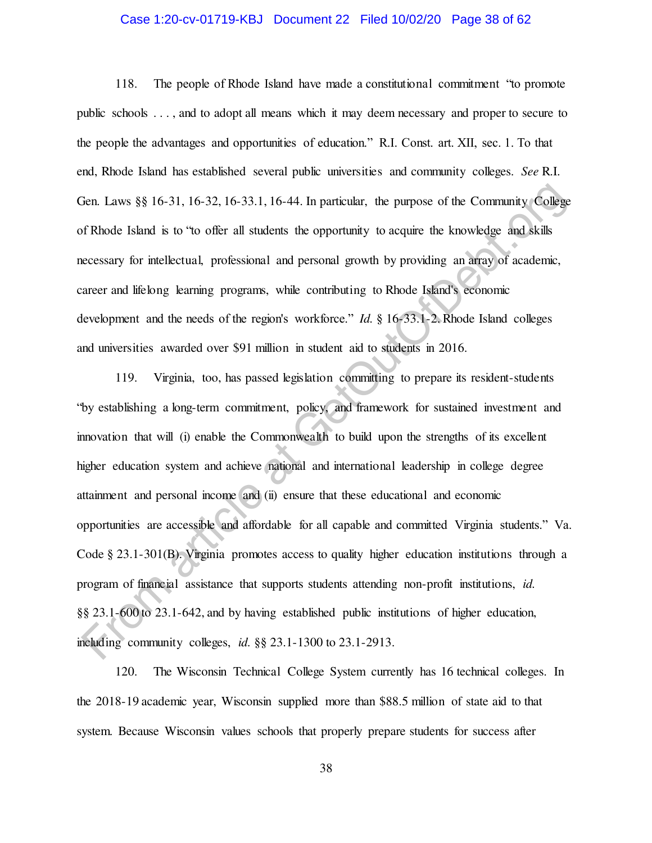### Case 1:20-cv-01719-KBJ Document 22 Filed 10/02/20 Page 38 of 62

118. The people of Rhode Island have made a constitutional commitment "to promote public schools . . . , and to adopt all means which it may deem necessary and proper to secure to the people the advantages and opportunities of education." R.I. Const. art. XII, sec. 1. To that end, Rhode Island has established several public universities and community colleges. *See* R.I. Gen. Laws §§ 16-31, 16-32, 16-33.1, 16-44. In particular, the purpose of the Community College of Rhode Island is to "to offer all students the opportunity to acquire the knowledge and skills necessary for intellectual, professional and personal growth by providing an array of academic, career and lifelong learning programs, while contributing to Rhode Island's economic development and the needs of the region's workforce." *Id.* § 16-33.1-2. Rhode Island colleges and universities awarded over \$91 million in student aid to students in 2016.

119. Virginia, too, has passed legislation committing to prepare its resident-students "by establishing a long-term commitment, policy, and framework for sustained investment and innovation that will (i) enable the Commonwealth to build upon the strengths of its excellent higher education system and achieve national and international leadership in college degree attainment and personal income and (ii) ensure that these educational and economic opportunities are accessible and affordable for all capable and committed Virginia students." Va. Code § 23.1-301(B). Virginia promotes access to quality higher education institutions through a program of financial assistance that supports students attending non-profit institutions, *id.*  §§ 23.1-600 to 23.1-642, and by having established public institutions of higher education, including community colleges, *id.* §§ 23.1-1300 to 23.1-2913. Gen. Laws §§ 16-31, 16-32, 16-33, 1, 16-44, In particular, the purpose of the Community College<br>of Rhode Island is to "to offer all students the opportunity to acquire the knowkedge and skills<br>occessary for intellectual,

120. The Wisconsin Technical College System currently has 16 technical colleges. In the 2018-19 academic year, Wisconsin supplied more than \$88.5 million of state aid to that system. Because Wisconsin values schools that properly prepare students for success after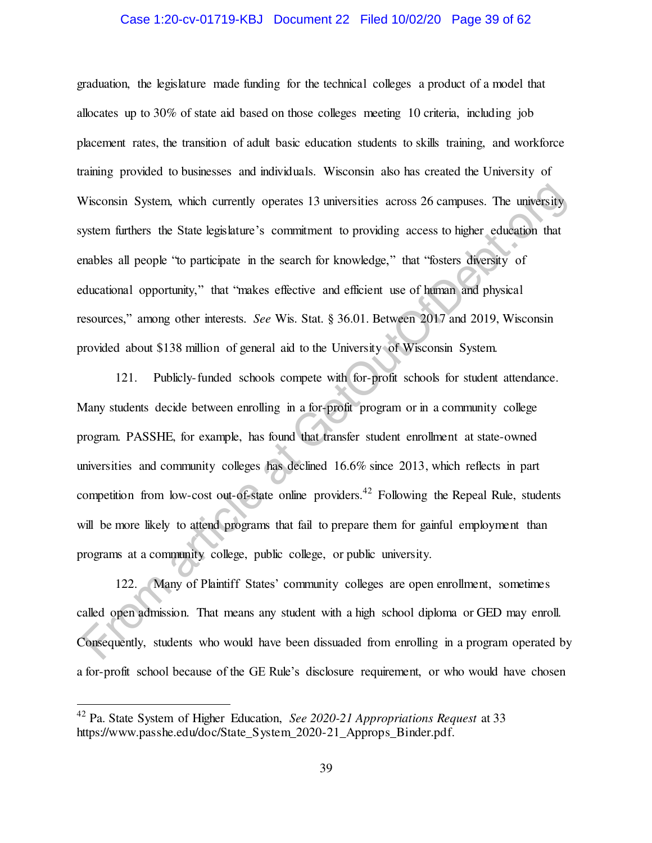## Case 1:20-cv-01719-KBJ Document 22 Filed 10/02/20 Page 39 of 62

graduation, the legislature made funding for the technical colleges a product of a model that allocates up to 30% of state aid based on those colleges meeting 10 criteria, including job placement rates, the transition of adult basic education students to skills training, and workforce training provided to businesses and individuals. Wisconsin also has created the University of Wisconsin System, which currently operates 13 universities across 26 campuses. The university system furthers the State legislature's commitment to providing access to higher education that enables all people "to participate in the search for knowledge," that "fosters diversity of educational opportunity," that "makes effective and efficient use of human and physical resources," among other interests. *See* Wis. Stat. § 36.01. Between 2017 and 2019, Wisconsin provided about \$138 million of general aid to the University of Wisconsin System.

121. Publicly-funded schools compete with for-profit schools for student attendance. Many students decide between enrolling in a for-profit program or in a community college program. PASSHE, for example, has found that transfer student enrollment at state-owned universities and community colleges has declined 16.6% since 2013, which reflects in part competition from low-cost out-of-state online providers.<sup>42</sup> Following the Repeal Rule, students will be more likely to attend programs that fail to prepare them for gainful employment than programs at a community college, public college, or public university. Wisconsin System, which currently operates 13 universities across 26 campuses. The university<br>ystum furthers the State legislature's commitment to providing access to higher education that<br>rables all people "to participate

<span id="page-38-0"></span>122. Many of Plaintiff States' community colleges are open enrollment, sometimes called open admission. That means any student with a high school diploma or GED may enroll. Consequently, students who would have been dissuaded from enrolling in a program operated by a for-profit school because of the GE Rule's disclosure requirement, or who would have chosen

<sup>42</sup> Pa. State System of Higher Education, *See 2020-21 Appropriations Request* at 33 https://www.passhe.edu/doc/State\_System\_2020-21\_Approps\_Binder.pdf.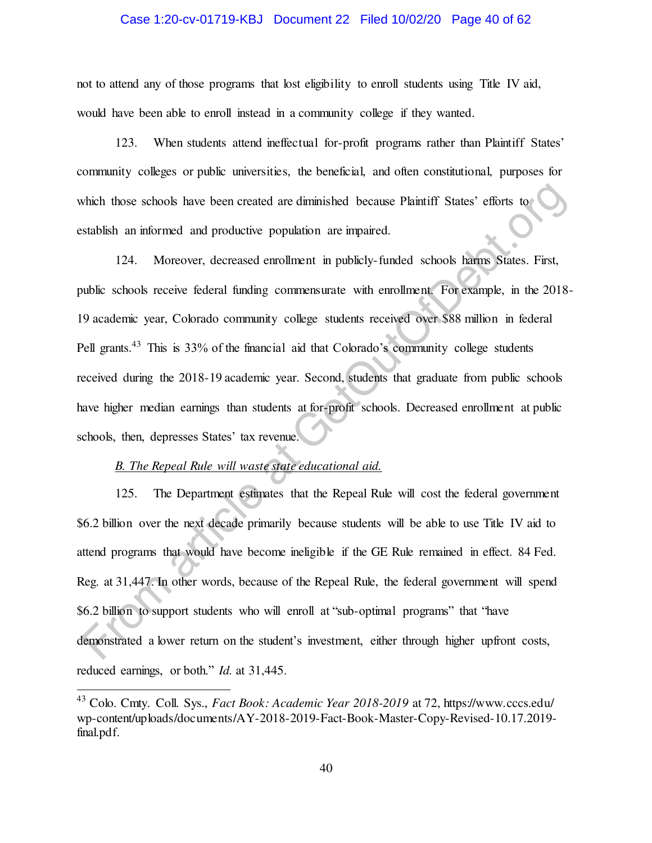#### Case 1:20-cv-01719-KBJ Document 22 Filed 10/02/20 Page 40 of 62

not to attend any of those programs that lost eligibility to enroll students using Title IV aid, would have been able to enroll instead in a community college if they wanted.

123. When students attend ineffectual for-profit programs rather than Plaintiff States' community colleges or public universities, the beneficial, and often constitutional, purposes for which those schools have been created are diminished because Plaintiff States' efforts to establish an informed and productive population are impaired.

124. Moreover, decreased enrollment in publicly-funded schools harms States. First, public schools receive federal funding commensurate with enrollment. For example, in the 2018- 19 academic year, Colorado community college students received over \$88 million in federal Pell grants.<sup>43</sup> This is 33% of the financial aid that Colorado's community college students received during the 2018-19 academic year. Second, students that graduate from public schools have higher median earnings than students at for-profit schools. Decreased enrollment at public schools, then, depresses States' tax revenue. Which those schools have been created are diminished because Plaintiff States' efforts to<br>
stablish an informed and productive population are impaired.<br>
124. Moreover, decreased enrollment in publicly-funded schools ham's

# *B. The Repeal Rule will waste state educational aid.*

 $\overline{a}$ 

125. The Department estimates that the Repeal Rule will cost the federal government \$6.2 billion over the next decade primarily because students will be able to use Title IV aid to attend programs that would have become ineligible if the GE Rule remained in effect. 84 Fed. Reg. at 31,447. In other words, because of the Repeal Rule, the federal government will spend \$6.2 billion to support students who will enroll at "sub-optimal programs" that "have demonstrated a lower return on the student's investment, either through higher upfront costs, reduced earnings, or both." *Id.* at 31,445.

<sup>43</sup> Colo. Cmty. Coll. Sys., *Fact Book: Academic Year 2018-2019* at 72, https://www.cccs.edu/ wp-content/uploads/documents/AY-2018-2019-Fact-Book-Master-Copy-Revised-10.17.2019 final.pdf.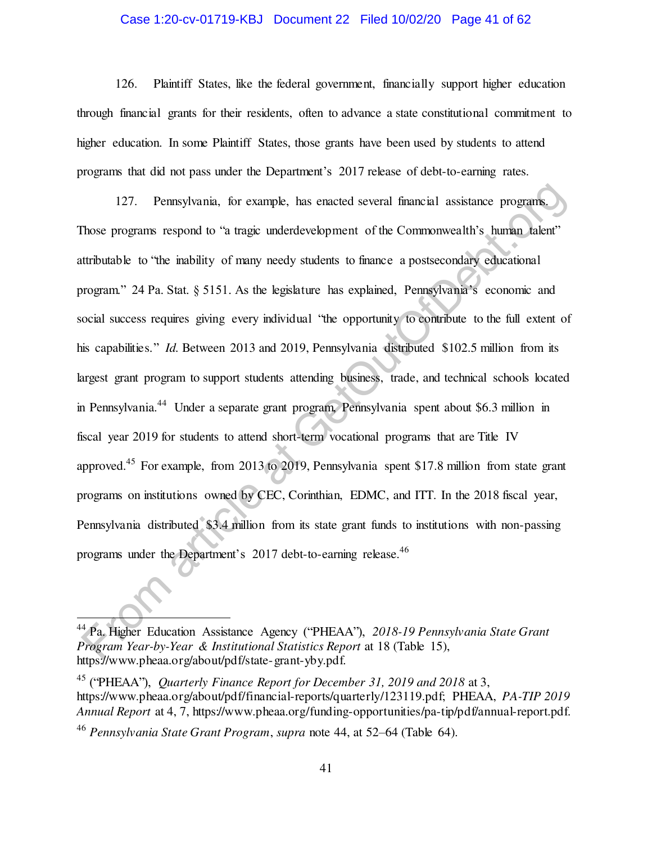# Case 1:20-cv-01719-KBJ Document 22 Filed 10/02/20 Page 41 of 62

126. Plaintiff States, like the federal government, financially support higher education through financial grants for their residents, often to advance a state constitutional commitment to higher education. In some Plaintiff States, those grants have been used by students to attend programs that did not pass under the Department's 2017 release of debt-to-earning rates.

<span id="page-40-0"></span>127. Pennsylvania, for example, has enacted several financial assistance programs. Those programs respond to "a tragic underdevelopment of the Commonwealth's human talent" attributable to "the inability of many needy students to finance a postsecondary educational program." 24 Pa. Stat. § 5151. As the legislature has explained, Pennsylvania's economic and social success requires giving every individual "the opportunity to contribute to the full extent of his capabilities." *Id.* Between 2013 and 2019, Pennsylvania distributed \$102.5 million from its largest grant program to support students attending business, trade, and technical schools located in Pennsylvania.<sup>44</sup> Under a separate grant program, Pennsylvania spent about \$6.3 million in fiscal year 2019 for students to attend short-term vocational programs that are Title IV approved.<sup>45</sup> For example, from 2013 to 2019, Pennsylvania spent \$17.8 million from state grant programs on institutions owned by CEC, Corinthian, EDMC, and ITT. In the 2018 fiscal year, Pennsylvania distributed \$3.4 million from its state grant funds to institutions with non-passing programs under the Department's 2017 debt-to-earning release.<sup>46</sup> 127. Pennsylvania, for example, has enacted several financial assistance programs,<br>Those programs respond to "a tragic underdevelopment of the Commonwealth's human lakmt"<br>tributable to "the inability of many needy student

<sup>44</sup> Pa. Higher Education Assistance Agency ("PHEAA"), *2018-19 Pennsylvania State Grant Program Year-by-Year & Institutional Statistics Report* at 18 (Table 15), https://www.pheaa.org/about/pdf/state-grant-yby.pdf.

<sup>45</sup> ("PHEAA"), *Quarterly Finance Report for December 31, 2019 and 2018* at 3, https://www.pheaa.org/about/pdf/financial-reports/quarterly/123119.pdf; PHEAA, *PA-TIP 2019 Annual Report* at 4, 7, [https://www.pheaa.org/funding-opportunities/pa-tip/pdf/annual-report.pdf.](https://www.pheaa.org/funding-opportunities/pa-tip/pdf/annual-report.pdf) 

<sup>46</sup> *Pennsylvania State Grant Program*, *supra* not[e 44,](#page-40-0) at 52–64 (Table 64).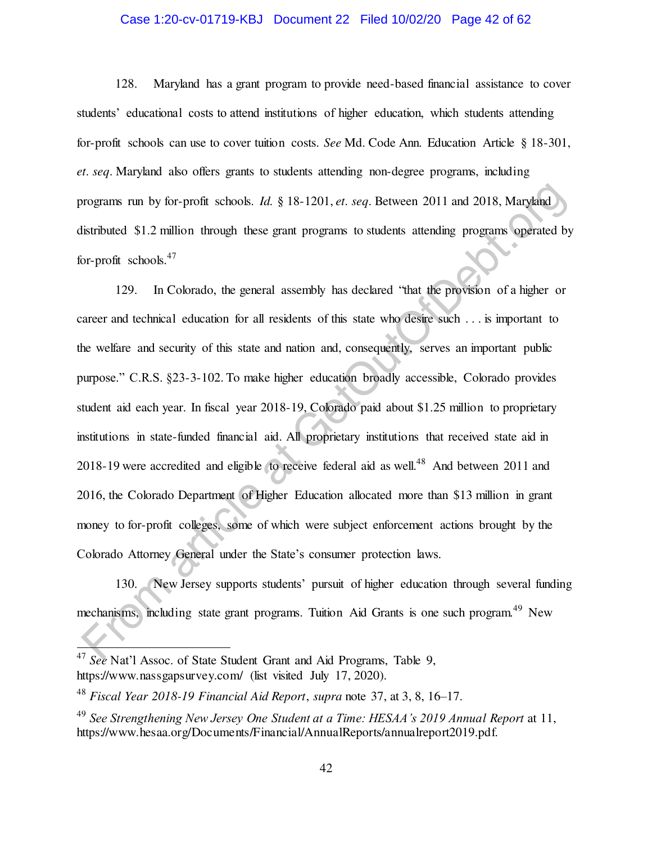# Case 1:20-cv-01719-KBJ Document 22 Filed 10/02/20 Page 42 of 62

128. Maryland has a grant program to provide need-based financial assistance to cover students' educational costs to attend institutions of higher education, which students attending for-profit schools can use to cover tuition costs. *See* Md. Code Ann. Education Article § 18-301, *et. seq*. Maryland also offers grants to students attending non-degree programs, including programs run by for-profit schools. *Id.* § 18-1201, *et. seq*. Between 2011 and 2018, Maryland distributed \$1.2 million through these grant programs to students attending programs operated by for-profit schools.<sup>47</sup>

<span id="page-41-0"></span>129. In Colorado, the general assembly has declared "that the provision of a higher or career and technical education for all residents of this state who desire such . . . is important to the welfare and security of this state and nation and, consequently, serves an important public purpose." C.R.S. §23-3-102. To make higher education broadly accessible, Colorado provides student aid each year. In fiscal year 2018-19, Colorado paid about \$1.25 million to proprietary institutions in state-funded financial aid. All proprietary institutions that received state aid in 2018-19 were accredited and eligible to receive federal aid as well. $48$  And between 2011 and 2016, the Colorado Department of Higher Education allocated more than \$13 million in grant money to for-profit colleges, some of which were subject enforcement actions brought by the Colorado Attorney General under the State's consumer protection laws. programs run by for-profit schools. *Id.* § 18-1201, *et. seq.* Between 2011 and 2018, Maryland Sixtributed \$1.2 million through these grant programs to students attending programs operated by the provident strending oper

130. New Jersey supports students' pursuit of higher education through several funding mechanisms, including state grant programs. Tuition Aid Grants is one such program.<sup>49</sup> New

<sup>47</sup> *See* Nat'l Assoc. of State Student Grant and Aid Programs, Table 9, https://www.nassgapsurvey.com/ (list visited July 17, 2020).

<sup>48</sup> *Fiscal Year 2018-19 Financial Aid Report*, *supra* note [37,](#page-34-0) at 3, 8, 16–17.

<sup>49</sup> *See Strengthening New Jersey One Student at a Time: HESAA's 2019 Annual Report* at 11, https://www.hesaa.org/Documents/Financial/AnnualReports/annualreport2019.pdf.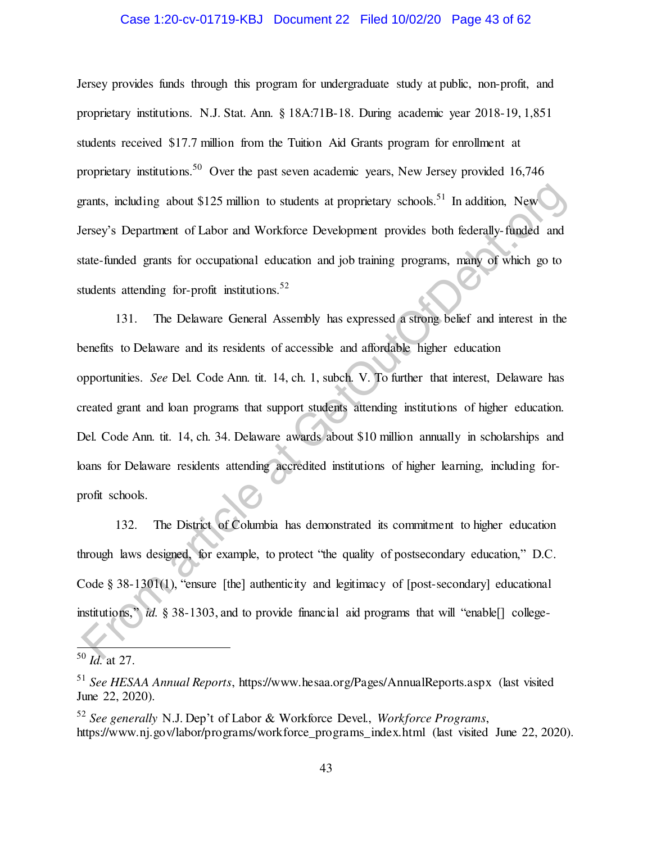## Case 1:20-cv-01719-KBJ Document 22 Filed 10/02/20 Page 43 of 62

Jersey provides funds through this program for undergraduate study at public, non-profit, and proprietary institutions. N.J. Stat. Ann. § 18A:71B-18. During academic year 2018-19, 1,851 students received \$17.7 million from the Tuition Aid Grants program for enrollment at proprietary institutions.<sup>50</sup> Over the past seven academic years, New Jersey provided 16,746 grants, including about \$125 million to students at proprietary schools.<sup>51</sup> In addition, New Jersey's Department of Labor and Workforce Development provides both federally-funded and state-funded grants for occupational education and job training programs, many of which go to students attending for-profit institutions.<sup>52</sup>

131. The Delaware General Assembly has expressed a strong belief and interest in the benefits to Delaware and its residents of accessible and affordable higher education opportunities. *See* Del. Code Ann. tit. 14, ch. 1, subch. V. To further that interest, Delaware has created grant and loan programs that support students attending institutions of higher education. Del. Code Ann. tit. 14, ch. 34. Delaware awards about \$10 million annually in scholarships and loans for Delaware residents attending accredited institutions of higher learning, including forprofit schools. grants, including about \$125 million to students at proprietary schools.<sup>51</sup> In addition, New<br>
ersey's Department of Labor and Workforce Development provides both federally-funded and<br>
tate-funded grants for occupational

132. The District of Columbia has demonstrated its commitment to higher education through laws designed, for example, to protect "the quality of postsecondary education," D.C. Code § 38-1301(1), "ensure [the] authenticity and legitimacy of [post-secondary] educational institutions," *id.* § 38-1303, and to provide financial aid programs that will "enable[] college-

*Id.* at 27.

<sup>51</sup> *See HESAA Annual Reports*, https://www.hesaa.org/Pages/AnnualReports.aspx (last visited June 22, 2020).

<sup>52</sup> *See generally* N.J. Dep't of Labor & Workforce Devel., *Workforce Programs*, https://www.nj.gov/labor/programs/workforce\_programs\_index.html (last visited June 22, 2020).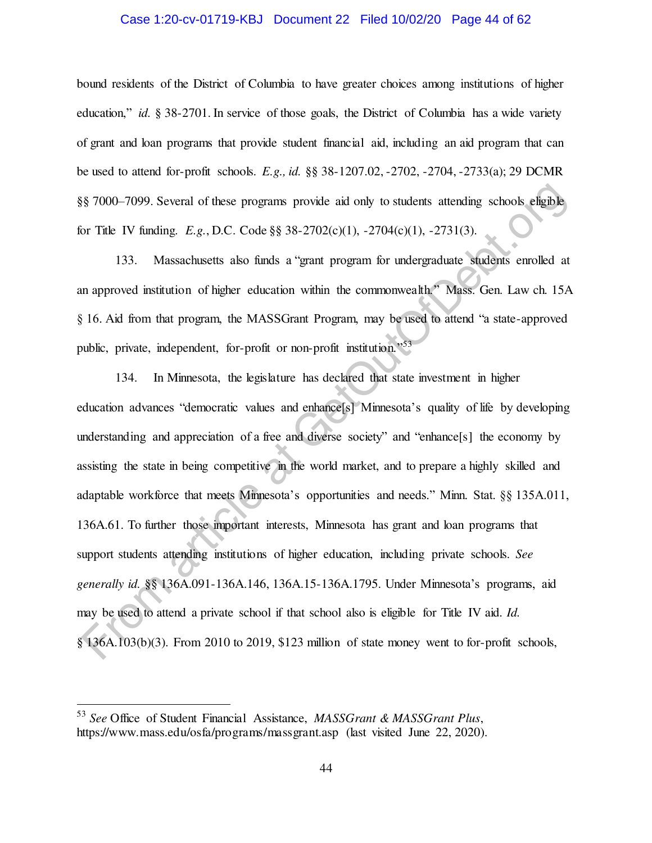## Case 1:20-cv-01719-KBJ Document 22 Filed 10/02/20 Page 44 of 62

bound residents of the District of Columbia to have greater choices among institutions of higher education," *id.* § 38-2701. In service of those goals, the District of Columbia has a wide variety of grant and loan programs that provide student financial aid, including an aid program that can be used to attend for-profit schools. *E.g., id.* §§ 38-1207.02, -2702, -2704, -2733(a); 29 DCMR §§ 7000–7099. Several of these programs provide aid only to students attending schools eligible for Title IV funding. *E.g.*, D.C. Code §§ 38-2702(c)(1), -2704(c)(1), -2731(3).

133. Massachusetts also funds a "grant program for undergraduate students enrolled at an approved institution of higher education within the commonwealth." Mass. Gen. Law ch. 15A § 16. Aid from that program, the MASSGrant Program, may be used to attend "a state-approved public, private, independent, for-profit or non-profit institution.<sup>553</sup>

134. In Minnesota, the legislature has declared that state investment in higher education advances "democratic values and enhance[s] Minnesota's quality of life by developing understanding and appreciation of a free and diverse society" and "enhance[s] the economy by assisting the state in being competitive in the world market, and to prepare a highly skilled and adaptable workforce that meets Minnesota's opportunities and needs." Minn. Stat. §§ 135A.011, 136A.61. To further those important interests, Minnesota has grant and loan programs that support students attending institutions of higher education, including private schools. *See generally id.* §§ 136A.091-136A.146, 136A.15-136A.1795. Under Minnesota's programs, aid may be used to attend a private school if that school also is eligible for Title IV aid. *Id.*  § 136A.103(b)(3). From 2010 to 2019, \$123 million of state money went to for-profit schools, From The IV imaling E.g., D.C. Code § 38-2702(c)(1), -2704(c)(1), -2731(3).<br>
For The IV imaling E.g., D.C. Code § 38-2702(c)(1), -2704(c)(1), -2731(3).<br>
133. Massachusetts also finds a "grant program for undergraduate stu

<sup>53</sup> *See* Office of Student Financial Assistance, *MASSGrant & MASSGrant Plus*, https://www.mass.edu/osfa/programs/massgrant.asp (last visited June 22, 2020).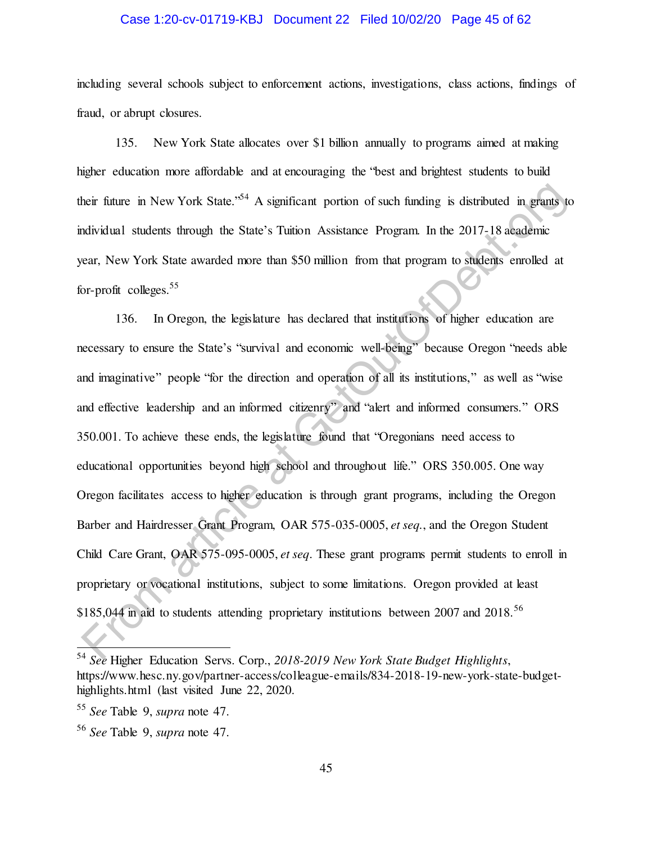# Case 1:20-cv-01719-KBJ Document 22 Filed 10/02/20 Page 45 of 62

including several schools subject to enforcement actions, investigations, class actions, findings of fraud, or abrupt closures.

135. New York State allocates over \$1 billion annually to programs aimed at making higher education more affordable and at encouraging the "best and brightest students to build their future in New York State."<sup>54</sup> A significant portion of such funding is distributed in grants to individual students through the State's Tuition Assistance Program. In the 2017-18 academic year, New York State awarded more than \$50 million from that program to students enrolled at for-profit colleges.  $55$ 

136. In Oregon, the legislature has declared that institutions of higher education are necessary to ensure the State's "survival and economic well-being" because Oregon "needs able and imaginative" people "for the direction and operation of all its institutions," as well as "wise and effective leadership and an informed citizenry" and "alert and informed consumers." ORS 350.001. To achieve these ends, the legislature found that "Oregonians need access to educational opportunities beyond high school and throughout life." ORS 350.005. One way Oregon facilitates access to higher education is through grant programs, including the Oregon Barber and Hairdresser Grant Program, OAR 575-035-0005, *et seq.*, and the Oregon Student Child Care Grant, OAR 575-095-0005, *et seq*. These grant programs permit students to enroll in proprietary or vocational institutions, subject to some limitations. Oregon provided at least \$185,044 in aid to students attending proprietary institutions between 2007 and 2018.<sup>56</sup> their finture in New York State.<sup>654</sup> A significant portion of such finding is distributed in grants to<br>minividual students through the State's Tuition Assistance Program. In the 2017-18 academic<br>ear, New York State award

<sup>54</sup> *See* Higher Education Servs. Corp., *2018-2019 New York State Budget Highlights*, https://www.hesc.ny.gov/partner-access/colleague-emails/834-2018-19-new-york-state-budgethighlights.html (last visited June 22, 2020.

<sup>55</sup> *See* Table 9, *supra* note [47.](#page-41-0)

<sup>56</sup> *See* Table 9, *supra* note [47.](#page-41-0)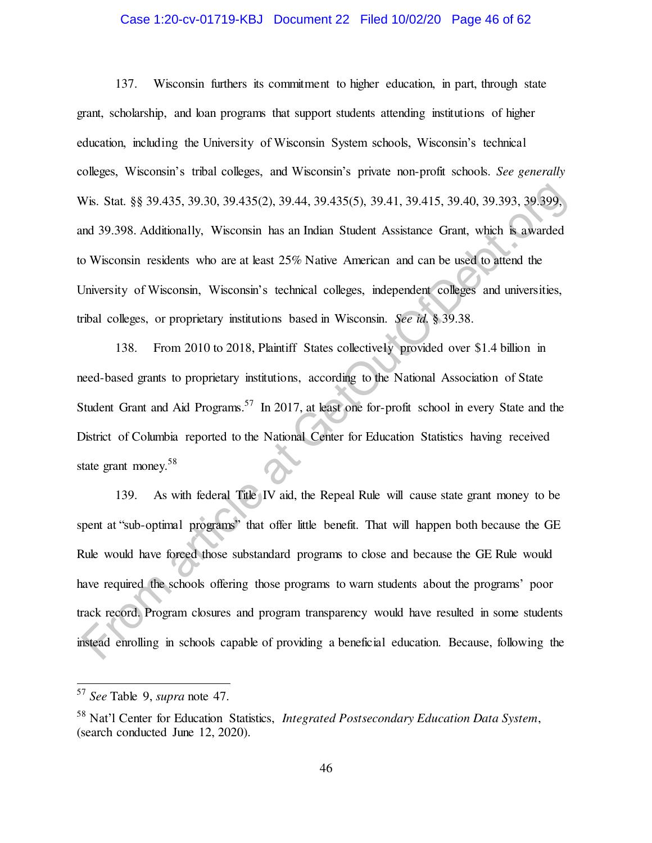# Case 1:20-cv-01719-KBJ Document 22 Filed 10/02/20 Page 46 of 62

137. Wisconsin furthers its commitment to higher education, in part, through state grant, scholarship, and loan programs that support students attending institutions of higher education, including the University of Wisconsin System schools, Wisconsin's technical colleges, Wisconsin's tribal colleges, and Wisconsin's private non-profit schools. *See generally*  Wis. Stat. §§ 39.435, 39.30, 39.435(2), 39.44, 39.435(5), 39.41, 39.415, 39.40, 39.393, 39.399, and 39.398. Additionally, Wisconsin has an Indian Student Assistance Grant, which is awarded to Wisconsin residents who are at least 25% Native American and can be used to attend the University of Wisconsin, Wisconsin's technical colleges, independent colleges and universities, tribal colleges, or proprietary institutions based in Wisconsin. *See id.* § 39.38.

138. From 2010 to 2018, Plaintiff States collectively provided over \$1.4 billion in need-based grants to proprietary institutions, according to the National Association of State Student Grant and Aid Programs.<sup>57</sup> In 2017, at least one for-profit school in every State and the District of Columbia reported to the National Center for Education Statistics having received state grant money.<sup>58</sup>

139. As with federal Title IV aid, the Repeal Rule will cause state grant money to be spent at "sub-optimal programs" that offer little benefit. That will happen both because the GE Rule would have forced those substandard programs to close and because the GE Rule would have required the schools offering those programs to warn students about the programs' poor track record. Program closures and program transparency would have resulted in some students instead enrolling in schools capable of providing a beneficial education. Because, following the Wis. Stat. §§ 39.435, 39.30, 39.435(2), 39.44, 39.435(5), 39.41, 39.415, 39.40, 39.393, 39.399, and 39.398. Additionally, Wisconsin has an Indian Student Assistance Grant, which is awarded o Wisconsin residents who are at

<sup>57</sup> *See* Table 9, *supra* note [47.](#page-41-0)

<sup>58</sup> Nat'l Center for Education Statistics, *Integrated Postsecondary Education Data System*, (search conducted June 12, 2020).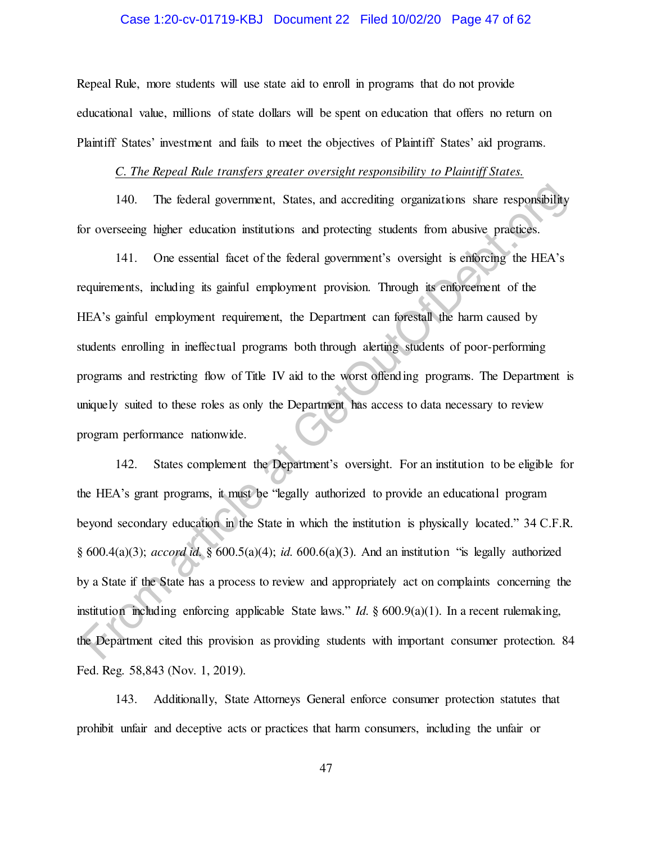## Case 1:20-cv-01719-KBJ Document 22 Filed 10/02/20 Page 47 of 62

Repeal Rule, more students will use state aid to enroll in programs that do not provide educational value, millions of state dollars will be spent on education that offers no return on Plaintiff States' investment and fails to meet the objectives of Plaintiff States' aid programs.

### *C. The Repeal Rule transfers greater oversight responsibility to Plaintiff States.*

140. The federal government, States, and accrediting organizations share responsibility for overseeing higher education institutions and protecting students from abusive practices.

141. One essential facet of the federal government's oversight is enforcing the HEA's requirements, including its gainful employment provision. Through its enforcement of the HEA's gainful employment requirement, the Department can forestall the harm caused by students enrolling in ineffectual programs both through alerting students of poor-performing programs and restricting flow of Title IV aid to the worst offending programs. The Department is uniquely suited to these roles as only the Department has access to data necessary to review program performance nationwide.

142. States complement the Department's oversight. For an institution to be eligible for the HEA's grant programs, it must be "legally authorized to provide an educational program beyond secondary education in the State in which the institution is physically located." 34 C.F.R. § 600.4(a)(3); *accord id.* § 600.5(a)(4); *id.* 600.6(a)(3). And an institution "is legally authorized by a State if the State has a process to review and appropriately act on complaints concerning the institution including enforcing applicable State laws." *Id.* § 600.9(a)(1). In a recent rulemaking, the Department cited this provision as providing students with important consumer protection. 84 Fed. Reg. 58,843 (Nov. 1, 2019). 140. The federal government, States, and accrediing organizations share responsibility<br>or overseeing higher education institutions and protecting students from abusive practices.<br>141. One essential facet of the fieldral g

143. Additionally, State Attorneys General enforce consumer protection statutes that prohibit unfair and deceptive acts or practices that harm consumers, including the unfair or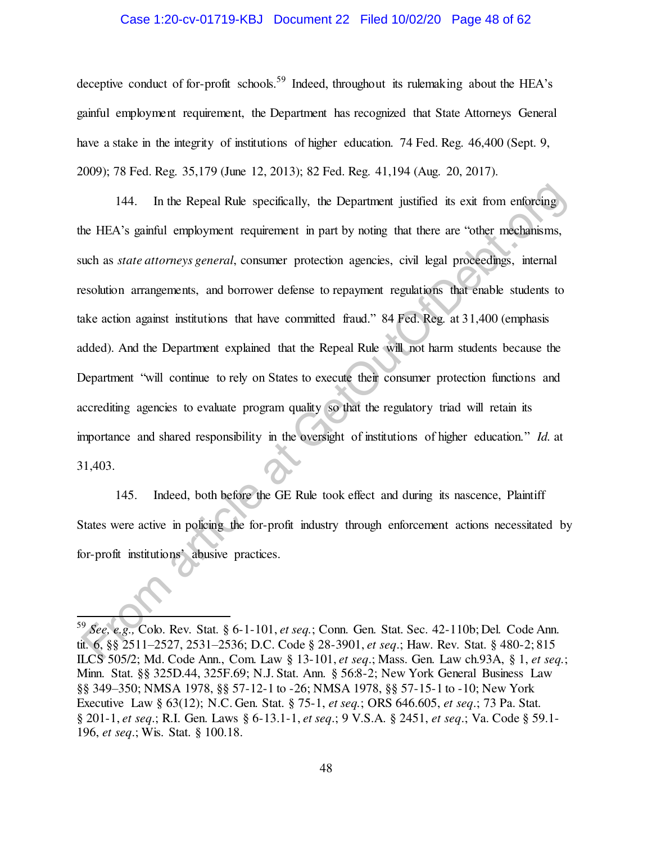## Case 1:20-cv-01719-KBJ Document 22 Filed 10/02/20 Page 48 of 62

deceptive conduct of for-profit schools.<sup>59</sup> Indeed, throughout its rulemaking about the HEA's gainful employment requirement, the Department has recognized that State Attorneys General have a stake in the integrity of institutions of higher education. 74 Fed. Reg. 46,400 (Sept. 9, 2009); 78 Fed. Reg. 35,179 (June 12, 2013); 82 Fed. Reg. 41,194 (Aug. 20, 2017).

144. In the Repeal Rule specifically, the Department justified its exit from enforcing the HEA's gainful employment requirement in part by noting that there are "other mechanisms, such as *state attorneys general*, consumer protection agencies, civil legal proceedings, internal resolution arrangements, and borrower defense to repayment regulations that enable students to take action against institutions that have committed fraud." 84 Fed. Reg. at 31,400 (emphasis added). And the Department explained that the Repeal Rule will not harm students because the Department "will continue to rely on States to execute their consumer protection functions and accrediting agencies to evaluate program quality so that the regulatory triad will retain its importance and shared responsibility in the oversight of institutions of higher education." *Id.* at 31,403. 144. In the Repeal Rule specifically, the Department justified its exit from enforcing<br>the HEA's gainful employment requirement in part by noting that there are "other mechanisms,<br>uch as *state attorneys general*, consume

145. Indeed, both before the GE Rule took effect and during its nascence, Plaintiff States were active in policing the for-profit industry through enforcement actions necessitated by for-profit institutions' abusive practices.

<sup>59</sup> *See, e.g.,* Colo. Rev. Stat. § 6-1-101, *et seq.*; Conn. Gen. Stat. Sec. 42-110b; Del. Code Ann. tit. 6, §§ 2511–2527, 2531–2536; D.C. Code § 28-3901, *et seq*.; Haw. Rev. Stat. § 480-2; 815 ILCS 505/2; Md. Code Ann., Com. Law § 13-101, *et seq*.; Mass. Gen. Law ch.93A, § 1, *et seq.*; Minn. Stat. §§ 325D.44, 325F.69; N.J. Stat. Ann. § 56:8-2; New York General Business Law §§ 349–350; NMSA 1978, §§ 57-12-1 to -26; NMSA 1978, §§ 57-15-1 to -10; New York Executive Law § 63(12); N.C. Gen. Stat. § 75-1, *et seq.*; ORS 646.605, *et seq*.; 73 Pa. Stat. § 201-1, *et seq*.; R.I. Gen. Laws § 6-13.1-1, *et seq*.; 9 V.S.A. § 2451, *et seq*.; Va. Code § 59.1- 196, *et seq*.; Wis. Stat. § 100.18.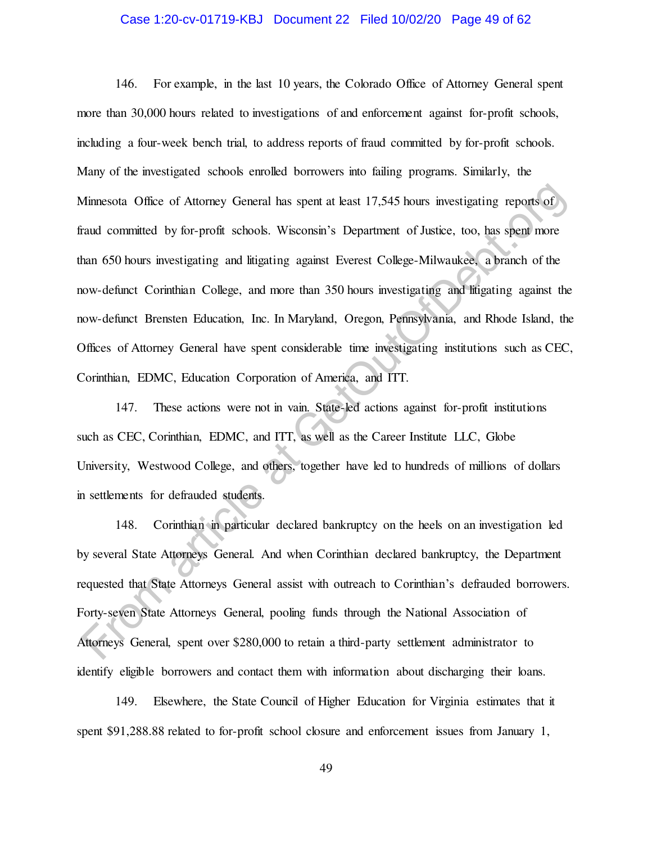## Case 1:20-cv-01719-KBJ Document 22 Filed 10/02/20 Page 49 of 62

146. For example, in the last 10 years, the Colorado Office of Attorney General spent more than 30,000 hours related to investigations of and enforcement against for-profit schools, including a four-week bench trial, to address reports of fraud committed by for-profit schools. Many of the investigated schools enrolled borrowers into failing programs. Similarly, the Minnesota Office of Attorney General has spent at least 17,545 hours investigating reports of fraud committed by for-profit schools. Wisconsin's Department of Justice, too, has spent more than 650 hours investigating and litigating against Everest College-Milwaukee, a branch of the now-defunct Corinthian College, and more than 350 hours investigating and litigating against the now-defunct Brensten Education, Inc. In Maryland, Oregon, Pennsylvania, and Rhode Island, the Offices of Attorney General have spent considerable time investigating institutions such as CEC, Corinthian, EDMC, Education Corporation of America, and ITT. Minnesota Office of Attorney General has spent at least 17,545 hours investigating reports of<br>trand committed by for-profit schools. Wisconsin's Department of Justice, too, has spent more<br>han 650 hours investigating and li

147. These actions were not in vain. State-led actions against for-profit institutions such as CEC, Corinthian, EDMC, and ITT, as well as the Career Institute LLC, Globe University, Westwood College, and others, together have led to hundreds of millions of dollars in settlements for defrauded students.

148. Corinthian in particular declared bankruptcy on the heels on an investigation led by several State Attorneys General. And when Corinthian declared bankruptcy, the Department requested that State Attorneys General assist with outreach to Corinthian's defrauded borrowers. Forty-seven State Attorneys General, pooling funds through the National Association of Attorneys General, spent over \$280,000 to retain a third-party settlement administrator to identify eligible borrowers and contact them with information about discharging their loans.

149. Elsewhere, the State Council of Higher Education for Virginia estimates that it spent \$91,288.88 related to for-profit school closure and enforcement issues from January 1,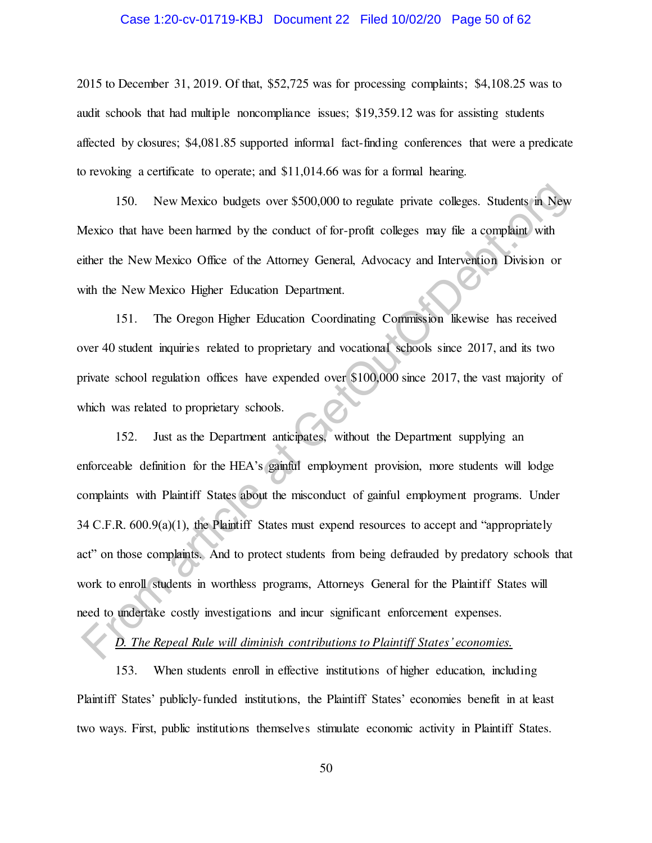#### Case 1:20-cv-01719-KBJ Document 22 Filed 10/02/20 Page 50 of 62

2015 to December 31, 2019. Of that, \$52,725 was for processing complaints; \$4,108.25 was to audit schools that had multiple noncompliance issues; \$19,359.12 was for assisting students affected by closures; \$4,081.85 supported informal fact-finding conferences that were a predicate to revoking a certificate to operate; and \$11,014.66 was for a formal hearing.

150. New Mexico budgets over \$500,000 to regulate private colleges. Students in New Mexico that have been harmed by the conduct of for-profit colleges may file a complaint with either the New Mexico Office of the Attorney General, Advocacy and Intervention Division or with the New Mexico Higher Education Department.

151. The Oregon Higher Education Coordinating Commission likewise has received over 40 student inquiries related to proprietary and vocational schools since 2017, and its two private school regulation offices have expended over \$100,000 since 2017, the vast majority of which was related to proprietary schools.

152. Just as the Department anticipates, without the Department supplying an enforceable definition for the HEA's gainful employment provision, more students will lodge complaints with Plaintiff States about the misconduct of gainful employment programs. Under 34 C.F.R. 600.9(a)(1), the Plaintiff States must expend resources to accept and "appropriately act" on those complaints. And to protect students from being defrauded by predatory schools that work to enroll students in worthless programs, Attorneys General for the Plaintiff States will need to undertake costly investigations and incur significant enforcement expenses. 150. New Mexico budgets over \$500,000 to regulate private colleges. Students in New<br>Mexico that have been harmed by the conduct of for-profit colleges may file a complaint with<br>direct the New Mexico Office of the Attorney

# *D. The Repeal Rule will diminish contributions to Plaintiff States' economies.*

153. When students enroll in effective institutions of higher education, including Plaintiff States' publicly-funded institutions, the Plaintiff States' economies benefit in at least two ways. First, public institutions themselves stimulate economic activity in Plaintiff States.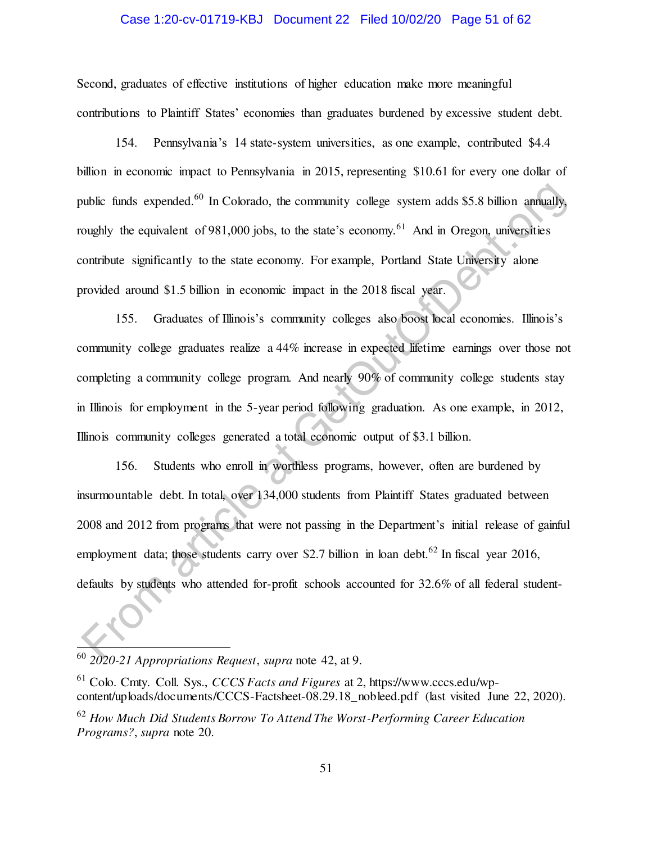## Case 1:20-cv-01719-KBJ Document 22 Filed 10/02/20 Page 51 of 62

Second, graduates of effective institutions of higher education make more meaningful contributions to Plaintiff States' economies than graduates burdened by excessive student debt.

154. Pennsylvania's 14 state-system universities, as one example, contributed \$4.4 billion in economic impact to Pennsylvania in 2015, representing \$10.61 for every one dollar of public funds expended.<sup>60</sup> In Colorado, the community college system adds \$5.8 billion annually, roughly the equivalent of 981,000 jobs, to the state's economy.<sup>61</sup> And in Oregon, universities contribute significantly to the state economy. For example, Portland State University alone provided around \$1.5 billion in economic impact in the 2018 fiscal year.

155. Graduates of Illinois's community colleges also boost local economies. Illinois's community college graduates realize a 44% increase in expected lifetime earnings over those not completing a community college program. And nearly 90% of community college students stay in Illinois for employment in the 5-year period following graduation. As one example, in 2012, Illinois community colleges generated a total economic output of \$3.1 billion. mublic funds expended.<sup>60</sup> In Cobrado, the community college system adds \$5.8 billion animally,<br>oughly the equivalent of 981,000 jobs, to the state's economy.<sup>61</sup> And in Oregon, universities<br>ontribute significantly to the

156. Students who enroll in worthless programs, however, often are burdened by insurmountable debt. In total, over 134,000 students from Plaintiff States graduated between 2008 and 2012 from programs that were not passing in the Department's initial release of gainful employment data; those students carry over \$2.7 billion in loan debt.<sup>62</sup> In fiscal year 2016, defaults by students who attended for-profit schools accounted for 32.6% of all federal student-

<sup>60</sup> *2020-21 Appropriations Request*, *supra* note [42,](#page-38-0) at 9.

<sup>61</sup> Colo. Cmty. Coll. Sys., *CCCS Facts and Figures* at 2, https://www.cccs.edu/wpcontent/uploads/documents/CCCS-Factsheet-08.29.18\_nobleed.pdf (last visited June 22, 2020).

<sup>62</sup> *How Much Did Students Borrow To Attend The Worst-Performing Career Education Programs?*, *supra* note [20.](#page-22-0)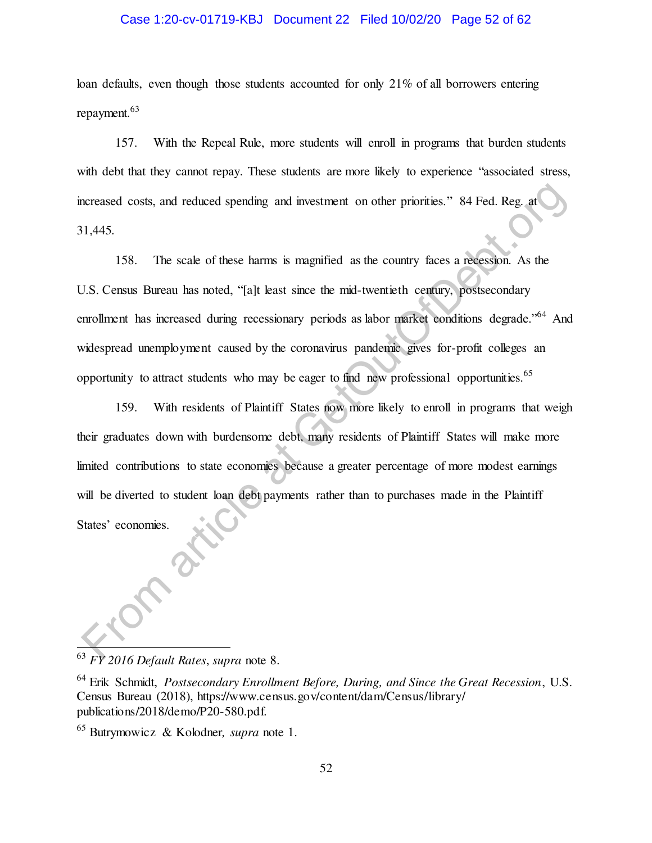## Case 1:20-cv-01719-KBJ Document 22 Filed 10/02/20 Page 52 of 62

loan defaults, even though those students accounted for only 21% of all borrowers entering repayment.<sup>63</sup>

157. With the Repeal Rule, more students will enroll in programs that burden students with debt that they cannot repay. These students are more likely to experience "associated stress, increased costs, and reduced spending and investment on other priorities." 84 Fed. Reg. at 31,445*.*

158. The scale of these harms is magnified as the country faces a recession. As the U.S. Census Bureau has noted, "[a]t least since the mid-twentieth century, postsecondary enrollment has increased during recessionary periods as labor market conditions degrade."<sup>64</sup> And widespread unemployment caused by the coronavirus pandemic gives for-profit colleges an opportunity to attract students who may be eager to find new professional opportunities.<sup>65</sup> ncreased costs, and reduced spending and investment on other priorities." 84 Fed. Reg. at 1,445.<br>
11,445.<br>
11,445.<br>
11,445.<br>
11,445.<br>
11,58. The scale of these harms is magnified as the country faces a referesion. As the<br>

<span id="page-51-0"></span>159. With residents of Plaintiff States now more likely to enroll in programs that weigh their graduates down with burdensome debt, many residents of Plaintiff States will make more limited contributions to state economies because a greater percentage of more modest earnings will be diverted to student loan debt payments rather than to purchases made in the Plaintiff States' economies.

<sup>63</sup> *FY 2016 Default Rates*, *supra* not[e 8.](#page-13-0)

<sup>64</sup> Erik Schmidt, *Postsecondary Enrollment Before, During, and Since the Great Recession*, U.S. Census Bureau (2018), https://www.census.gov/content/dam/Census/library/ publications/2018/demo/P20-580.pdf.

<sup>65</sup> Butrymowicz & Kolodner*, supra* note [1.](#page-4-0)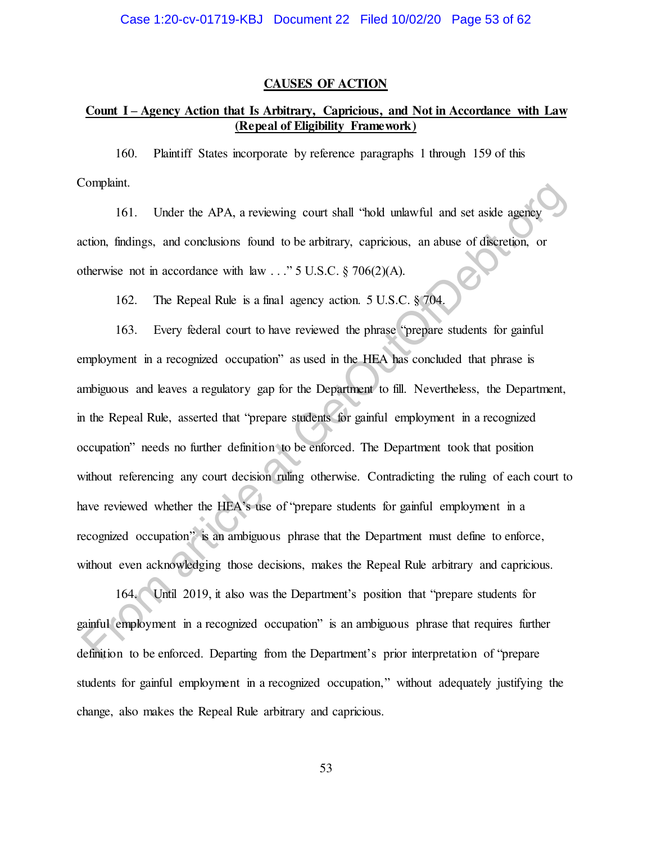#### **CAUSES OF ACTION**

# **Count I – Agency Action that Is Arbitrary, Capricious, and Not in Accordance with Law (Repeal of Eligibility Framework)**

160. Plaintiff States incorporate by reference paragraphs 1 through [159](#page-51-0) of this Complaint.

161. Under the APA, a reviewing court shall "hold unlawful and set aside agency action, findings, and conclusions found to be arbitrary, capricious, an abuse of discretion, or otherwise not in accordance with law  $\ldots$  " 5 U.S.C. § 706(2)(A).

162. The Repeal Rule is a final agency action. 5 U.S.C. § 704.

163. Every federal court to have reviewed the phrase "prepare students for gainful employment in a recognized occupation" as used in the HEA has concluded that phrase is ambiguous and leaves a regulatory gap for the Department to fill. Nevertheless, the Department, in the Repeal Rule, asserted that "prepare students for gainful employment in a recognized occupation" needs no further definition to be enforced. The Department took that position without referencing any court decision ruling otherwise. Contradicting the ruling of each court to have reviewed whether the HEA's use of "prepare students for gainful employment in a recognized occupation" is an ambiguous phrase that the Department must define to enforce, without even acknowledging those decisions, makes the Repeal Rule arbitrary and capricious. From a complement in a recognized course of "breaking court shall "hold unlawful and set aside agency<br>
incition, findings, and conclusions found to be arbitrary, capticious, an abuse of discretion, or<br>
wherevise rot in ac

164. Until 2019, it also was the Department's position that "prepare students for gainful employment in a recognized occupation" is an ambiguous phrase that requires further definition to be enforced. Departing from the Department's prior interpretation of "prepare students for gainful employment in a recognized occupation," without adequately justifying the change, also makes the Repeal Rule arbitrary and capricious.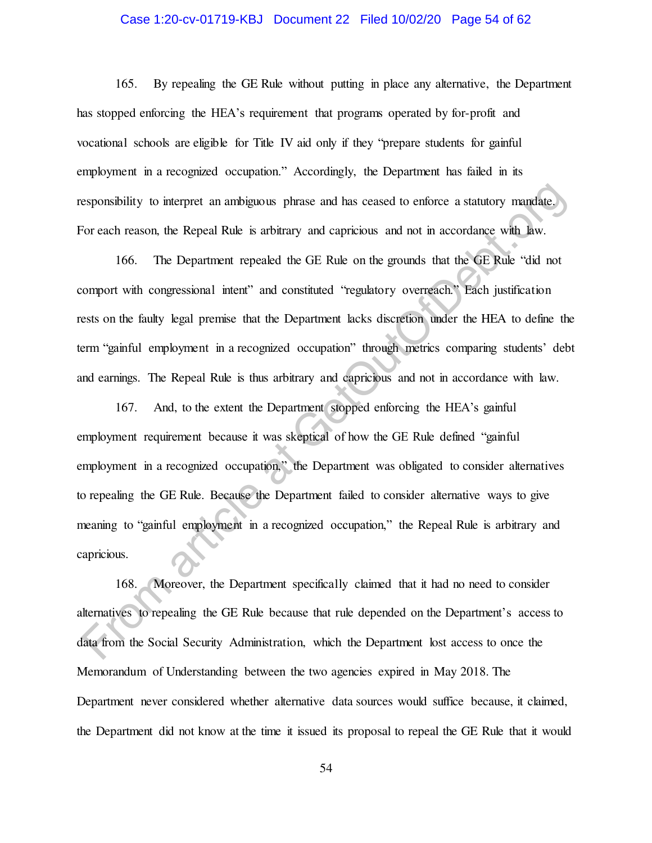## Case 1:20-cv-01719-KBJ Document 22 Filed 10/02/20 Page 54 of 62

165. By repealing the GE Rule without putting in place any alternative, the Department has stopped enforcing the HEA's requirement that programs operated by for-profit and vocational schools are eligible for Title IV aid only if they "prepare students for gainful employment in a recognized occupation." Accordingly, the Department has failed in its responsibility to interpret an ambiguous phrase and has ceased to enforce a statutory mandate. For each reason, the Repeal Rule is arbitrary and capricious and not in accordance with law.

166. The Department repealed the GE Rule on the grounds that the GE Rule "did not comport with congressional intent" and constituted "regulatory overreach." Each justification rests on the faulty legal premise that the Department lacks discretion under the HEA to define the term "gainful employment in a recognized occupation" through metrics comparing students' debt and earnings. The Repeal Rule is thus arbitrary and capricious and not in accordance with law.

167. And, to the extent the Department stopped enforcing the HEA's gainful employment requirement because it was skeptical of how the GE Rule defined "gainful employment in a recognized occupation," the Department was obligated to consider alternatives to repealing the GE Rule. Because the Department failed to consider alternative ways to give meaning to "gainful employment in a recognized occupation," the Repeal Rule is arbitrary and capricious. esponsibility to interpret an ambiguous phrase and has ceased to enforce a statutory mandate.<br>For each reason, the Repeal Rule is arbitrary and capricious and not in accordance with law.<br>166. The Department repealed the GE

168. Moreover, the Department specifically claimed that it had no need to consider alternatives to repealing the GE Rule because that rule depended on the Department's access to data from the Social Security Administration, which the Department lost access to once the Memorandum of Understanding between the two agencies expired in May 2018. The Department never considered whether alternative data sources would suffice because, it claimed, the Department did not know at the time it issued its proposal to repeal the GE Rule that it would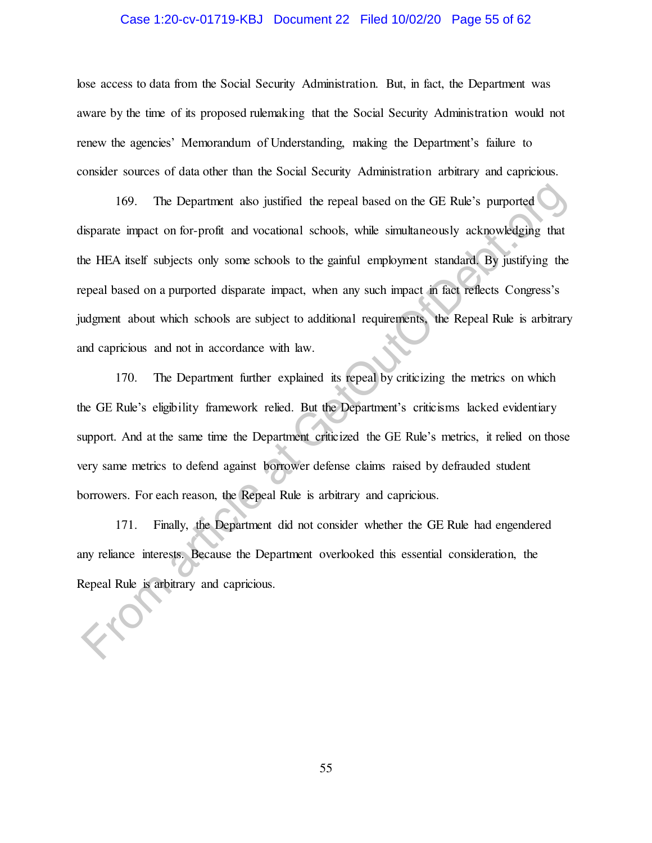#### Case 1:20-cv-01719-KBJ Document 22 Filed 10/02/20 Page 55 of 62

lose access to data from the Social Security Administration. But, in fact, the Department was aware by the time of its proposed rulemaking that the Social Security Administration would not renew the agencies' Memorandum of Understanding, making the Department's failure to consider sources of data other than the Social Security Administration arbitrary and capricious.

169. The Department also justified the repeal based on the GE Rule's purported disparate impact on for-profit and vocational schools, while simultaneously acknowledging that the HEA itself subjects only some schools to the gainful employment standard. By justifying the repeal based on a purported disparate impact, when any such impact in fact reflects Congress's judgment about which schools are subject to additional requirements, the Repeal Rule is arbitrary and capricious and not in accordance with law. The Department also justified the repeal based on the GE Rule's purported<br>
Substitute impact on for-profit and vocational schools, while simultaneously acknowledging that<br>
the HEA iself subjects only some schools to the ga

170. The Department further explained its repeal by criticizing the metrics on which the GE Rule's eligibility framework relied. But the Department's criticisms lacked evidentiary support. And at the same time the Department criticized the GE Rule's metrics, it relied on those very same metrics to defend against borrower defense claims raised by defrauded student borrowers. For each reason, the Repeal Rule is arbitrary and capricious.

171. Finally, the Department did not consider whether the GE Rule had engendered any reliance interests. Because the Department overlooked this essential consideration, the Repeal Rule is arbitrary and capricious.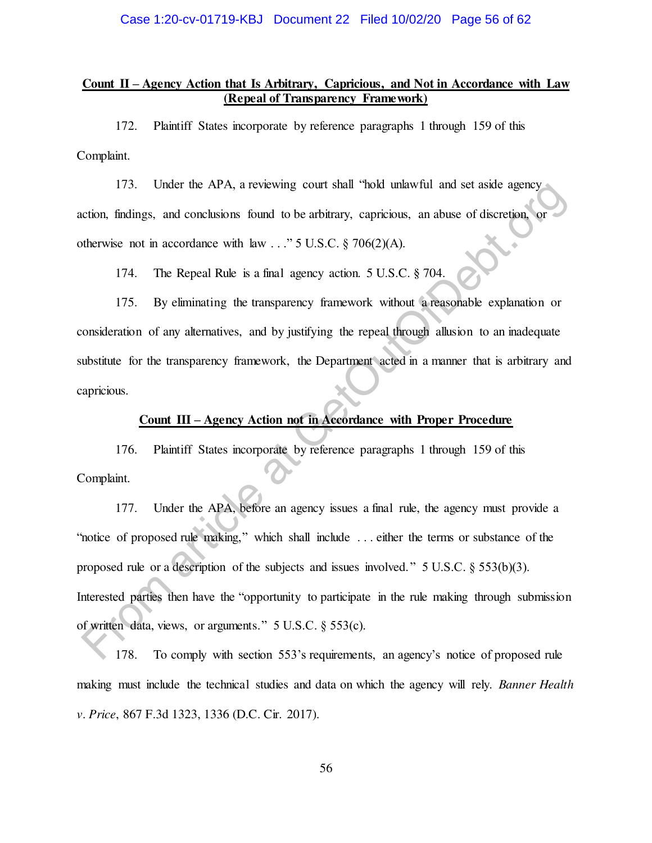# **Count II – Agency Action that Is Arbitrary, Capricious, and Not in Accordance with Law (Repeal of Transparency Framework)**

172. Plaintiff States incorporate by reference paragraphs 1 through [159](#page-51-0) of this Complaint.

173. Under the APA, a reviewing court shall "hold unlawful and set aside agency action, findings, and conclusions found to be arbitrary, capricious, an abuse of discretion, or otherwise not in accordance with law . . ." 5 U.S.C. § 706(2)(A).

174. The Repeal Rule is a final agency action. 5 U.S.C. § 704.

175. By eliminating the transparency framework without a reasonable explanation or consideration of any alternatives, and by justifying the repeal through allusion to an inadequate substitute for the transparency framework, the Department acted in a manner that is arbitrary and capricious.

# **Count III – Agency Action not in Accordance with Proper Procedure**

176. Plaintiff States incorporate by reference paragraphs 1 through 159 of this Complaint.

177. Under the APA, before an agency issues a final rule, the agency must provide a "notice of proposed rule making," which shall include . . . either the terms or substance of the proposed rule or a description of the subjects and issues involved." 5 U.S.C. § 553(b)(3). Interested parties then have the "opportunity to participate in the rule making through submission of written data, views, or arguments." 5 U.S.C. § 553(c). 173. Under the APA, a revewing court staat "nota unawriut and set asket agency<br>
action, findings, and conclusions found to be arbitrary, captricious, an abuse of discretion, or<br>
discretion, or<br>
therwise not in accordance

178. To comply with section 553's requirements, an agency's notice of proposed rule making must include the technical studies and data on which the agency will rely. *Banner Health v. Price*, 867 F.3d 1323, 1336 (D.C. Cir. 2017).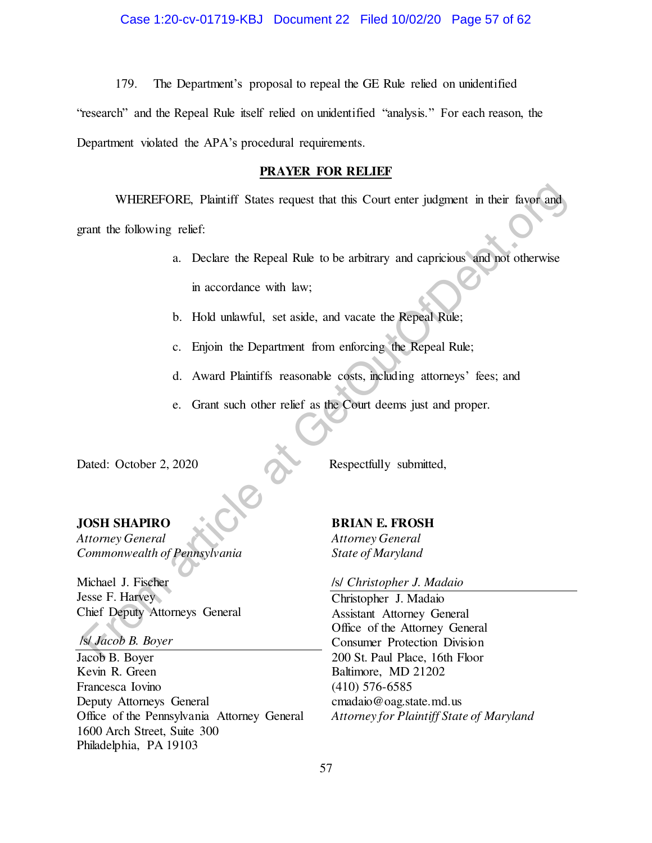#### Case 1:20-cv-01719-KBJ Document 22 Filed 10/02/20 Page 57 of 62

179. The Department's proposal to repeal the GE Rule relied on unidentified

"research" and the Repeal Rule itself relied on unidentified "analysis." For each reason, the Department violated the APA's procedural requirements.

## **PRAYER FOR RELIEF**

WHEREFORE, Plaintiff States request that this Court enter judgment in their favor and grant the following relief: WHEREFORE, Plaintiff States request that this Court enter judgment in their favor and<br>
yant the following relief:<br>
a. Deckre the Repeal Ruk to be arbitrary and capricious and not otherwise<br>
in accordance with law;<br>
b. Hold

- a. Declare the Repeal Rule to be arbitrary and capricious and not otherwise in accordance with law;
- b. Hold unlawful, set aside, and vacate the Repeal Rule;
- c. Enjoin the Department from enforcing the Repeal Rule;
- d. Award Plaintiffs reasonable costs, including attorneys' fees; and
- e. Grant such other relief as the Court deems just and proper.

Dated: October 2, 2020 Respectfully submitted,

# **JOSH SHAPIRO**

*Attorney General Commonwealth of Pennsylvania* 

Michael J. Fischer Jesse F. Harvey Chief Deputy Attorneys General

/s/ *Jacob B. Boyer* 

Jacob B. Boyer Kevin R. Green Francesca Iovino Deputy Attorneys General Office of the Pennsylvania Attorney General 1600 Arch Street, Suite 300 Philadelphia, PA 19103

**BRIAN E. FROSH** 

*Attorney General State of Maryland* 

## /s/ *Christopher J. Madaio*

Christopher J. Madaio Assistant Attorney General Office of the Attorney General Consumer Protection Division 200 St. Paul Place, 16th Floor Baltimore, MD 21202 (410) 576-6585 cmadaio@oag.state.md.us *Attorney for Plaintiff State of Maryland*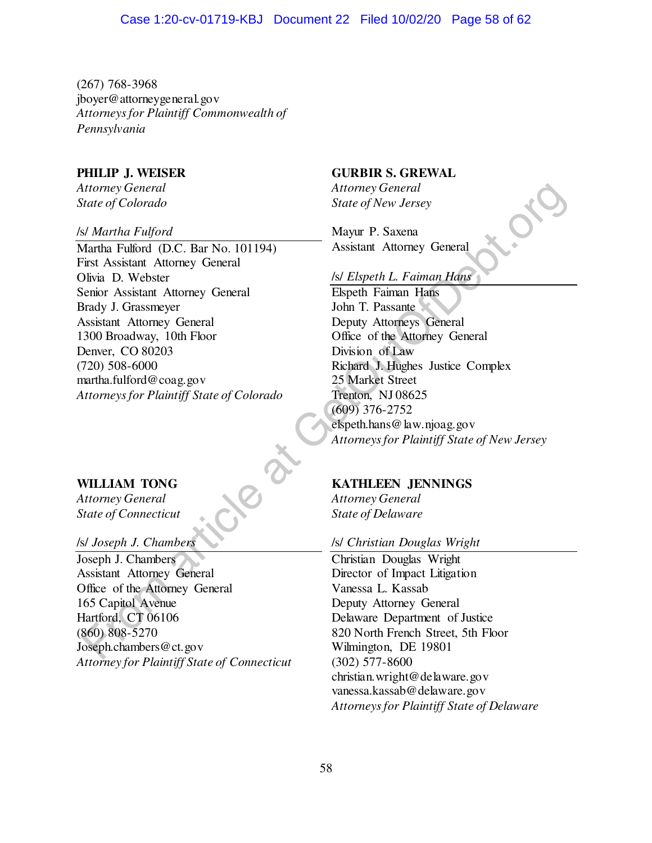(267) 768-3968 jboyer@attorneygeneral.gov *Attorneys for Plaintiff Commonwealth of Pennsylvania* 

## **PHILIP J. WEISER**

*Attorney General State of Colorado* 

#### /s/ *Martha Fulford*

Martha Fulford (D.C. Bar No. 101194) First Assistant Attorney General Olivia D. Webster Senior Assistant Attorney General Brady J. Grassmeyer Assistant Attorney General 1300 Broadway, 10th Floor Denver, CO 80203 (720) 508-6000 martha.fulford@coag.gov *Attorneys for Plaintiff State of Colorado*

### **WILLIAM TONG**

*Attorney General State of Connecticut*

/s/ *Joseph J. Chambers* 

Joseph J. Chambers Assistant Attorney General Office of the Attorney General 165 Capitol Avenue Hartford, CT 06106 (860) 808-5270 Joseph.chambers@ct.gov *Attorney for Plaintiff State of Connecticut* 

## **GURBIR S. GREWAL**

*Attorney General State of New Jersey* 

Mayur P. Saxena Assistant Attorney General

# /s/ *Elspeth L. Faiman Hans*

Elspeth Faiman Hans John T. Passante Deputy Attorneys General Office of the Attorney General Division of Law Richard J. Hughes Justice Complex 25 Market Street Trenton, NJ 08625 (609) 376-2752 elspeth.hans@law.njoag.gov *Attorneys for Plaintiff State of New Jersey*  Mattheware Ceneral<br>
State of Colorado Antoney General<br>
Mattha Fulford<br>
Mattha Fulford<br>
Mattha Fulford<br>
Tisk Assistant Attorney General<br>
Shick at No. 101194)<br>
Assistant Attorney General<br>
Shick D. Weskert<br>
Shick D. Wesker<br>
S

## **KATHLEEN JENNINGS**

*Attorney General State of Delaware*

## /s/ *Christian Douglas Wright*

Christian Douglas Wright Director of Impact Litigation Vanessa L. Kassab Deputy Attorney General Delaware Department of Justice 820 North French Street, 5th Floor Wilmington, DE 19801 (302) 577-8600 christian.wright@delaware.gov vanessa.kassab@delaware.gov *Attorneys for Plaintiff State of Delaware*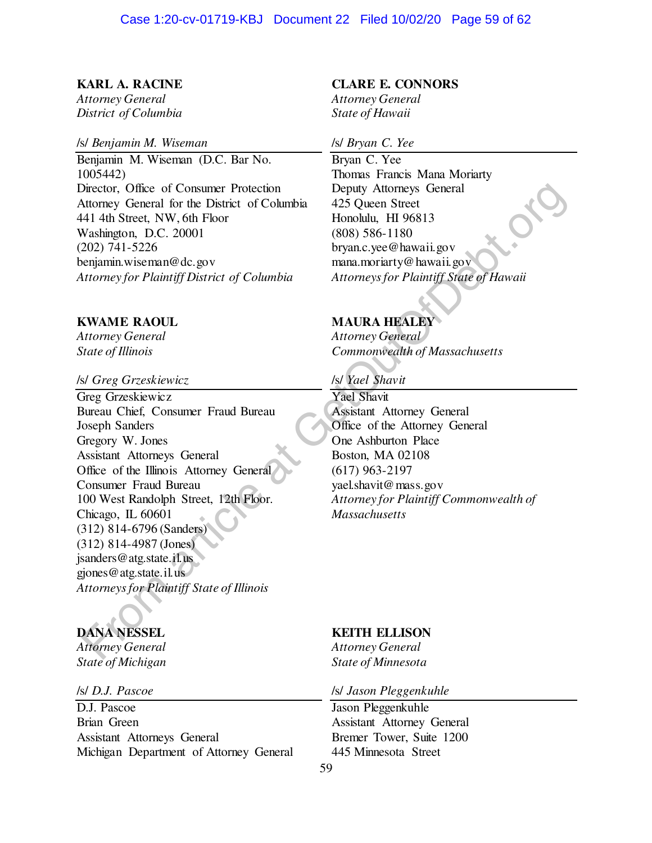# **KARL A. RACINE**

*Attorney General District of Columbia*

## /s/ *Benjamin M. Wiseman*

Benjamin M. Wiseman (D.C. Bar No. 1005442) Director, Office of Consumer Protection Attorney General for the District of Columbia 441 4th Street, NW, 6th Floor Washington, D.C. 20001 (202) 741-5226 benjamin.wiseman@dc.gov *Attorney for Plaintiff District of Columbia* 

## **KWAME RAOUL**

*Attorney General State of Illinois* 

## /s/ *Greg Grzeskiewicz*

Greg Grzeskiewicz Bureau Chief, Consumer Fraud Bureau Joseph Sanders Gregory W. Jones Assistant Attorneys General Office of the Illinois Attorney General Consumer Fraud Bureau 100 West Randolph Street, 12th Floor. Chicago, IL 60601 (312) 814-6796 (Sanders) (312) 814-4987 (Jones) jsanders@atg.state.il.us gjones@atg.state.il.us *Attorneys for Plaintiff State of Illinois*  Director, Office of Consumer Protection<br>
Mattery Scheral for the District of Columbia  $425$  Queen Street<br>
44144h Street, NW, 6th Floor<br>
4444th Street, NW, 6th Floor<br>
445 Queen Street<br>
4444th Street, NW, 6th Floor<br>
1464th

# **DANA NESSEL**

*Attorney General State of Michigan* 

/s/ *D.J. Pascoe*

D.J. Pascoe Brian Green Assistant Attorneys General Michigan Department of Attorney General

# **CLARE E. CONNORS**

*Attorney General State of Hawaii* 

## /s/ *Bryan C. Yee*

Bryan C. Yee Thomas Francis Mana Moriarty Deputy Attorneys General 425 Queen Street Honolulu, HI 96813 (808) 586-1180 bryan.c.yee@hawaii.gov mana.moriarty@hawaii.gov *Attorneys for Plaintiff State of Hawaii* 

## **MAURA HEALEY**

*Attorney General Commonwealth of Massachusetts* 

# /s/ *Yael Shavit*

Yael Shavit Assistant Attorney General Office of the Attorney General One Ashburton Place Boston, MA 02108 (617) 963-2197 yael.shavit@mass.gov *Attorney for Plaintiff Commonwealth of Massachusetts*

### **KEITH ELLISON**

*Attorney General State of Minnesota* 

#### /s/ *Jason Pleggenkuhle*

Jason Pleggenkuhle Assistant Attorney General Bremer Tower, Suite 1200 445 Minnesota Street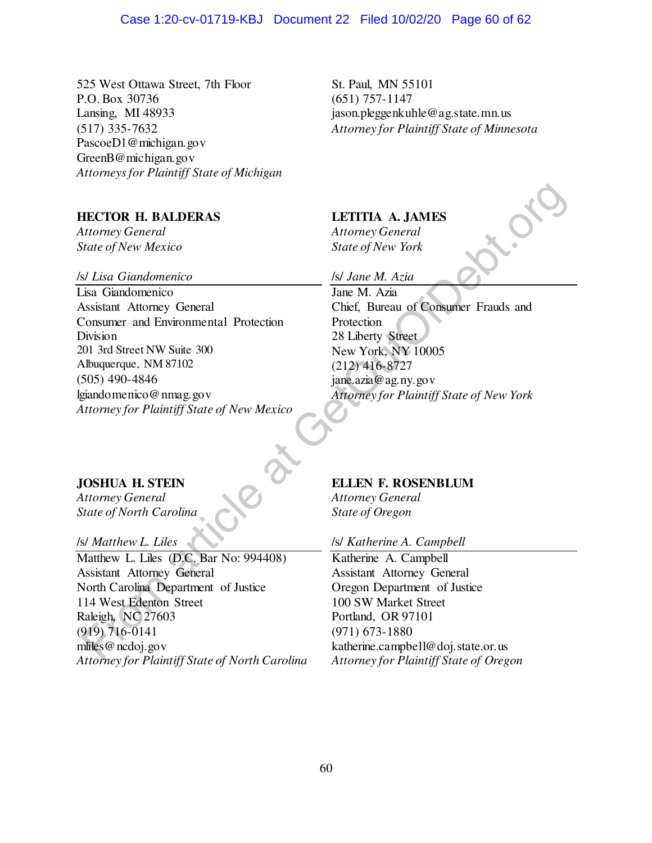## Case 1:20-cv-01719-KBJ Document 22 Filed 10/02/20 Page 60 of 62

525 West Ottawa Street, 7th Floor P.O. Box 30736 Lansing, MI 48933 (517) 335-7632 PascoeD1@michigan.gov GreenB@michigan.gov *Attorneys for Plaintiff State of Michigan* 

## **HECTOR H. BALDERAS**

*Attorney General State of New Mexico* 

/s/ *Lisa Giandomenico* 

Lisa Giandomenico Assistant Attorney General Consumer and Environmental Protection Division 201 3rd Street NW Suite 300 Albuquerque, NM 87102 (505) 490-4846 lgiandomenico@nmag.gov *Attorney for Plaintiff State of New Mexico*  **ECOR H. BALDERAS**<br>
Internety General<br>
Internety General<br>
Island of New Mexico<br>
State of New York: State of New York: State of New York: State of New York: State of New York: State of Consumer Frauds and<br>
States General Co

## **JOSHUA H. STEIN**

*Attorney General State of North Carolina* 

#### /s/ *Matthew L. Liles*

Matthew L. Liles (D.C. Bar No: 994408) Assistant Attorney General North Carolina Department of Justice 114 West Edenton Street Raleigh, NC 27603 (919) 716-0141 mliles@ncdoj.gov *Attorney for Plaintiff State of North Carolina* 

St. Paul, MN 55101 (651) 757-1147 jason.pleggenkuhle@ag.state.mn.us *Attorney for Plaintiff State of Minnesota*

# **LETITIA A. JAMES**

*Attorney General State of New York* 

/s/ *Jane M. Azia* 

Jane M. Azia Chief, Bureau of Consumer Frauds and Protection 28 Liberty Street New York, NY 10005 (212) 416-8727 jane.azia@ag.ny.gov *Attorney for Plaintiff State of New York*

#### **ELLEN F. ROSENBLUM**

*Attorney General State of Oregon* 

/s/ *Katherine A. Campbell* 

Katherine A. Campbell Assistant Attorney General Oregon Department of Justice 100 SW Market Street Portland, OR 97101 (971) 673-1880 katherine.campbell@doj.state.or.us *Attorney for Plaintiff State of Oregon*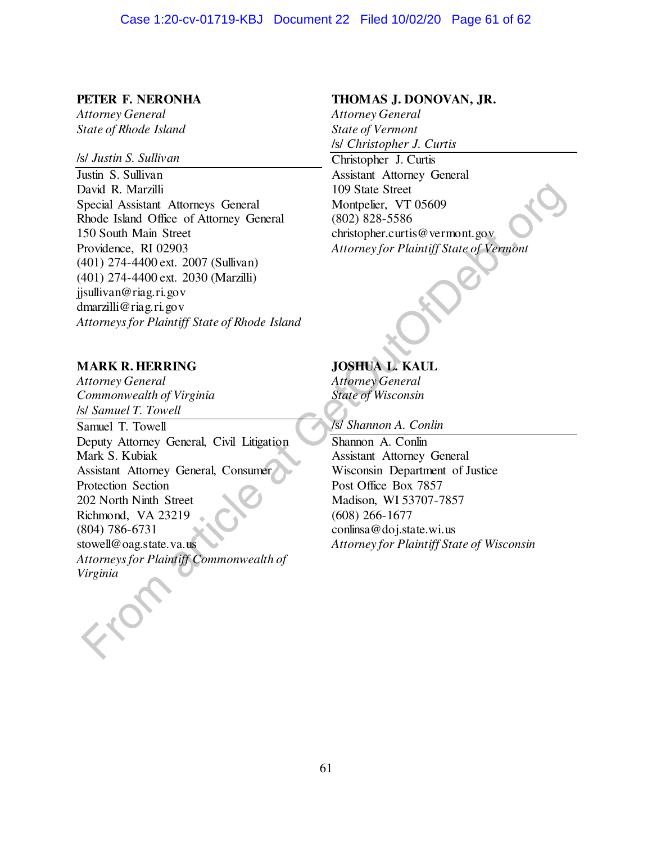#### Case 1:20-cv-01719-KBJ Document 22 Filed 10/02/20 Page 61 of 62

### **PETER F. NERONHA**

*Attorney General State of Rhode Island* 

/s/ *Justin S. Sullivan*

Justin S. Sullivan David R. Marzilli Special Assistant Attorneys General Rhode Island Office of Attorney General 150 South Main Street Providence, RI 02903 (401) 274-4400 ext. 2007 (Sullivan) (401) 274-4400 ext. 2030 (Marzilli) jjsullivan@riag.ri.gov dmarzilli@riag.ri.gov *Attorneys for Plaintiff State of Rhode Island* 

# **MARK R. HERRING**

*Attorney General Commonwealth of Virginia*  /s/ *Samuel T. Towell* Samuel T. Towell Deputy Attorney General, Civil Litigation Mark S. Kubiak Assistant Attorney General, Consumer Protection Section 202 North Ninth Street Richmond, VA 23219 (804) 786-6731 stowell@oag.state.va.us *Attorneys for Plaintiff Commonwealth of Virginia* Novil R. Marzilli<br>
Special Assistant Attorneys General<br>
Special Assistant Attorneys General<br>
Special Sosistant Office of Attorney General<br>
Special (802) \$28-5586<br>
Crovidence, RU 02903<br>
Crovidence, RU 02903<br>
Attorney for Pl

### **THOMAS J. DONOVAN, JR.**

*Attorney General State of Vermont*  /s/ *Christopher J. Curtis*

Christopher J. Curtis Assistant Attorney General 109 State Street Montpelier, VT 05609 (802) 828-5586 christopher.curtis@vermont.gov *Attorney for Plaintiff State of Vermont* 

## **JOSHUA L. KAUL**  *Attorney General*

*State of Wisconsin* 

/s/ *Shannon A. Conlin* 

Shannon A. Conlin Assistant Attorney General Wisconsin Department of Justice Post Office Box 7857 Madison, WI 53707-7857 (608) 266-1677 conlinsa@doj.state.wi.us *Attorney for Plaintiff State of Wisconsin*